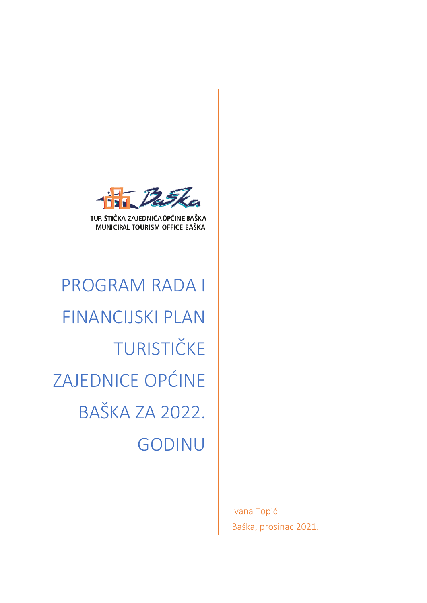

TURISTIČKA ZAJEDNICA OPĆINE BAŠKA MUNICIPAL TOURISM OFFICE BAŠKA

PROGRAM RADA I FINANCIJSKI PLAN TURISTIČKE ZAJEDNICE OPĆINE BAŠKA ZA 2022. GODINU

> Ivana Topić Baška, prosinac 2021.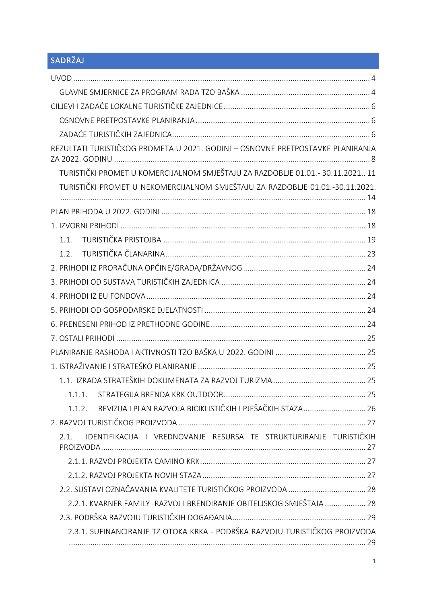# SADRŽAJ

| REZULTATI TURISTIČKOG PROMETA U 2021. GODINI - OSNOVNE PRETPOSTAVKE PLANIRANJA |
|--------------------------------------------------------------------------------|
| TURISTIČKI PROMET U KOMERCIJALNOM SMJEŠTAJU ZA RAZDOBLJE 01.01.- 30.11.202111  |
| TURISTIČKI PROMET U NEKOMERCIJALNOM SMJEŠTAJU ZA RAZDOBLJE 01.01.-30.11.2021.  |
|                                                                                |
|                                                                                |
| 1.1.                                                                           |
| 1.2.                                                                           |
|                                                                                |
|                                                                                |
|                                                                                |
|                                                                                |
|                                                                                |
|                                                                                |
|                                                                                |
|                                                                                |
|                                                                                |
|                                                                                |
| REVIZIJA I PLAN RAZVOJA BICIKLISTIČKIH I PJEŠAČKIH STAZA 26<br>1.1.2.          |
|                                                                                |
| IDENTIFIKACIJA I VREDNOVANJE RESURSA TE STRUKTURIRANJE TURISTIČKIH<br>2.1.     |
|                                                                                |
|                                                                                |
| 2.2. SUSTAVI OZNAČAVANJA KVALITETE TURISTIČKOG PROIZVODA  28                   |
| 2.2.1. KVARNER FAMILY - RAZVOJ I BRENDIRANJE OBITELJSKOG SMJEŠTAJA  28         |
|                                                                                |
| 2.3.1. SUFINANCIRANJE TZ OTOKA KRKA - PODRŠKA RAZVOJU TURISTIČKOG PROIZVODA    |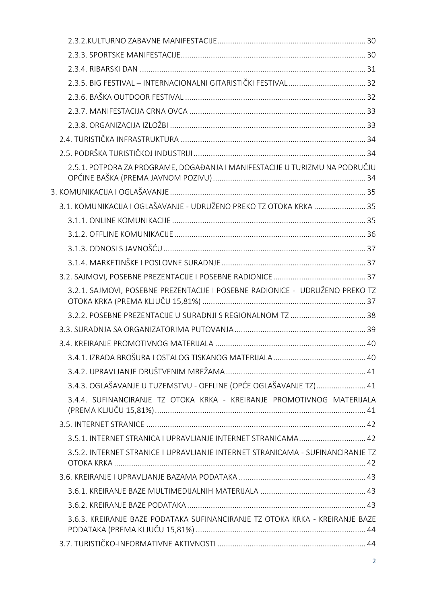| 2.5.1. POTPORA ZA PROGRAME, DOGAĐANJA I MANIFESTACIJE U TURIZMU NA PODRUČJU    |  |
|--------------------------------------------------------------------------------|--|
|                                                                                |  |
| 3.1. KOMUNIKACIJA I OGLAŠAVANJE - UDRUŽENO PREKO TZ OTOKA KRKA  35             |  |
|                                                                                |  |
|                                                                                |  |
|                                                                                |  |
|                                                                                |  |
|                                                                                |  |
| 3.2.1. SAJMOVI, POSEBNE PREZENTACIJE I POSEBNE RADIONICE - UDRUŽENO PREKO TZ   |  |
|                                                                                |  |
|                                                                                |  |
|                                                                                |  |
|                                                                                |  |
|                                                                                |  |
| 3.4.3. OGLAŠAVANJE U TUZEMSTVU - OFFLINE (OPĆE OGLAŠAVANJE TZ) 41              |  |
| 3.4.4. SUFINANCIRANJE TZ OTOKA KRKA - KREIRANJE PROMOTIVNOG MATERIJALA         |  |
|                                                                                |  |
|                                                                                |  |
| 3.5.2. INTERNET STRANICE I UPRAVLJANJE INTERNET STRANICAMA - SUFINANCIRANJE TZ |  |
|                                                                                |  |
|                                                                                |  |
|                                                                                |  |
| 3.6.3. KREIRANJE BAZE PODATAKA SUFINANCIRANJE TZ OTOKA KRKA - KREIRANJE BAZE   |  |
|                                                                                |  |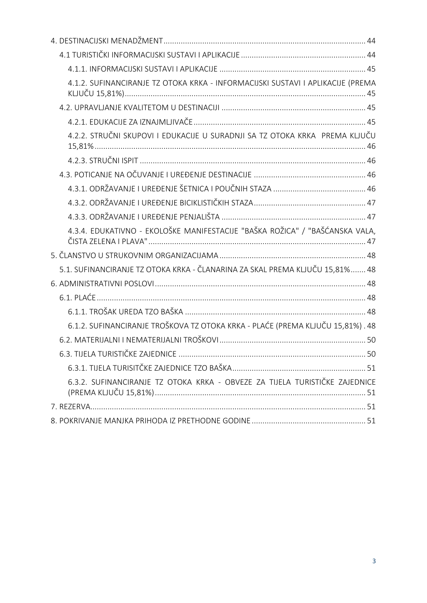| 4.1.2. SUFINANCIRANJE TZ OTOKA KRKA - INFORMACIJSKI SUSTAVI I APLIKACIJE (PREMA |    |
|---------------------------------------------------------------------------------|----|
|                                                                                 |    |
|                                                                                 |    |
| 4.2.2. STRUČNI SKUPOVI I EDUKACIJE U SURADNJI SA TZ OTOKA KRKA PREMA KLJUČU     |    |
|                                                                                 |    |
|                                                                                 |    |
|                                                                                 |    |
|                                                                                 |    |
|                                                                                 |    |
| 4.3.4. EDUKATIVNO - EKOLOŠKE MANIFESTACIJE "BAŠKA ROŽICA" / "BAŠĆANSKA VALA,    |    |
|                                                                                 |    |
| 5.1. SUFINANCIRANJE TZ OTOKA KRKA - ČLANARINA ZA SKAL PREMA KLJUČU 15,81% 48    |    |
|                                                                                 |    |
|                                                                                 |    |
|                                                                                 |    |
| 6.1.2. SUFINANCIRANJE TROŠKOVA TZ OTOKA KRKA - PLAĆE (PREMA KLJUČU 15,81%). 48  |    |
|                                                                                 |    |
| 6.3. TIJELA TURISTIČKE ZAJEDNICE                                                | 50 |
|                                                                                 |    |
| 6.3.2. SUFINANCIRANJE TZ OTOKA KRKA - OBVEZE ZA TIJELA TURISTIČKE ZAJEDNICE     |    |
|                                                                                 |    |
|                                                                                 |    |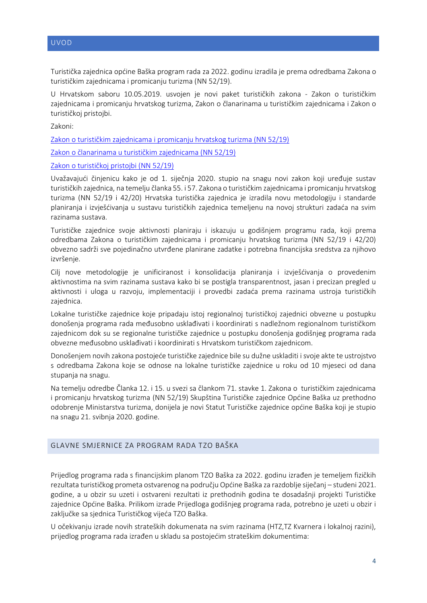<span id="page-4-0"></span>Turistička zajednica općine Baška program rada za 2022. godinu izradila je prema odredbama Zakona o turističkim zajednicama i promicanju turizma (NN 52/19).

U Hrvatskom saboru 10.05.2019. usvojen je novi paket turističkih zakona - Zakon o turističkim zajednicama i promicanju hrvatskog turizma, Zakon o članarinama u turističkim zajednicama i Zakon o turističkoj pristojbi.

Zakoni:

[Zakon o turističkim zajednicama i promicanju hrvatskog turizma \(NN 52/19\)](https://narodne-novine.nn.hr/clanci/sluzbeni/full/2019_05_52_990.html)

[Zakon o članarinama u turističkim zajednicama \(NN 52/19\)](https://narodne-novine.nn.hr/clanci/sluzbeni/full/2019_05_52_991.html)

#### Zakon o turističk[oj pristojbi \(NN 52/19\)](https://narodne-novine.nn.hr/clanci/sluzbeni/full/2019_05_52_992.html)

Uvažavajući činjenicu kako je od 1. siječnja 2020. stupio na snagu novi zakon koji uređuje sustav turističkih zajednica, na temelju članka 55. i 57. Zakona o turističkim zajednicama i promicanju hrvatskog turizma (NN 52/19 i 42/20) Hrvatska turistička zajednica je izradila novu metodologiju i standarde planiranja i izvješćivanja u sustavu turističkih zajednica temeljenu na novoj strukturi zadaća na svim razinama sustava.

Turističke zajednice svoje aktivnosti planiraju i iskazuju u godišnjem programu rada, koji prema odredbama Zakona o turističkim zajednicama i promicanju hrvatskog turizma (NN 52/19 i 42/20) obvezno sadrži sve pojedinačno utvrđene planirane zadatke i potrebna financijska sredstva za njihovo izvršenje.

Cilj nove metodologije je unificiranost i konsolidacija planiranja i izvješćivanja o provedenim aktivnostima na svim razinama sustava kako bi se postigla transparentnost, jasan i precizan pregled u aktivnosti i uloga u razvoju, implementaciji i provedbi zadaća prema razinama ustroja turističkih zajednica.

Lokalne turističke zajednice koje pripadaju istoj regionalnoj turističkoj zajednici obvezne u postupku donošenja programa rada međusobno usklađivati i koordinirati s nadležnom regionalnom turističkom zajednicom dok su se regionalne turističke zajednice u postupku donošenja godišnjeg programa rada obvezne međusobno usklađivati i koordinirati s Hrvatskom turističkom zajednicom.

Donošenjem novih zakona postojeće turističke zajednice bile su dužne uskladiti i svoje akte te ustrojstvo s odredbama Zakona koje se odnose na lokalne turističke zajednice u roku od 10 mjeseci od dana stupanja na snagu.

Na temelju odredbe Članka 12. i 15. u svezi sa člankom 71. stavke 1. Zakona o turističkim zajednicama i promicanju hrvatskog turizma (NN 52/19) Skupština Turističke zajednice Općine Baška uz prethodno odobrenje Ministarstva turizma, donijela je novi Statut Turističke zajednice općine Baška koji je stupio na snagu 21. svibnja 2020. godine.

#### <span id="page-4-1"></span>GLAVNE SMJERNICE ZA PROGRAM RADA TZO BAŠKA

Prijedlog programa rada s financijskim planom TZO Baška za 2022. godinu izrađen je temeljem fizičkih rezultata turističkog prometa ostvarenog na području Općine Baška za razdoblje siječanj – studeni 2021. godine, a u obzir su uzeti i ostvareni rezultati iz prethodnih godina te dosadašnji projekti Turističke zajednice Općine Baška. Prilikom izrade Prijedloga godišnjeg programa rada, potrebno je uzeti u obzir i zaključke sa sjednica Turističkog vijeća TZO Baška.

U očekivanju izrade novih strateških dokumenata na svim razinama (HTZ,TZ Kvarnera i lokalnoj razini), prijedlog programa rada izrađen u skladu sa postojećim strateškim dokumentima: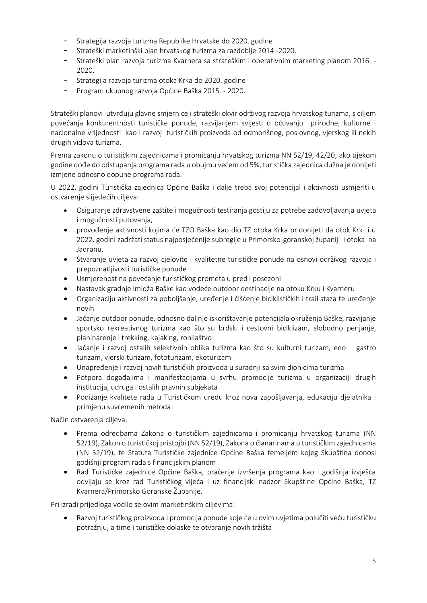- Strategija razvoja turizma Republike Hrvatske do 2020. godine
- Strateški marketinški plan hrvatskog turizma za razdoblje 2014.-2020.
- Strateški plan razvoja turizma Kvarnera sa strateškim i operativnim marketing planom 2016. 2020.
- Strategija razvoja turizma otoka Krka do 2020. godine
- Program ukupnog razvoja Općine Baška 2015. 2020.

Strateški planovi utvrđuju glavne smjernice i strateški okvir održivog razvoja hrvatskog turizma, s ciljem povećanja konkurentnosti turističke ponude, razvijanjem svijesti o očuvanju prirodne, kulturne i nacionalne vrijednosti kao i razvoj turističkih proizvoda od odmorišnog, poslovnog, vjerskog ili nekih drugih vidova turizma.

Prema zakonu o turističkim zajednicama i promicanju hrvatskog turizma NN 52/19, 42/20, ako tijekom godine dođe do odstupanja programa rada u obujmu većem od 5%, turistička zajednica dužna je donijeti izmjene odnosno dopune programa rada.

U 2022. godini Turistička zajednica Općine Baška i dalje treba svoj potencijal i aktivnosti usmjeriti u ostvarenje slijedećih ciljeva:

- Osiguranje zdravstvene zaštite i mogućnosti testiranja gostiju za potrebe zadovoljavanja uvjeta i mogućnosti putovanja,
- provođenje aktivnosti kojima će TZO Baška kao dio TZ otoka Krka pridonijeti da otok Krk i u 2022. godini zadržati status najposjećenije subregije u Primorsko-goranskoj županiji i otoka na Jadranu.
- Stvaranje uvjeta za razvoj cjelovite i kvalitetne turističke ponude na osnovi održivog razvoja i prepoznatljivosti turističke ponude
- Usmjerenost na povećanje turističkog prometa u pred i posezoni
- Nastavak gradnje imidža Baške kao vodeće outdoor destinacije na otoku Krku i Kvarneru
- Organizaciju aktivnosti za poboljšanje, uređenje i čišćenje biciklističkih i trail staza te uređenje novih
- Jačanje outdoor ponude, odnosno daljnje iskorištavanje potencijala okruženja Baške, razvijanje sportsko rekreativnog turizma kao što su brdski i cestovni biciklizam, slobodno penjanje, planinarenje i trekking, kajaking, ronilaštvo
- Jačanje i razvoj ostalih selektivnih oblika turizma kao što su kulturni turizam, eno gastro turizam, vjerski turizam, fototurizam, ekoturizam
- Unapređenje i razvoj novih turističkih proizvoda u suradnji sa svim dionicima turizma
- Potpora događajima i manifestacijama u svrhu promocije turizma u organizaciji drugih institucija, udruga i ostalih pravnih subjekata
- Podizanje kvalitete rada u Turističkom uredu kroz nova zapošljavanja, edukaciju djelatnika i primjenu suvremenih metoda

Način ostvarenja ciljeva:

- Prema odredbama Zakona o turističkim zajednicama i promicanju hrvatskog turizma (NN 52/19), Zakon o turističkoj pristojbi (NN 52/19), Zakona o članarinama u turističkim zajednicama (NN 52/19), te Statuta Turističke zajednice Općine Baška temeljem kojeg Skupština donosi godišnji program rada s financijskim planom
- Rad Turističke zajednice Općine Baška, praćenje izvršenja programa kao i godišnja izvješća odvijaju se kroz rad Turističkog vijeća i uz financijski nadzor Skupštine Općine Baška, TZ Kvarnera/Primorsko Goranske Županije.

Pri izradi prijedloga vodilo se ovim marketinškim ciljevima:

• Razvoj turističkog proizvoda i promocija ponude koje će u ovim uvjetima polučiti veću turističku potražnju, a time i turističke dolaske te otvaranje novih tržišta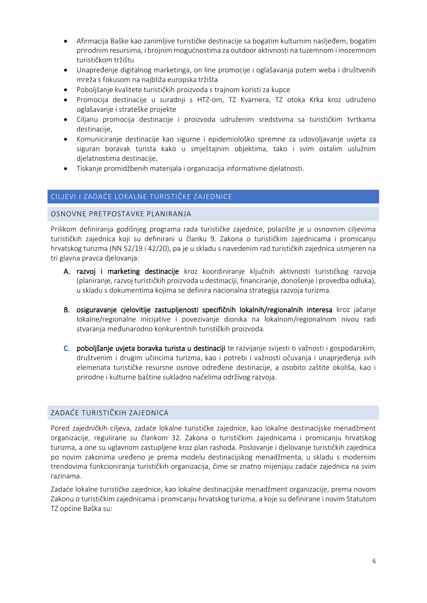- Afirmacija Baške kao zanimljive turističke destinacije sa bogatim kulturnim nasljeđem, bogatim prirodnim resursima, i brojnim mogućnostima za outdoor aktivnosti na tuzemnom i inozemnom turističkom tržištu
- Unapređenje digitalnog marketinga, on line promocije i oglašavanja putem weba i društvenih mreža s fokusom na najbliža europska tržišta
- Poboljšanje kvalitete turističkih proizvoda s trajnom koristi za kupce
- Promocija destinacije u suradnji s HTZ-om, TZ Kvarnera, TZ otoka Krka kroz udruženo oglašavanje i strateške projekte
- Ciljanu promocija destinacije i proizvoda udruženim sredstvima sa turističkim tvrtkama destinacije,
- Komuniciranje destinacije kao sigurne i epidemiološko spremne za udovoljavanje uvjeta za siguran boravak turista kako u smještajnim objektima, tako i svim ostalim uslužnim djelatnostima destinacije,
- Tiskanje promidžbenih materijala i organizacija informativne djelatnosti.

### <span id="page-6-0"></span>CILJEVI I ZADAĆE LOKALNE TURISTIČKE ZAJEDNICE

#### <span id="page-6-1"></span>OSNOVNE PRETPOSTAVKE PLANIRANJA

Prilikom definiranja godišnjeg programa rada turističke zajednice, polazište je u osnovnim ciljevima turističkih zajednica koji su definirani u članku 9. Zakona o turističkim zajednicama i promicanju hrvatskog turizma (NN 52/19 i 42/20), pa je u skladu s navedenim rad turističkih zajednica usmjeren na tri glavna pravca djelovanja:

- A. razvoj i marketing destinacije kroz koordiniranje ključnih aktivnosti turističkog razvoja (planiranje, razvoj turističkih proizvoda u destinaciji, financiranje, donošenje i provedba odluka), u skladu s dokumentima kojima se definira nacionalna strategija razvoja turizma.
- B. osiguravanje cjelovitije zastupljenosti specifičnih lokalnih/regionalnih interesa kroz jačanje lokalne/regionalne inicijative i povezivanje dionika na lokalnom/regionalnom nivou radi stvaranja međunarodno konkurentnih turističkih proizvoda.
- C. poboljšanje uvjeta boravka turista u destinaciji te razvijanje svijesti o važnosti i gospodarskim, društvenim i drugim učincima turizma, kao i potrebi i važnosti očuvanja i unaprjeđenja svih elemenata turističke resursne osnove određene destinacije, a osobito zaštite okoliša, kao i prirodne i kulturne baštine sukladno načelima održivog razvoja.

### <span id="page-6-2"></span>ZADAĆE TURISTIČKIH ZAJEDNICA

Pored zajedničkih ciljeva, zadaće lokalne turističke zajednice, kao lokalne destinacijske menadžment organizacije, regulirane su člankom 32. Zakona o turističkim zajednicama i promicanju hrvatskog turizma, a one su uglavnom zastupljene kroz plan rashoda. Poslovanje i djelovanje turističkih zajednica po novim zakonima uređeno je prema modelu destinacijskog menadžmenta, u skladu s modernim trendovima funkcioniranja turističkih organizacija, čime se znatno mijenjaju zadaće zajednica na svim razinama.

Zadaće lokalne turističke zajednice, kao lokalne destinacijske menadžment organizacije, prema novom [Zakonu o turističkim zajednicama i promicanju hrvatskog turizma](https://zakon.hr/zakoni/Zakon%20o%20turistickim%20zajednicama%20i%20promicanju%20hrvatskog%20turizma%202020.doc), a koje su definirane i novim Statutom TZ općine Baška su: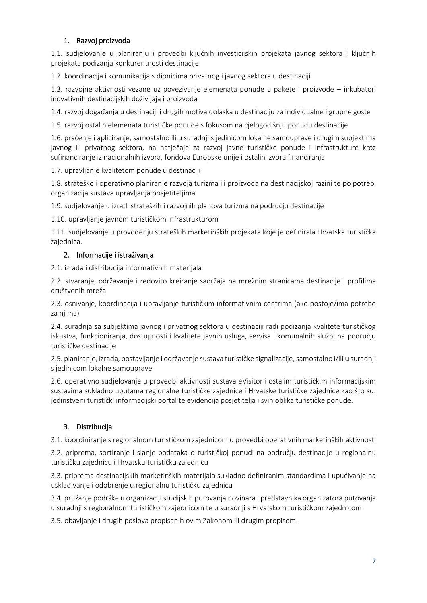# 1. Razvoj proizvoda

1.1. sudjelovanje u planiranju i provedbi ključnih investicijskih projekata javnog sektora i ključnih projekata podizanja konkurentnosti destinacije

1.2. koordinacija i komunikacija s dionicima privatnog i javnog sektora u destinaciji

1.3. razvojne aktivnosti vezane uz povezivanje elemenata ponude u pakete i proizvode – inkubatori inovativnih destinacijskih doživljaja i proizvoda

1.4. razvoj događanja u destinaciji i drugih motiva dolaska u destinaciju za individualne i grupne goste

1.5. razvoj ostalih elemenata turističke ponude s fokusom na cjelogodišnju ponudu destinacije

1.6. praćenje i apliciranje, samostalno ili u suradnji s jedinicom lokalne samouprave i drugim subjektima javnog ili privatnog sektora, na natječaje za razvoj javne turističke ponude i infrastrukture kroz sufinanciranje iz nacionalnih izvora, fondova Europske unije i ostalih izvora financiranja

1.7. upravljanje kvalitetom ponude u destinaciji

1.8. strateško i operativno planiranje razvoja turizma ili proizvoda na destinacijskoj razini te po potrebi organizacija sustava upravljanja posjetiteljima

1.9. sudjelovanje u izradi strateških i razvojnih planova turizma na području destinacije

1.10. upravljanje javnom turističkom infrastrukturom

1.11. sudjelovanje u provođenju strateških marketinških projekata koje je definirala Hrvatska turistička zajednica.

# 2. Informacije i istraživanja

2.1. izrada i distribucija informativnih materijala

2.2. stvaranje, održavanje i redovito kreiranje sadržaja na mrežnim stranicama destinacije i profilima društvenih mreža

2.3. osnivanje, koordinacija i upravljanje turističkim informativnim centrima (ako postoje/ima potrebe za njima)

2.4. suradnja sa subjektima javnog i privatnog sektora u destinaciji radi podizanja kvalitete turističkog iskustva, funkcioniranja, dostupnosti i kvalitete javnih usluga, servisa i komunalnih službi na području turističke destinacije

2.5. planiranje, izrada, postavljanje i održavanje sustava turističke signalizacije, samostalno i/ili u suradnji s jedinicom lokalne samouprave

2.6. operativno sudjelovanje u provedbi aktivnosti sustava eVisitor i ostalim turističkim informacijskim sustavima sukladno uputama regionalne turističke zajednice i Hrvatske turističke zajednice kao što su: jedinstveni turistički informacijski portal te evidencija posjetitelja i svih oblika turističke ponude.

# 3. Distribucija

3.1. koordiniranje s regionalnom turističkom zajednicom u provedbi operativnih marketinških aktivnosti

3.2. priprema, sortiranje i slanje podataka o turističkoj ponudi na području destinacije u regionalnu turističku zajednicu i Hrvatsku turističku zajednicu

3.3. priprema destinacijskih marketinških materijala sukladno definiranim standardima i upućivanje na usklađivanje i odobrenje u regionalnu turističku zajednicu

3.4. pružanje podrške u organizaciji studijskih putovanja novinara i predstavnika organizatora putovanja u suradnji s regionalnom turističkom zajednicom te u suradnji s Hrvatskom turističkom zajednicom

3.5. obavljanje i drugih poslova propisanih ovim Zakonom ili drugim propisom.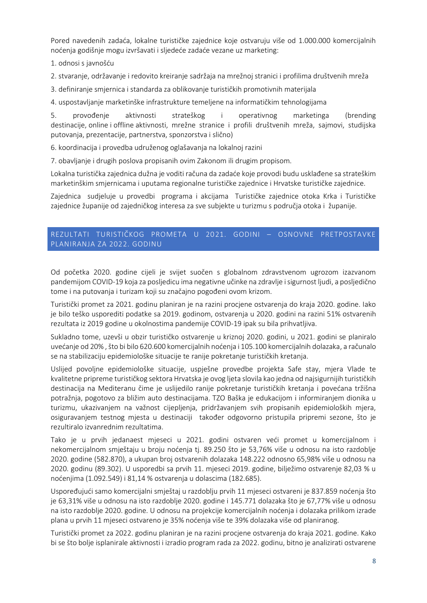Pored navedenih zadaća, lokalne turističke zajednice koje ostvaruju više od 1.000.000 komercijalnih noćenja godišnje mogu izvršavati i sljedeće zadaće vezane uz marketing:

1. odnosi s javnošću

2. stvaranje, održavanje i redovito kreiranje sadržaja na mrežnoj stranici i profilima društvenih mreža

3. definiranje smjernica i standarda za oblikovanje turističkih promotivnih materijala

4. uspostavljanje marketinške infrastrukture temeljene na informatičkim tehnologijama

5. provođenje aktivnosti strateškog i operativnog marketinga (brending destinacije, online i offline aktivnosti, mrežne stranice i profili društvenih mreža, sajmovi, studijska putovanja, prezentacije, partnerstva, sponzorstva i slično)

6. koordinacija i provedba udruženog oglašavanja na lokalnoj razini

7. obavljanje i drugih poslova propisanih ovim Zakonom ili drugim propisom.

Lokalna turistička zajednica dužna je voditi računa da zadaće koje provodi budu usklađene sa strateškim marketinškim smjernicama i uputama regionalne turističke zajednice i Hrvatske turističke zajednice.

Zajednica sudjeluje u provedbi programa i akcijama Turističke zajednice otoka Krka i Turističke zajednice županije od zajedničkog interesa za sve subjekte u turizmu s područja otoka i županije.

# <span id="page-8-0"></span>REZULTATI TURISTIČKOG PROMETA U 2021. GODINI – OSNOVNE PRETPOSTAVKE PLANIRANJA ZA 2022. GODINU

Od početka 2020. godine cijeli je svijet suočen s globalnom zdravstvenom ugrozom izazvanom pandemijom COVID-19 koja za posljedicu ima negativne učinke na zdravlje i sigurnost ljudi, a posljedično tome i na putovanja i turizam koji su značajno pogođeni ovom krizom.

Turistički promet za 2021. godinu planiran je na razini procjene ostvarenja do kraja 2020. godine. Iako je bilo teško usporediti podatke sa 2019. godinom, ostvarenja u 2020. godini na razini 51% ostvarenih rezultata iz 2019 godine u okolnostima pandemije COVID-19 ipak su bila prihvatljiva.

Sukladno tome, uzevši u obzir turističko ostvarenje u kriznoj 2020. godini, u 2021. godini se planiralo uvećanje od 20% , što bi bilo 620.600 komercijalnih noćenja i 105.100 komercijalnih dolazaka, a računalo se na stabilizaciju epidemiološke situacije te ranije pokretanje turističkih kretanja.

Uslijed povoljne epidemiološke situacije, uspješne provedbe projekta Safe stay, mjera Vlade te kvalitetne pripreme turističkog sektora Hrvatska je ovog ljeta slovila kao jedna od najsigurnijih turističkih destinacija na Mediteranu čime je uslijedilo ranije pokretanje turističkih kretanja i povećana tržišna potražnja, pogotovo za bližim auto destinacijama. TZO Baška je edukacijom i informiranjem dionika u turizmu, ukazivanjem na važnost cijepljenja, pridržavanjem svih propisanih epidemioloških mjera, osiguravanjem testnog mjesta u destinaciji također odgovorno pristupila pripremi sezone, što je rezultiralo izvanrednim rezultatima.

Tako je u prvih jedanaest mjeseci u 2021. godini ostvaren veći promet u komercijalnom i nekomercijalnom smještaju u broju noćenja tj. 89.250 što je 53,76% više u odnosu na isto razdoblje 2020. godine (582.870), a ukupan broj ostvarenih dolazaka 148.222 odnosno 65,98% više u odnosu na 2020. godinu (89.302). U usporedbi sa prvih 11. mjeseci 2019. godine, bilježimo ostvarenje 82,03 % u noćenjima (1.092.549) i 81,14 % ostvarenja u dolascima (182.685).

Uspoređujući samo komercijalni smještaj u razdoblju prvih 11 mjeseci ostvareni je 837.859 noćenja što je 63,31% više u odnosu na isto razdoblje 2020. godine i 145.771 dolazaka što je 67,77% više u odnosu na isto razdoblje 2020. godine. U odnosu na projekcije komercijalnih noćenja i dolazaka prilikom izrade plana u prvih 11 mjeseci ostvareno je 35% noćenja više te 39% dolazaka više od planiranog.

Turistički promet za 2022. godinu planiran je na razini procjene ostvarenja do kraja 2021. godine. Kako bi se što bolje isplanirale aktivnosti i izradio program rada za 2022. godinu, bitno je analizirati ostvarene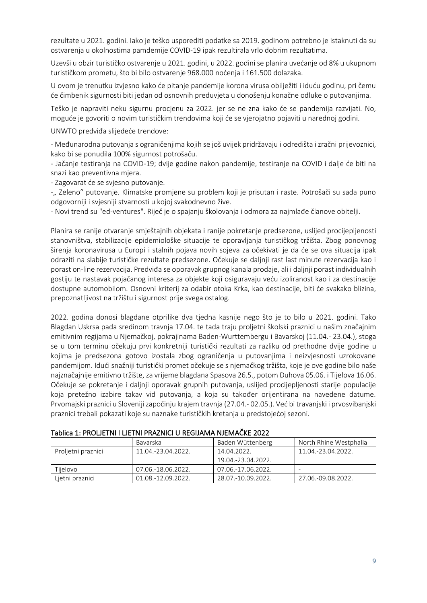rezultate u 2021. godini. Iako je teško usporediti podatke sa 2019. godinom potrebno je istaknuti da su ostvarenja u okolnostima pamdemije COVID-19 ipak rezultirala vrlo dobrim rezultatima.

Uzevši u obzir turističko ostvarenje u 2021. godini, u 2022. godini se planira uvećanje od 8% u ukupnom turističkom prometu, što bi bilo ostvarenje 968.000 noćenja i 161.500 dolazaka.

U ovom je trenutku izvjesno kako će pitanje pandemije korona virusa obilježiti i iduću godinu, pri čemu će čimbenik sigurnosti biti jedan od osnovnih preduvjeta u donošenju konačne odluke o putovanjima.

Teško je napraviti neku sigurnu procjenu za 2022. jer se ne zna kako će se pandemija razvijati. No, moguće je govoriti o novim turističkim trendovima koji će se vjerojatno pojaviti u narednoj godini.

UNWTO predviđa slijedeće trendove:

- Međunarodna putovanja s ograničenjima kojih se još uvijek pridržavaju i odredišta i zračni prijevoznici, kako bi se ponudila 100% sigurnost potrošaču.

- Jačanje testiranja na COVID-19; dvije godine nakon pandemije, testiranje na COVID i dalje će biti na snazi kao preventivna mjera.

- Zagovarat će se svjesno putovanje.

-" Zeleno" putovanje. Klimatske promjene su problem koji je prisutan i raste. Potrošači su sada puno odgovorniji i svjesniji stvarnosti u kojoj svakodnevno žive.

- Novi trend su "ed-ventures". Riječ je o spajanju školovanja i odmora za najmlađe članove obitelji.

Planira se ranije otvaranje smještajnih objekata i ranije pokretanje predsezone, uslijed procijepljenosti stanovništva, stabilizacije epidemiološke situacije te oporavljanja turističkog tržišta. Zbog ponovnog širenja koronavirusa u Europi i stalnih pojava novih sojeva za očekivati je da će se ova situacija ipak odraziti na slabije turističke rezultate predsezone. Očekuje se daljnji rast last minute rezervacija kao i porast on-line rezervacija. Predviđa se oporavak grupnog kanala prodaje, ali i daljnji porast individualnih gostiju te nastavak pojačanog interesa za objekte koji osiguravaju veću izoliranost kao i za destinacije dostupne automobilom. Osnovni kriterij za odabir otoka Krka, kao destinacije, biti će svakako blizina, prepoznatljivost na tržištu i sigurnost prije svega ostalog.

2022. godina donosi blagdane otprilike dva tjedna kasnije nego što je to bilo u 2021. godini. Tako Blagdan Uskrsa pada sredinom travnja 17.04. te tada traju proljetni školski praznici u našim značajnim emitivnim regijama u Njemačkoj, pokrajinama Baden-Wurttembergu i Bavarskoj (11.04.- 23.04.), stoga se u tom terminu očekuju prvi konkretniji turistički rezultati za razliku od prethodne dvije godine u kojima je predsezona gotovo izostala zbog ograničenja u putovanjima i neizvjesnosti uzrokovane pandemijom. Idući snažniji turistički promet očekuje se s njemačkog tržišta, koje je ove godine bilo naše najznačajnije emitivno tržište, za vrijeme blagdana Spasova 26.5., potom Duhova 05.06. i Tijelova 16.06. Očekuje se pokretanje i daljnji oporavak grupnih putovanja, uslijed procijepljenosti starije populacije koja pretežno izabire takav vid putovanja, a koja su također orijentirana na navedene datume. Prvomajski praznici u Sloveniji započinju krajem travnja (27.04.- 02.05.). Već bi travanjski i prvosvibanjski praznici trebali pokazati koje su naznake turističkih kretanja u predstojećoj sezoni.

| Tablica 1: PROLJETNI I LJETNI PRAZNICI U REGIJAMA NJEMAČKE 2022 |  |  |
|-----------------------------------------------------------------|--|--|
|-----------------------------------------------------------------|--|--|

|                    | Bavarska           | Baden Wűttenberg   | North Rhine Westphalia |
|--------------------|--------------------|--------------------|------------------------|
| Proljetni praznici | 11.04.-23.04.2022. | 14.04.2022.        | 11.04.-23.04.2022.     |
|                    |                    | 19.04.-23.04.2022. |                        |
| Tijelovo           | 07.06.-18.06.2022. | 07.06.-17.06.2022. |                        |
| Lietni praznici    | 01.08.-12.09.2022. | 28.07.-10.09.2022. | 27.06.-09.08.2022.     |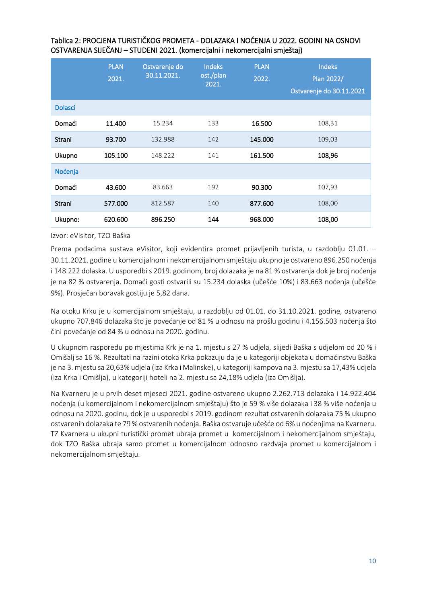|                | <b>PLAN</b><br>2021. | Ostvarenje do<br>30.11.2021. | <b>Indeks</b><br>ost./plan<br>2021. | <b>PLAN</b><br>2022. | <b>Indeks</b><br>Plan 2022/<br>Ostvarenje do 30.11.2021 |
|----------------|----------------------|------------------------------|-------------------------------------|----------------------|---------------------------------------------------------|
| <b>Dolasci</b> |                      |                              |                                     |                      |                                                         |
| Domaći         | 11.400               | 15.234                       | 133                                 | 16.500               | 108,31                                                  |
| Strani         | 93.700               | 132.988                      | 142                                 | 145.000              | 109,03                                                  |
| Ukupno         | 105.100              | 148.222                      | 141                                 | 161.500              | 108,96                                                  |
| Noćenja        |                      |                              |                                     |                      |                                                         |
| Domaći         | 43.600               | 83.663                       | 192                                 | 90.300               | 107,93                                                  |
| Strani         | 577.000              | 812.587                      | 140                                 | 877.600              | 108,00                                                  |
| Ukupno:        | 620,600              | 896.250                      | 144                                 | 968,000              | 108,00                                                  |

### Tablica 2: PROCJENA TURISTIČKOG PROMETA - DOLAZAKA I NOĆENJA U 2022. GODINI NA OSNOVI OSTVARENJA SIJEČANJ – STUDENI 2021. (komercijalni i nekomercijalni smještaj)

Izvor: eVisitor, TZO Baška

Prema podacima sustava eVisitor, koji evidentira promet prijavljenih turista, u razdoblju 01.01. – 30.11.2021. godine u komercijalnom i nekomercijalnom smještaju ukupno je ostvareno 896.250 noćenja i 148.222 dolaska. U usporedbi s 2019. godinom, broj dolazaka je na 81 % ostvarenja dok je broj noćenja je na 82 % ostvarenja. Domaći gosti ostvarili su 15.234 dolaska (učešće 10%) i 83.663 noćenja (učešće 9%). Prosječan boravak gostiju je 5,82 dana.

Na otoku Krku je u komercijalnom smještaju, u razdoblju od 01.01. do 31.10.2021. godine, ostvareno ukupno 707.846 dolazaka što je povećanje od 81 % u odnosu na prošlu godinu i 4.156.503 noćenja što čini povećanje od 84 % u odnosu na 2020. godinu.

U ukupnom rasporedu po mjestima Krk je na 1. mjestu s 27 % udjela, slijedi Baška s udjelom od 20 % i Omišalj sa 16 %. Rezultati na razini otoka Krka pokazuju da je u kategoriji objekata u domaćinstvu Baška je na 3. mjestu sa 20,63% udjela (iza Krka i Malinske), u kategoriji kampova na 3. mjestu sa 17,43% udjela (iza Krka i Omišlja), u kategoriji hoteli na 2. mjestu sa 24,18% udjela (iza Omišlja).

Na Kvarneru je u prvih deset mjeseci 2021. godine ostvareno ukupno 2.262.713 dolazaka i 14.922.404 noćenja (u komercijalnom i nekomercijalnom smještaju) što je 59 % više dolazaka i 38 % više noćenja u odnosu na 2020. godinu, dok je u usporedbi s 2019. godinom rezultat ostvarenih dolazaka 75 % ukupno ostvarenih dolazaka te 79 % ostvarenih noćenja. Baška ostvaruje učešće od 6% u noćenjima na Kvarneru. TZ Kvarnera u ukupni turistički promet ubraja promet u komercijalnom i nekomercijalnom smještaju, dok TZO Baška ubraja samo promet u komercijalnom odnosno razdvaja promet u komercijalnom i nekomercijalnom smještaju.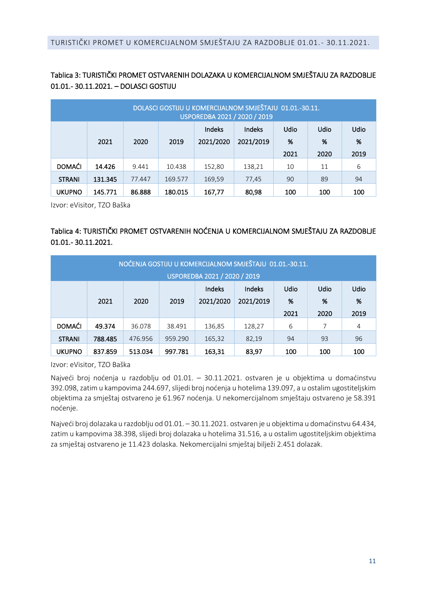# <span id="page-11-0"></span>Tablica 3: TURISTIČKI PROMET OSTVARENIH DOLAZAKA U KOMERCIJALNOM SMJEŠTAJU ZA RAZDOBLJE 01.01.- 30.11.2021. – DOLASCI GOSTIJU

|               | DOLASCI GOSTIJU U KOMERCIJALNOM SMJEŠTAJU 01.01.-30.11.<br>USPOREDBA 2021 / 2020 / 2019 |        |         |                     |                            |                          |                          |                          |  |  |  |
|---------------|-----------------------------------------------------------------------------------------|--------|---------|---------------------|----------------------------|--------------------------|--------------------------|--------------------------|--|--|--|
|               | 2021                                                                                    | 2020   | 2019    | Indeks<br>2021/2020 | <b>Indeks</b><br>2021/2019 | <b>Udio</b><br>%<br>2021 | <b>Udio</b><br>%<br>2020 | <b>Udio</b><br>%<br>2019 |  |  |  |
|               |                                                                                         |        |         |                     |                            |                          |                          |                          |  |  |  |
| <b>DOMAĆI</b> | 14.426                                                                                  | 9.441  | 10.438  | 152,80              | 138,21                     | 10                       | 11                       | 6                        |  |  |  |
| <b>STRANI</b> | 131.345                                                                                 | 77.447 | 169.577 | 169,59              | 77,45                      | 90                       | 89                       | 94                       |  |  |  |

Izvor: eVisitor, TZO Baška

# Tablica 4: TURISTIČKI PROMET OSTVARENIH NOĆENJA U KOMERCIJALNOM SMJEŠTAJU ZA RAZDOBLJE 01.01.- 30.11.2021.

|               | NOĆENJA GOSTIJU U KOMERCIJALNOM SMJEŠTAJU 01.01.-30.11.<br>USPOREDBA 2021 / 2020 / 2019                                                                |         |         |        |        |    |    |    |  |  |  |
|---------------|--------------------------------------------------------------------------------------------------------------------------------------------------------|---------|---------|--------|--------|----|----|----|--|--|--|
|               | Indeks<br>Indeks<br><b>Udio</b><br><b>Udio</b><br><b>Udio</b><br>2021/2020<br>2021/2019<br>%<br>%<br>%<br>2019<br>2021<br>2020<br>2019<br>2021<br>2020 |         |         |        |        |    |    |    |  |  |  |
| <b>DOMAĆI</b> | 49.374                                                                                                                                                 | 36.078  | 38.491  | 136,85 | 128,27 | 6  | 7  | 4  |  |  |  |
| <b>STRANI</b> | 788.485                                                                                                                                                | 476.956 | 959.290 | 165,32 | 82,19  | 94 | 93 | 96 |  |  |  |
| <b>UKUPNO</b> | 837.859<br>513.034<br>997.781<br>83,97<br>100<br>100<br>163,31<br>100                                                                                  |         |         |        |        |    |    |    |  |  |  |

Izvor: eVisitor, TZO Baška

Najveći broj noćenja u razdoblju od 01.01. – 30.11.2021. ostvaren je u objektima u domaćinstvu 392.098, zatim u kampovima 244.697, slijedi broj noćenja u hotelima 139.097, a u ostalim ugostiteljskim objektima za smještaj ostvareno je 61.967 noćenja. U nekomercijalnom smještaju ostvareno je 58.391 noćenje.

Najveći broj dolazaka u razdoblju od 01.01. – 30.11.2021. ostvaren je u objektima u domaćinstvu 64.434, zatim u kampovima 38.398, slijedi broj dolazaka u hotelima 31.516, a u ostalim ugostiteljskim objektima za smještaj ostvareno je 11.423 dolaska. Nekomercijalni smještaj bilježi 2.451 dolazak.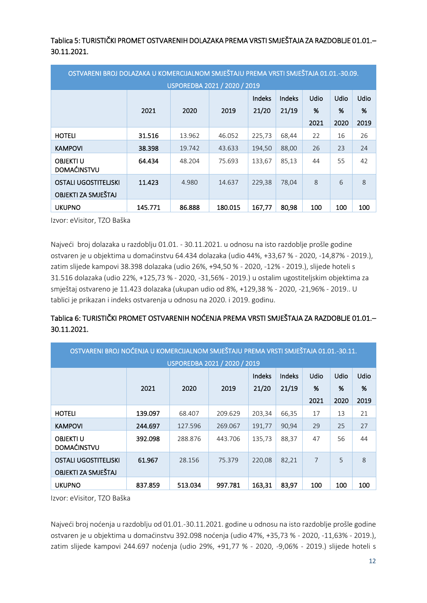Tablica 5: TURISTIČKI PROMET OSTVARENIH DOLAZAKA PREMA VRSTI SMJEŠTAJA ZA RAZDOBLJE 01.01.-30.11.2021.

| OSTVARENI BROJ DOLAZAKA U KOMERCIJALNOM SMJEŠTAJU PREMA VRSTI SMJEŠTAJA 01.01.-30.09. |                                          |        |         |        |       |                             |      |      |  |  |
|---------------------------------------------------------------------------------------|------------------------------------------|--------|---------|--------|-------|-----------------------------|------|------|--|--|
|                                                                                       | USPOREDBA 2021 / 2020 / 2019             |        |         |        |       |                             |      |      |  |  |
|                                                                                       | Udio<br>Indeks<br>Udio<br>Udio<br>Indeks |        |         |        |       |                             |      |      |  |  |
|                                                                                       | 2021                                     | 2020   | 2019    | 21/20  | 21/19 | %                           | %    | %    |  |  |
|                                                                                       |                                          |        |         |        |       | 2021                        | 2020 | 2019 |  |  |
| <b>HOTELI</b>                                                                         | 31.516                                   | 13.962 | 46.052  | 225,73 | 68,44 | 22                          | 16   | 26   |  |  |
| <b>KAMPOVI</b>                                                                        | 38.398                                   | 19.742 | 43.633  | 194.50 | 88,00 | 26                          | 23   | 24   |  |  |
| <b>OBJEKTI U</b><br><b>DOMAĆINSTVU</b>                                                | 64.434                                   | 48.204 | 75.693  | 133.67 | 85.13 | 44                          | 55   | 42   |  |  |
| <b>OSTALI UGOSTITELISKI</b><br>OBJEKTI ZA SMJEŠTAJ                                    | 11.423                                   | 4.980  | 14.637  | 229,38 | 78,04 | $\mathcal{S}_{\mathcal{S}}$ | 6    | 8    |  |  |
| <b>UKUPNO</b>                                                                         | 145.771                                  | 86.888 | 180.015 | 167,77 | 80,98 | 100                         | 100  | 100  |  |  |

Izvor: eVisitor, TZO Baška

Najveći broj dolazaka u razdoblju 01.01. - 30.11.2021. u odnosu na isto razdoblje prošle godine ostvaren je u objektima u domaćinstvu 64.434 dolazaka (udio 44%, +33,67 % - 2020, -14,87% - 2019.), zatim slijede kampovi 38.398 dolazaka (udio 26%, +94,50 % - 2020, -12% - 2019.), slijede hoteli s 31.516 dolazaka (udio 22%, +125,73 % - 2020, -31,56% - 2019.) u ostalim ugostiteljskim objektima za smještaj ostvareno je 11.423 dolazaka (ukupan udio od 8%, +129,38 % - 2020, -21,96% - 2019.. U tablici je prikazan i indeks ostvarenja u odnosu na 2020. i 2019. godinu.

# Tablica 6: TURISTIČKI PROMET OSTVARENIH NOĆENJA PREMA VRSTI SMJEŠTAJA ZA RAZDOBLJE 01.01.– 30.11.2021.

| OSTVARENI BROJ NOĆENJA U KOMERCIJALNOM SMJEŠTAJU PREMA VRSTI SMJEŠTAJA 01.01.-30.11. |                              |                                  |         |        |       |      |      |      |  |  |
|--------------------------------------------------------------------------------------|------------------------------|----------------------------------|---------|--------|-------|------|------|------|--|--|
|                                                                                      | USPOREDBA 2021 / 2020 / 2019 |                                  |         |        |       |      |      |      |  |  |
|                                                                                      |                              | Udio<br>Udio<br>Indeks<br>Indeks |         |        |       |      |      |      |  |  |
|                                                                                      | 2021                         | 2020                             | 2019    | 21/20  | 21/19 | %    | %    | %    |  |  |
|                                                                                      |                              |                                  |         |        |       | 2021 | 2020 | 2019 |  |  |
| <b>HOTELI</b>                                                                        | 139.097                      | 68.407                           | 209.629 | 203,34 | 66,35 | 17   | 13   | 21   |  |  |
| <b>KAMPOVI</b>                                                                       | 244.697                      | 127.596                          | 269.067 | 191,77 | 90,94 | 29   | 25   | 27   |  |  |
| <b>OBJEKTI U</b>                                                                     | 392.098                      | 288.876                          | 443.706 | 135,73 | 88,37 | 47   | 56   | 44   |  |  |
| <b>DOMAĆINSTVU</b>                                                                   |                              |                                  |         |        |       |      |      |      |  |  |
| <b>OSTALI UGOSTITELISKI</b>                                                          | 61.967                       | 28.156                           | 75.379  | 220,08 | 82,21 | 7    | 5    | 8    |  |  |
| OBJEKTI ZA SMJEŠTAJ                                                                  |                              |                                  |         |        |       |      |      |      |  |  |
| <b>UKUPNO</b>                                                                        | 837.859                      | 513.034                          | 997.781 | 163,31 | 83,97 | 100  | 100  | 100  |  |  |

Izvor: eVisitor, TZO Baška

Najveći broj noćenja u razdoblju od 01.01.-30.11.2021. godine u odnosu na isto razdoblje prošle godine ostvaren je u objektima u domaćinstvu 392.098 noćenja (udio 47%, +35,73 % - 2020, -11,63% - 2019.), zatim slijede kampovi 244.697 noćenja (udio 29%, +91,77 % - 2020, -9,06% - 2019.) slijede hoteli s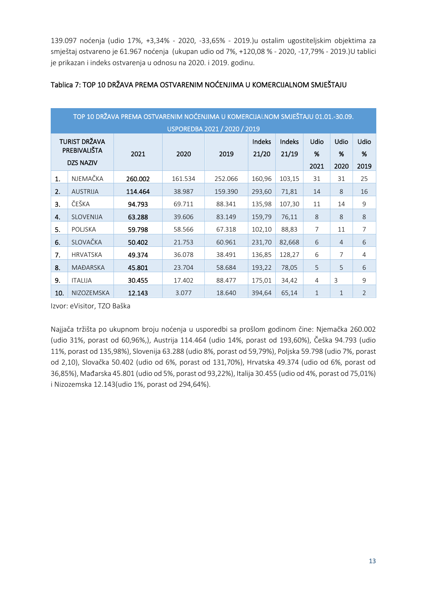139.097 noćenja (udio 17%, +3,34% - 2020, -33,65% - 2019.)u ostalim ugostiteljskim objektima za smještaj ostvareno je 61.967 noćenja (ukupan udio od 7%, +120,08 % - 2020, -17,79% - 2019.)U tablici je prikazan i indeks ostvarenja u odnosu na 2020. i 2019. godinu.

|                                  | TOP 10 DRŽAVA PREMA OSTVARENIM NOĆENJIMA U KOMERCIJALNOM SMJEŠTAJU 01.01.-30.09.                 |         |         |         |        |        |              |                             |                |  |  |  |
|----------------------------------|--------------------------------------------------------------------------------------------------|---------|---------|---------|--------|--------|--------------|-----------------------------|----------------|--|--|--|
|                                  | USPOREDBA 2021 / 2020 / 2019<br><b>TURIST DRŽAVA</b><br>Udio<br>Udio<br>Indeks<br>Indeks<br>Udio |         |         |         |        |        |              |                             |                |  |  |  |
| PREBIVALIŠTA<br><b>DZS NAZIV</b> |                                                                                                  | 2021    | 2020    | 2019    | 21/20  | 21/19  | %<br>2021    | %<br>2020                   | %<br>2019      |  |  |  |
| 1.                               | NJEMAČKA                                                                                         | 260.002 | 161.534 | 252.066 | 160,96 | 103,15 | 31           | 31                          | 25             |  |  |  |
| 2.                               | <b>AUSTRIJA</b>                                                                                  | 114.464 | 38.987  | 159.390 | 293,60 | 71,81  | 14           | $\mathcal{S}_{\mathcal{S}}$ | 16             |  |  |  |
| 3.                               | ČEŠKA                                                                                            | 94.793  | 69.711  | 88.341  | 135,98 | 107,30 | 11           | 14                          | 9              |  |  |  |
| 4.                               | SLOVENIJA                                                                                        | 63.288  | 39.606  | 83.149  | 159,79 | 76,11  | 8            | 8                           | 8              |  |  |  |
| 5.                               | <b>POLISKA</b>                                                                                   | 59.798  | 58.566  | 67.318  | 102,10 | 88,83  | 7            | 11                          | $\overline{7}$ |  |  |  |
| 6.                               | SLOVAČKA                                                                                         | 50.402  | 21.753  | 60.961  | 231,70 | 82,668 | 6            | $\overline{4}$              | 6              |  |  |  |
| 7.                               | <b>HRVATSKA</b>                                                                                  | 49.374  | 36.078  | 38.491  | 136,85 | 128,27 | 6            | 7                           | 4              |  |  |  |
| 8.                               | <b>MAĐARSKA</b>                                                                                  | 45.801  | 23.704  | 58.684  | 193,22 | 78,05  | 5            | 5                           | 6              |  |  |  |
| 9.                               | <b>ITALIJA</b>                                                                                   | 30.455  | 17.402  | 88.477  | 175,01 | 34,42  | 4            | 3                           | 9              |  |  |  |
| 10.                              | NIZOZEMSKA                                                                                       | 12.143  | 3.077   | 18.640  | 394,64 | 65,14  | $\mathbf{1}$ | $\mathbf{1}$                | $\overline{2}$ |  |  |  |

### Tablica 7: TOP 10 DRŽAVA PREMA OSTVARENIM NOĆENJIMA U KOMERCIJALNOM SMJEŠTAJU

Izvor: eVisitor, TZO Baška

Najjača tržišta po ukupnom broju noćenja u usporedbi sa prošlom godinom čine: Njemačka 260.002 (udio 31%, porast od 60,96%,), Austrija 114.464 (udio 14%, porast od 193,60%), Češka 94.793 (udio 11%, porast od 135,98%), Slovenija 63.288 (udio 8%, porast od 59,79%), Poljska 59.798 (udio 7%, porast od 2,10), Slovačka 50.402 (udio od 6%, porast od 131,70%), Hrvatska 49.374 (udio od 6%, porast od 36,85%), Mađarska 45.801 (udio od 5%, porast od 93,22%), Italija 30.455 (udio od 4%, porast od 75,01%) i Nizozemska 12.143(udio 1%, porast od 294,64%).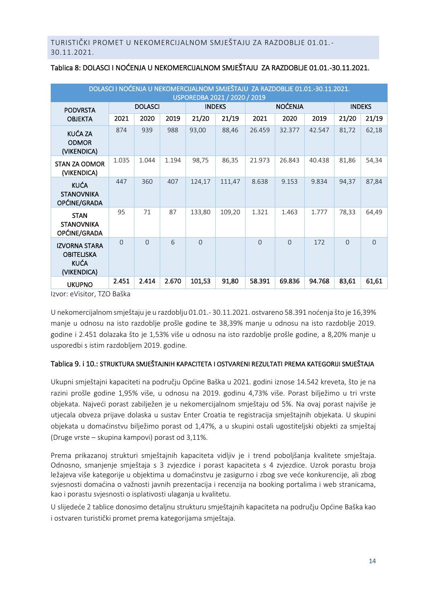|                                                                                                    | DOLASCI I NOĆENJA U NEKOMERCIJALNOM SMJEŠTAJU ZA RAZDOBLJE 01.01.-30.11.2021. |          |       |          |        |          |          |        |          |          |  |
|----------------------------------------------------------------------------------------------------|-------------------------------------------------------------------------------|----------|-------|----------|--------|----------|----------|--------|----------|----------|--|
| USPOREDBA 2021 / 2020 / 2019<br><b>NOĆENJA</b><br><b>DOLASCI</b><br><b>INDEKS</b><br><b>INDEKS</b> |                                                                               |          |       |          |        |          |          |        |          |          |  |
| <b>PODVRSTA</b>                                                                                    |                                                                               |          |       |          |        |          |          |        |          |          |  |
| <b>OBJEKTA</b>                                                                                     | 2021                                                                          | 2020     | 2019  | 21/20    | 21/19  | 2021     | 2020     | 2019   | 21/20    | 21/19    |  |
| KUĆA ZA<br><b>ODMOR</b><br>(VIKENDICA)                                                             | 874                                                                           | 939      | 988   | 93,00    | 88,46  | 26.459   | 32.377   | 42.547 | 81,72    | 62,18    |  |
| <b>STAN ZA ODMOR</b><br>(VIKENDICA)                                                                | 1.035                                                                         | 1.044    | 1.194 | 98,75    | 86,35  | 21.973   | 26.843   | 40.438 | 81,86    | 54,34    |  |
| <b>KUĆA</b><br><b>STANOVNIKA</b><br>OPĆINE/GRADA                                                   | 447                                                                           | 360      | 407   | 124,17   | 111,47 | 8.638    | 9.153    | 9.834  | 94,37    | 87,84    |  |
| <b>STAN</b><br><b>STANOVNIKA</b><br>OPĆINE/GRADA                                                   | 95                                                                            | 71       | 87    | 133,80   | 109,20 | 1.321    | 1.463    | 1.777  | 78,33    | 64,49    |  |
| <b>IZVORNA STARA</b><br><b>OBITELISKA</b><br><b>KUĆA</b><br>(VIKENDICA)                            | $\Omega$                                                                      | $\Omega$ | 6     | $\Omega$ |        | $\Omega$ | $\Omega$ | 172    | $\Omega$ | $\Omega$ |  |
| <b>UKUPNO</b><br>$T70.5$ $V1$                                                                      | 2.451                                                                         | 2.414    | 2.670 | 101,53   | 91,80  | 58.391   | 69.836   | 94.768 | 83,61    | 61,61    |  |

# <span id="page-14-0"></span>Tablica 8: DOLASCI I NOĆENJA U NEKOMERCIJALNOM SMJEŠTAJU ZA RAZDOBLJE 01.01.-30.11.2021.

Izvor: eVisitor, TZO Baška

U nekomercijalnom smještaju je u razdoblju 01.01.- 30.11.2021. ostvareno 58.391 noćenja što je 16,39% manje u odnosu na isto razdoblje prošle godine te 38,39% manje u odnosu na isto razdoblje 2019. godine i 2.451 dolazaka što je 1,53% više u odnosu na isto razdoblje prošle godine, a 8,20% manje u usporedbi s istim razdobljem 2019. godine.

### Tablica 9. i 10.: STRUKTURA SMJEŠTAJNIH KAPACITETA I OSTVARENI REZULTATI PREMA KATEGORIJI SMJEŠTAJA

Ukupni smještajni kapaciteti na području Općine Baška u 2021. godini iznose 14.542 kreveta, što je na razini prošle godine 1,95% više, u odnosu na 2019. godinu 4,73% više. Porast bilježimo u tri vrste objekata. Najveći porast zabilježen je u nekomercijalnom smještaju od 5%. Na ovaj porast najviše je utjecala obveza prijave dolaska u sustav Enter Croatia te registracija smještajnih objekata. U skupini objekata u domaćinstvu bilježimo porast od 1,47%, a u skupini ostali ugostiteljski objekti za smještaj (Druge vrste – skupina kampovi) porast od 3,11%.

Prema prikazanoj strukturi smještajnih kapaciteta vidljiv je i trend poboljšanja kvalitete smještaja. Odnosno, smanjenje smještaja s 3 zvjezdice i porast kapaciteta s 4 zvjezdice. Uzrok porastu broja ležajeva više kategorije u objektima u domaćinstvu je zasigurno i zbog sve veće konkurencije, ali zbog svjesnosti domaćina o važnosti javnih prezentacija i recenzija na booking portalima i web stranicama, kao i porastu svjesnosti o isplativosti ulaganja u kvalitetu.

U slijedeće 2 tablice donosimo detaljnu strukturu smještajnih kapaciteta na području Općine Baška kao i ostvaren turistički promet prema kategorijama smještaja.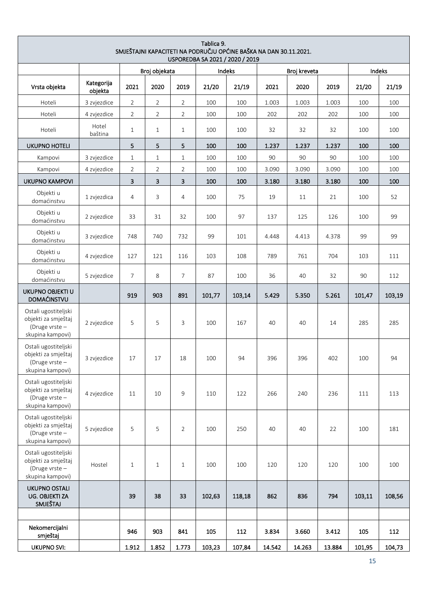|                                                                                   | Tablica 9.<br>SMJEŠTAJNI KAPACITETI NA PODRUČJU OPĆINE BAŠKA NA DAN 30.11.2021.<br>USPOREDBA SA 2021 / 2020 / 2019 |                |                |                |        |        |        |              |        |        |        |  |
|-----------------------------------------------------------------------------------|--------------------------------------------------------------------------------------------------------------------|----------------|----------------|----------------|--------|--------|--------|--------------|--------|--------|--------|--|
|                                                                                   |                                                                                                                    |                | Broj objekata  |                |        | Indeks |        | Broj kreveta |        |        | Indeks |  |
| Vrsta objekta                                                                     | Kategorija<br>objekta                                                                                              | 2021           | 2020           | 2019           | 21/20  | 21/19  | 2021   | 2020         | 2019   | 21/20  | 21/19  |  |
| Hoteli                                                                            | 3 zvjezdice                                                                                                        | $\overline{2}$ | $\overline{2}$ | $\overline{2}$ | 100    | 100    | 1.003  | 1.003        | 1.003  | 100    | 100    |  |
| Hoteli                                                                            | 4 zvjezdice                                                                                                        | $\overline{2}$ | $\overline{2}$ | $\overline{2}$ | 100    | 100    | 202    | 202          | 202    | 100    | 100    |  |
| Hoteli                                                                            | Hotel<br>baština                                                                                                   | $\mathbf{1}$   | $\mathbf{1}$   | $\mathbf{1}$   | 100    | 100    | 32     | 32           | 32     | 100    | 100    |  |
| <b>UKUPNO HOTELI</b>                                                              |                                                                                                                    | 5              | 5              | 5              | 100    | 100    | 1.237  | 1.237        | 1.237  | 100    | 100    |  |
| Kampovi                                                                           | 3 zvjezdice                                                                                                        | $\mathbf{1}$   | 1              | $\mathbf{1}$   | 100    | 100    | 90     | 90           | 90     | 100    | 100    |  |
| Kampovi                                                                           | 4 zvjezdice                                                                                                        | $\overline{2}$ | 2              | $\overline{2}$ | 100    | 100    | 3.090  | 3.090        | 3.090  | 100    | 100    |  |
| <b>UKUPNO KAMPOVI</b>                                                             |                                                                                                                    | 3              | з              | 3              | 100    | 100    | 3.180  | 3.180        | 3.180  | 100    | 100    |  |
| Objekti u<br>domaćinstvu                                                          | 1 zvjezdica                                                                                                        | $\overline{4}$ | 3              | 4              | 100    | 75     | 19     | 11           | 21     | 100    | 52     |  |
| Objekti u<br>domaćinstvu                                                          | 2 zvjezdice                                                                                                        | 33             | 31             | 32             | 100    | 97     | 137    | 125          | 126    | 100    | 99     |  |
| Objekti u<br>domaćinstvu                                                          | 3 zvjezdice                                                                                                        | 748            | 740            | 732            | 99     | 101    | 4.448  | 4.413        | 4.378  | 99     | 99     |  |
| Objekti u<br>domaćinstvu                                                          | 4 zvjezdice                                                                                                        | 127            | 121            | 116            | 103    | 108    | 789    | 761          | 704    | 103    | 111    |  |
| Objekti u<br>domaćinstvu                                                          | 5 zvjezdice                                                                                                        | $\overline{7}$ | 8              | $\overline{7}$ | 87     | 100    | 36     | 40           | 32     | 90     | 112    |  |
| UKUPNO OBJEKTI U<br><b>DOMAĆINSTVU</b>                                            |                                                                                                                    | 919            | 903            | 891            | 101,77 | 103,14 | 5.429  | 5.350        | 5.261  | 101,47 | 103,19 |  |
| Ostali ugostiteljski<br>objekti za smještaj<br>(Druge vrste -<br>skupina kampovi) | 2 zvjezdice                                                                                                        | 5              | 5              | 3              | 100    | 167    | 40     | 40           | 14     | 285    | 285    |  |
| Ostali ugostiteljski<br>objekti za smještaj<br>(Druge vrste -<br>skupina kampovi) | 3 zvjezdice                                                                                                        | 17             | 17             | 18             | 100    | 94     | 396    | 396          | 402    | 100    | 94     |  |
| Ostali ugostiteljski<br>objekti za smještaj<br>(Druge vrste -<br>skupina kampovi) | 4 zvjezdice                                                                                                        | 11             | 10             | 9              | 110    | 122    | 266    | 240          | 236    | 111    | 113    |  |
| Ostali ugostiteljski<br>objekti za smještaj<br>(Druge vrste-<br>skupina kampovi)  | 5 zvjezdice                                                                                                        | 5              | 5              | $\overline{2}$ | 100    | 250    | 40     | 40           | 22     | 100    | 181    |  |
| Ostali ugostiteljski<br>objekti za smještaj<br>(Druge vrste -<br>skupina kampovi) | Hostel                                                                                                             | $\mathbf{1}$   | $\mathbf{1}$   | $\mathbf{1}$   | 100    | 100    | 120    | 120          | 120    | 100    | 100    |  |
| <b>UKUPNO OSTALI</b><br>UG. OBJEKTI ZA<br>SMJEŠTAJ                                |                                                                                                                    | 39             | 38             | 33             | 102,63 | 118,18 | 862    | 836          | 794    | 103,11 | 108,56 |  |
|                                                                                   |                                                                                                                    |                |                |                |        |        |        |              |        |        |        |  |
| Nekomercijalni<br>smještaj                                                        |                                                                                                                    | 946            | 903            | 841            | 105    | 112    | 3.834  | 3.660        | 3.412  | 105    | 112    |  |
| <b>UKUPNO SVI:</b>                                                                |                                                                                                                    | 1.912          | 1.852          | 1.773          | 103,23 | 107,84 | 14.542 | 14.263       | 13.884 | 101,95 | 104,73 |  |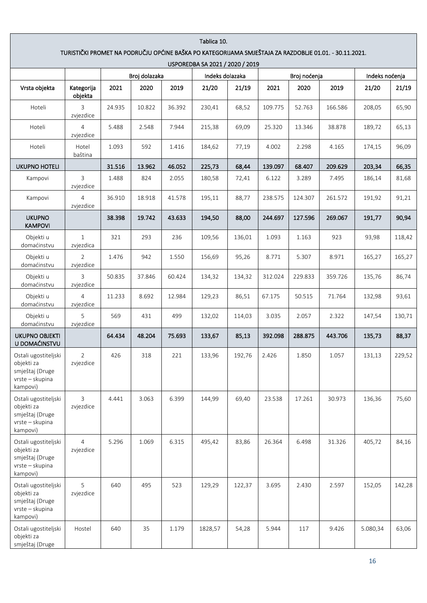| Tablica 10.                                                                                                                               |                             |        |               |        |                 |        |         |              |         |                |        |  |  |
|-------------------------------------------------------------------------------------------------------------------------------------------|-----------------------------|--------|---------------|--------|-----------------|--------|---------|--------------|---------|----------------|--------|--|--|
| TURISTIČKI PROMET NA PODRUČJU OPĆINE BAŠKA PO KATEGORIJAMA SMJEŠTAJA ZA RAZDOBLJE 01.01. - 30.11.2021.<br>USPOREDBA SA 2021 / 2020 / 2019 |                             |        |               |        |                 |        |         |              |         |                |        |  |  |
|                                                                                                                                           |                             |        | Broj dolazaka |        | Indeks dolazaka |        |         | Broj noćenja |         | Indeks noćenja |        |  |  |
| Vrsta objekta                                                                                                                             | Kategorija<br>objekta       | 2021   | 2020          | 2019   | 21/20           | 21/19  | 2021    | 2020         | 2019    | 21/20          | 21/19  |  |  |
| Hoteli                                                                                                                                    | 3<br>zvjezdice              | 24.935 | 10.822        | 36.392 | 230,41          | 68,52  | 109.775 | 52.763       | 166.586 | 208,05         | 65,90  |  |  |
| Hoteli                                                                                                                                    | $\overline{4}$<br>zvjezdice | 5.488  | 2.548         | 7.944  | 215,38          | 69,09  | 25.320  | 13.346       | 38.878  | 189,72         | 65,13  |  |  |
| Hoteli                                                                                                                                    | Hotel<br>baština            | 1.093  | 592           | 1.416  | 184,62          | 77,19  | 4.002   | 2.298        | 4.165   | 174,15         | 96,09  |  |  |
| <b>UKUPNO HOTELI</b>                                                                                                                      |                             | 31.516 | 13.962        | 46.052 | 225,73          | 68,44  | 139.097 | 68.407       | 209.629 | 203,34         | 66,35  |  |  |
| Kampovi                                                                                                                                   | 3<br>zvjezdice              | 1.488  | 824           | 2.055  | 180,58          | 72,41  | 6.122   | 3.289        | 7.495   | 186,14         | 81,68  |  |  |
| Kampovi                                                                                                                                   | $\overline{4}$<br>zvjezdice | 36.910 | 18.918        | 41.578 | 195,11          | 88,77  | 238.575 | 124.307      | 261.572 | 191,92         | 91,21  |  |  |
| <b>UKUPNO</b><br><b>KAMPOVI</b>                                                                                                           |                             | 38.398 | 19.742        | 43.633 | 194,50          | 88,00  | 244.697 | 127.596      | 269.067 | 191,77         | 90,94  |  |  |
| Objekti u<br>domaćinstvu                                                                                                                  | $\mathbf{1}$<br>zvjezdica   | 321    | 293           | 236    | 109,56          | 136,01 | 1.093   | 1.163        | 923     | 93,98          | 118,42 |  |  |
| Objekti u<br>domaćinstvu                                                                                                                  | $\overline{2}$<br>zvjezdice | 1.476  | 942           | 1.550  | 156,69          | 95,26  | 8.771   | 5.307        | 8.971   | 165,27         | 165,27 |  |  |
| Objekti u<br>domaćinstvu                                                                                                                  | 3<br>zvjezdice              | 50.835 | 37.846        | 60.424 | 134,32          | 134,32 | 312.024 | 229.833      | 359.726 | 135,76         | 86,74  |  |  |
| Objekti u<br>domaćinstvu                                                                                                                  | $\overline{4}$<br>zvjezdice | 11.233 | 8.692         | 12.984 | 129,23          | 86,51  | 67.175  | 50.515       | 71.764  | 132,98         | 93,61  |  |  |
| Objekti u<br>domaćinstvu                                                                                                                  | 5<br>zvjezdice              | 569    | 431           | 499    | 132,02          | 114,03 | 3.035   | 2.057        | 2.322   | 147,54         | 130,71 |  |  |
| <b>UKUPNO OBJEKTI</b><br>U DOMAĆINSTVU                                                                                                    |                             | 64.434 | 48.204        | 75.693 | 133,67          | 85,13  | 392.098 | 288.875      | 443.706 | 135,73         | 88,37  |  |  |
| Ostali ugostiteljski<br>objekti za<br>smještaj (Druge<br>vrste - skupina<br>kampovi)                                                      | 2<br>zvjezdice              | 426    | 318           | 221    | 133,96          | 192,76 | 2.426   | 1.850        | 1.057   | 131,13         | 229,52 |  |  |
| Ostali ugostiteljski<br>objekti za<br>smještaj (Druge<br>vrste - skupina<br>kampovi)                                                      | 3<br>zvjezdice              | 4.441  | 3.063         | 6.399  | 144,99          | 69,40  | 23.538  | 17.261       | 30.973  | 136,36         | 75,60  |  |  |
| Ostali ugostiteljski<br>objekti za<br>smještaj (Druge<br>vrste - skupina<br>kampovi)                                                      | 4<br>zvjezdice              | 5.296  | 1.069         | 6.315  | 495,42          | 83,86  | 26.364  | 6.498        | 31.326  | 405,72         | 84,16  |  |  |
| Ostali ugostiteljski<br>objekti za<br>smještaj (Druge<br>vrste - skupina<br>kampovi)                                                      | 5<br>zvjezdice              | 640    | 495           | 523    | 129,29          | 122,37 | 3.695   | 2.430        | 2.597   | 152,05         | 142,28 |  |  |
| Ostali ugostiteljski<br>objekti za<br>smještaj (Druge                                                                                     | Hostel                      | 640    | 35            | 1.179  | 1828,57         | 54,28  | 5.944   | 117          | 9.426   | 5.080,34       | 63,06  |  |  |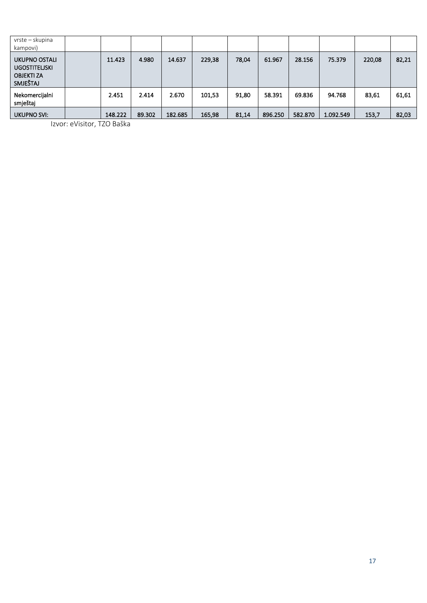| vrste – skupina<br>kampovi)                                            |         |        |         |        |       |         |         |           |        |       |
|------------------------------------------------------------------------|---------|--------|---------|--------|-------|---------|---------|-----------|--------|-------|
| UKUPNO OSTALI<br><b>UGOSTITELISKI</b><br><b>OBJEKTI ZA</b><br>SMJEŠTAJ | 11.423  | 4.980  | 14.637  | 229,38 | 78,04 | 61.967  | 28.156  | 75.379    | 220,08 | 82,21 |
| Nekomercijalni<br>smještaj                                             | 2.451   | 2.414  | 2.670   | 101,53 | 91,80 | 58.391  | 69.836  | 94.768    | 83,61  | 61,61 |
| <b>UKUPNO SVI:</b>                                                     | 148.222 | 89.302 | 182.685 | 165,98 | 81,14 | 896.250 | 582.870 | 1.092.549 | 153,7  | 82,03 |

Izvor: eVisitor, TZO Baška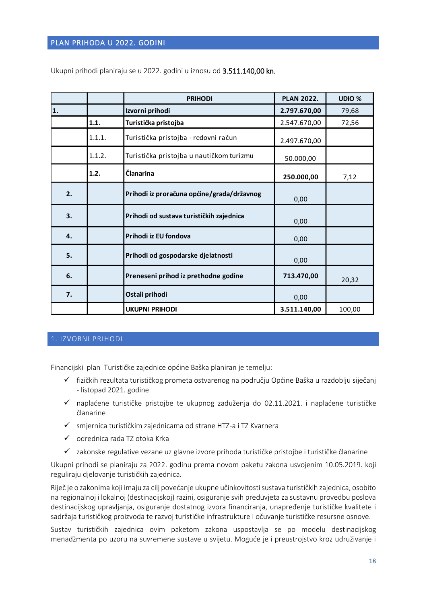### <span id="page-18-0"></span>PLAN PRIHODA U 2022. GODINI

|    |        | <b>PRIHODI</b>                             | <b>PLAN 2022.</b> | UDIO % |
|----|--------|--------------------------------------------|-------------------|--------|
| 1. |        | Izvorni prihodi                            | 2.797.670,00      | 79,68  |
|    | 1.1.   | Turistička pristojba                       | 2.547.670,00      | 72,56  |
|    | 1.1.1. | Turistička pristojba - redovni račun       | 2.497.670,00      |        |
|    | 1.1.2. | Turistička pristojba u nautičkom turizmu   | 50.000,00         |        |
|    | 1.2.   | <b>Članarina</b>                           | 250.000,00        | 7,12   |
| 2. |        | Prihodi iz proračuna općine/grada/državnog | 0,00              |        |
| 3. |        | Prihodi od sustava turističkih zajednica   | 0,00              |        |
| 4. |        | Prihodi iz EU fondova                      | 0,00              |        |
| 5. |        | Prihodi od gospodarske djelatnosti         | 0,00              |        |
| 6. |        | Preneseni prihod iz prethodne godine       | 713.470,00        | 20,32  |
| 7. |        | Ostali prihodi                             | 0,00              |        |
|    |        | <b>UKUPNI PRIHODI</b>                      | 3.511.140,00      | 100,00 |

Ukupni prihodi planiraju se u 2022. godini u iznosu od 3.511.140,00 kn.

### <span id="page-18-1"></span>1. IZVORNI PRIHODI

Financijski plan Turističke zajednice općine Baška planiran je temelju:

- ✓ fizičkih rezultata turističkog prometa ostvarenog na području Općine Baška u razdoblju siječanj - listopad 2021. godine
- ✓ naplaćene turističke pristojbe te ukupnog zaduženja do 02.11.2021. i naplaćene turističke članarine
- ✓ smjernica turističkim zajednicama od strane HTZ-a i TZ Kvarnera
- ✓ odrednica rada TZ otoka Krka
- ✓ zakonske regulative vezane uz glavne izvore prihoda turističke pristojbe i turističke članarine

Ukupni prihodi se planiraju za 2022. godinu prema novom paketu zakona usvojenim 10.05.2019. koji reguliraju djelovanje turističkih zajednica.

Riječ je o zakonima koji imaju za cilj povećanje ukupne učinkovitosti sustava turističkih zajednica, osobito na regionalnoj i lokalnoj (destinacijskoj) razini, osiguranje svih preduvjeta za sustavnu provedbu poslova destinacijskog upravljanja, osiguranje dostatnog izvora financiranja, unapređenje turističke kvalitete i sadržaja turističkog proizvoda te razvoj turističke infrastrukture i očuvanje turističke resursne osnove.

Sustav turističkih zajednica ovim paketom zakona uspostavlja se po modelu destinacijskog menadžmenta po uzoru na suvremene sustave u svijetu. Moguće je i preustrojstvo kroz udruživanje i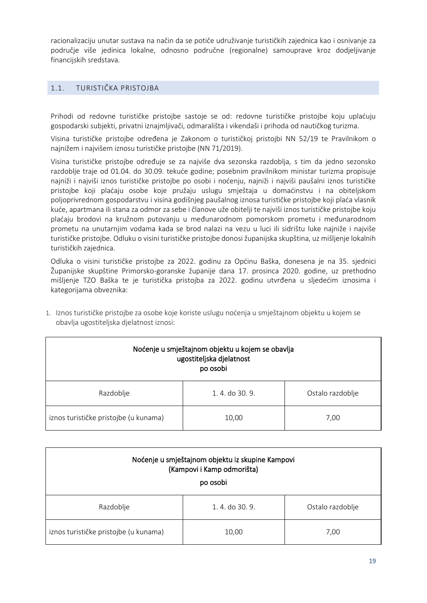racionalizaciju unutar sustava na način da se potiče udruživanje turističkih zajednica kao i osnivanje za područje više jedinica lokalne, odnosno područne (regionalne) samouprave kroz dodjeljivanje financijskih sredstava.

# <span id="page-19-0"></span>1.1. TURISTIČKA PRISTOJBA

Prihodi od redovne turističke pristojbe sastoje se od: redovne turističke pristojbe koju uplaćuju gospodarski subjekti, privatni iznajmljivači, odmarališta i vikendaši i prihoda od nautičkog turizma.

Visina turističke pristojbe određena je Zakonom o turističkoj pristojbi NN 52/19 te Pravilnikom o najnižem i najvišem iznosu turističke pristojbe (NN 71/2019).

Visina turističke pristojbe određuje se za najviše dva sezonska razdoblja, s tim da jedno sezonsko razdoblje traje od 01.04. do 30.09. tekuće godine; posebnim pravilnikom ministar turizma propisuje najniži i najviši iznos turističke pristojbe po osobi i noćenju, najniži i najviši paušalni iznos turističke pristojbe koji plaćaju osobe koje pružaju uslugu smještaja u domaćinstvu i na obiteljskom poljoprivrednom gospodarstvu i visina godišnjeg paušalnog iznosa turističke pristojbe koji plaća vlasnik kuće, apartmana ili stana za odmor za sebe i članove uže obitelji te najviši iznos turističke pristojbe koju plaćaju brodovi na kružnom putovanju u međunarodnom pomorskom prometu i međunarodnom prometu na unutarnjim vodama kada se brod nalazi na vezu u luci ili sidrištu luke najniže i najviše turističke pristojbe. Odluku o visini turističke pristojbe donosi županijska skupština, uz mišljenje lokalnih turističkih zajednica.

Odluka o visini turističke pristojbe za 2022. godinu za Općinu Baška, donesena je na 35. sjednici Županijske skupštine Primorsko-goranske županije dana 17. prosinca 2020. godine, uz prethodno mišljenje TZO Baška te je turistička pristojba za 2022. godinu utvrđena u sljedećim iznosima i kategorijama obveznika:

| Noćenje u smještajnom objektu u kojem se obavlja<br>ugostiteljska djelatnost<br>po osobi |               |                  |  |  |  |  |  |  |
|------------------------------------------------------------------------------------------|---------------|------------------|--|--|--|--|--|--|
| Razdoblje                                                                                | 1.4. do 30.9. | Ostalo razdoblje |  |  |  |  |  |  |
| iznos turističke pristojbe (u kunama)                                                    | 10,00         | 7,00             |  |  |  |  |  |  |

| 1. Iznos turističke pristojbe za osobe koje koriste uslugu noćenja u smještajnom objektu u kojem se |
|-----------------------------------------------------------------------------------------------------|
| obavlja ugostiteljska djelatnost iznosi:                                                            |

| Noćenje u smještajnom objektu iz skupine Kampovi<br>(Kampovi i Kamp odmorišta) |               |                  |  |  |  |  |  |  |  |
|--------------------------------------------------------------------------------|---------------|------------------|--|--|--|--|--|--|--|
| po osobi                                                                       |               |                  |  |  |  |  |  |  |  |
| Razdoblje                                                                      | 1.4. do 30.9. | Ostalo razdoblje |  |  |  |  |  |  |  |
| iznos turističke pristojbe (u kunama)                                          | 10,00         | 7,00             |  |  |  |  |  |  |  |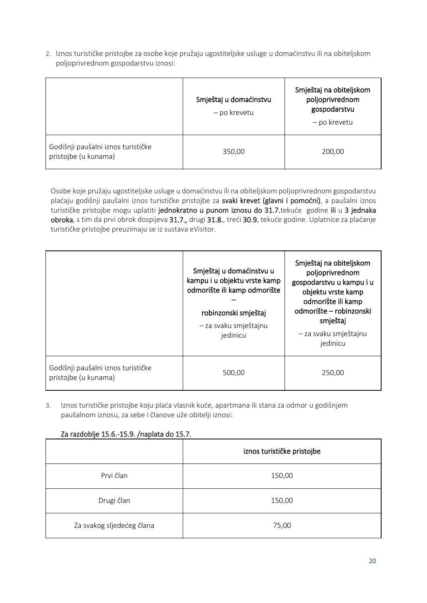2. Iznos turističke pristojbe za osobe koje pružaju ugostiteljske usluge u domaćinstvu ili na obiteljskom poljoprivrednom gospodarstvu iznosi:

|                                                            | Smještaj u domaćinstvu<br>- po krevetu | Smještaj na obiteljskom<br>poljoprivrednom<br>gospodarstvu<br>- po krevetu |
|------------------------------------------------------------|----------------------------------------|----------------------------------------------------------------------------|
| Godišnji paušalni iznos turističke<br>pristojbe (u kunama) | 350,00                                 | 200,00                                                                     |

Osobe koje pružaju ugostiteljske usluge u domaćinstvu ili na obiteljskom poljoprivrednom gospodarstvu plaćaju godišnji paušalni iznos turističke pristojbe za svaki krevet (glavni i pomoćni), a paušalni iznos turističke pristojbe mogu uplatiti jednokratno u punom iznosu do 31.7.tekuće godine ili u 3 jednaka obroka, s tim da prvi obrok dospijeva 31.7., drugi 31.8., treći 30.9. tekuće godine. Uplatnice za plaćanje turističke pristojbe preuzimaju se iz sustava eVisitor.

|                                                            | Smještaj u domaćinstvu u<br>kampu i u objektu vrste kamp<br>odmorište ili kamp odmorište<br>robinzonski smještaj<br>- za svaku smještajnu<br>jedinicu | Smještaj na obiteljskom<br>poljoprivrednom<br>gospodarstvu u kampu i u<br>objektu vrste kamp<br>odmorište ili kamp<br>odmorište – robinzonski<br>smještaj<br>- za svaku smještajnu<br>jedinicu |
|------------------------------------------------------------|-------------------------------------------------------------------------------------------------------------------------------------------------------|------------------------------------------------------------------------------------------------------------------------------------------------------------------------------------------------|
| Godišnji paušalni iznos turističke<br>pristojbe (u kunama) | 500,00                                                                                                                                                | 250.00                                                                                                                                                                                         |

3. Iznos turističke pristojbe koju plaća vlasnik kuće, apartmana ili stana za odmor u godišnjem paušalnom iznosu, za sebe i članove uže obitelji iznosi:

|                           | iznos turističke pristojbe |  |  |  |  |  |  |
|---------------------------|----------------------------|--|--|--|--|--|--|
| Prvi član                 | 150,00                     |  |  |  |  |  |  |
| Drugi član                | 150,00                     |  |  |  |  |  |  |
| Za svakog sljedećeg člana | 75,00                      |  |  |  |  |  |  |

### Za razdoblje 15.6.-15.9. /naplata do 15.7.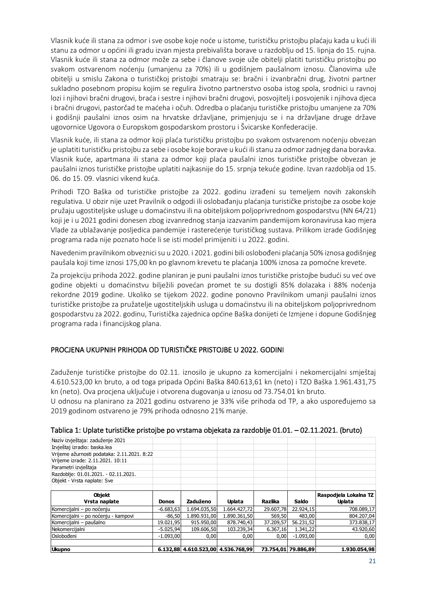Vlasnik kuće ili stana za odmor i sve osobe koje noće u istome, turističku pristojbu plaćaju kada u kući ili stanu za odmor u općini ili gradu izvan mjesta prebivališta borave u razdoblju od 15. lipnja do 15. rujna. Vlasnik kuće ili stana za odmor može za sebe i članove svoje uže obitelji platiti turističku pristojbu po svakom ostvarenom noćenju (umanjenu za 70%) ili u godišnjem paušalnom iznosu. Članovima uže obitelji u smislu Zakona o turističkoj pristojbi smatraju se: bračni i izvanbračni drug, životni partner sukladno posebnom propisu kojim se regulira životno partnerstvo osoba istog spola, srodnici u ravnoj lozi i njihovi bračni drugovi, braća i sestre i njihovi bračni drugovi, posvojitelj i posvojenik i njihova djeca i bračni drugovi, pastorčad te maćeha i očuh. Odredba o plaćanju turističke pristojbu umanjene za 70% i godišnji paušalni iznos osim na hrvatske državljane, primjenjuju se i na državljane druge države ugovornice Ugovora o Europskom gospodarskom prostoru i Švicarske Konfederacije.

Vlasnik kuće, ili stana za odmor koji plaća turističku pristojbu po svakom ostvarenom noćenju obvezan je uplatiti turističku pristojbu za sebe i osobe koje borave u kući ili stanu za odmor zadnjeg dana boravka. Vlasnik kuće, apartmana ili stana za odmor koji plaća paušalni iznos turističke pristojbe obvezan je paušalni iznos turističke pristojbe uplatiti najkasnije do 15. srpnja tekuće godine. Izvan razdoblja od 15. 06. do 15. 09. vlasnici vikend kuća.

Prihodi TZO Baška od turističke pristojbe za 2022. godinu izrađeni su temeljem novih zakonskih regulativa. U obzir nije uzet Pravilnik o odgodi ili oslobađanju plaćanja turističke pristojbe za osobe koje pružaju ugostiteljske usluge u domaćinstvu ili na obiteljskom poljoprivrednom gospodarstvu (NN 64/21) koji je i u 2021 godini donesen zbog izvanrednog stanja izazvanim pandemijom koronavirusa kao mjera Vlade za ublažavanje posljedica pandemije i rasterećenje turističkog sustava. Prilikom izrade Godišnjeg programa rada nije poznato hoće li se isti model primijeniti i u 2022. godini.

Navedenim pravilnikom obveznici su u 2020. i 2021. godini bili oslobođeni plaćanja 50% iznosa godišnjeg paušala koji time iznosi 175,00 kn po glavnom krevetu te plaćanja 100% iznosa za pomoćne krevete.

Za projekciju prihoda 2022. godine planiran je puni paušalni iznos turističke pristojbe budući su već ove godine objekti u domaćinstvu bilježili povećan promet te su dostigli 85% dolazaka i 88% noćenja rekordne 2019 godine. Ukoliko se tijekom 2022. godine ponovno Pravilnikom umanji paušalni iznos turističke pristojbe za pružatelje ugostiteljskih usluga u domaćinstvu ili na obiteljskom poljoprivrednom gospodarstvu za 2022. godinu, Turistička zajednica općine Baška donijeti će Izmjene i dopune Godišnjeg programa rada i financijskog plana.

### PROCJENA UKUPNIH PRIHODA OD TURISTIČKE PRISTOJBE U 2022. GODINI

Zaduženje turističke pristojbe do 02.11. iznosilo je ukupno za komercijalni i nekomercijalni smještaj 4.610.523,00 kn bruto, a od toga pripada Općini Baška 840.613,61 kn (neto) i TZO Baška 1.961.431,75 kn (neto). Ova procjena uključuje i otvorena dugovanja u iznosu od 73.754.01 kn bruto.

U odnosu na planirano za 2021 godinu ostvareno je 33% više prihoda od TP, a ako uspoređujemo sa 2019 godinom ostvareno je 79% prihoda odnosno 21% manje.

| <b>Ukupno</b>                               |              |              | 6.132,88 4.610.523,00 4.536.768,99 |           | 73.754,01 79.886,89 | 1.930.054,98                           |
|---------------------------------------------|--------------|--------------|------------------------------------|-----------|---------------------|----------------------------------------|
|                                             |              |              |                                    |           |                     |                                        |
| Oslobođeni                                  | $-1.093.00$  | 0,00         | 0,00                               | 0,00      | $-1.093.00$         | 0,00                                   |
| Nekomercijalni                              | $-5.025,94$  | 109.606,50   | 103.239,34                         | 6.367,16  | 1.341,22            | 43.920,60                              |
| Komercijalni - paušalno                     | 19.021,95    | 915.950,00   | 878.740,43                         | 37.209,57 | 56.231,52           | 373.838,17                             |
| Komercijalni - po noćenju - kampovi         | $-86,50$     | 1.890.931,00 | 1.890.361,50                       | 569,50    | 483,00              | 804.207,04                             |
| Komercijalni - po noćenju                   | $-6.683,63$  | 1.694.035.50 | 1.664.427.72                       | 29,607.78 | 22.924,15           | 708.089,17                             |
| <b>Objekt</b><br>Vrsta naplate              | <b>Donos</b> | Zaduženo     | <b>Uplata</b>                      | Razlika   | <b>Saldo</b>        | Raspodjela Lokalna TZ<br><b>Uplata</b> |
|                                             |              |              |                                    |           |                     |                                        |
| Objekt - Vrsta naplate: Sve                 |              |              |                                    |           |                     |                                        |
| Razdoblje: 01.01.2021. - 02.11.2021.        |              |              |                                    |           |                     |                                        |
| Parametri izvještaja                        |              |              |                                    |           |                     |                                        |
| Vrijeme izrade: 2.11.2021. 10:11            |              |              |                                    |           |                     |                                        |
| Vrijeme ažurnosti podataka: 2.11.2021. 8:22 |              |              |                                    |           |                     |                                        |
| Izvještaj izradio: baska.lea                |              |              |                                    |           |                     |                                        |
| Naziv izvještaja: zaduženje 2021            |              |              |                                    |           |                     |                                        |
|                                             |              |              |                                    |           |                     |                                        |

#### Tablica 1: Uplate turističke pristojbe po vrstama objekata za razdoblje 01.01. – 02.11.2021. (bruto)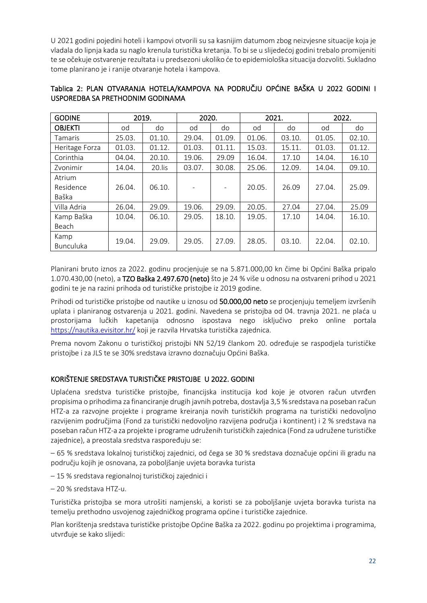U 2021 godini pojedini hoteli i kampovi otvorili su sa kasnijim datumom zbog neizvjesne situacije koja je vladala do lipnja kada su naglo krenula turistička kretanja. To bi se u slijedećoj godini trebalo promijeniti te se očekuje ostvarenje rezultata i u predsezoni ukoliko će to epidemiološka situacija dozvoliti. Sukladno tome planirano je i ranije otvaranje hotela i kampova.

| <b>GODINE</b>    |        | 2019.  | 2020.  |        | 2021.  |        | 2022.  |        |
|------------------|--------|--------|--------|--------|--------|--------|--------|--------|
| <b>OBJEKTI</b>   | od     | do     | od     | do     | od     | do     | od     | do     |
| <b>Tamaris</b>   | 25.03. | 01.10. | 29.04. | 01.09. | 01.06. | 03.10. | 01.05. | 02.10. |
| Heritage Forza   | 01.03. | 01.12. | 01.03. | 01.11. | 15.03. | 15.11. | 01.03. | 01.12. |
| Corinthia        | 04.04. | 20.10. | 19.06. | 29.09  | 16.04. | 17.10  | 14.04. | 16.10  |
| Zvonimir         | 14.04. | 20.lis | 03.07. | 30.08. | 25.06. | 12.09. | 14.04. | 09.10. |
| Atrium           |        |        |        |        |        |        |        |        |
| Residence        | 26.04. | 06.10. |        | -      | 20.05. | 26.09  | 27.04. | 25.09. |
| Baška            |        |        |        |        |        |        |        |        |
| Villa Adria      | 26.04. | 29.09. | 19.06. | 29.09. | 20.05. | 27.04  | 27.04. | 25.09  |
| Kamp Baška       | 10.04. | 06.10. | 29.05. | 18.10. | 19.05. | 17.10  | 14.04. | 16.10. |
| Beach            |        |        |        |        |        |        |        |        |
| Kamp             | 19.04. | 29.09. | 29.05. | 27.09. | 28.05. | 03.10. | 22.04. | 02.10. |
| <b>Bunculuka</b> |        |        |        |        |        |        |        |        |

# Tablica 2: PLAN OTVARANJA HOTELA/KAMPOVA NA PODRUČJU OPĆINE BAŠKA U 2022 GODINI I USPOREDBA SA PRETHODNIM GODINAMA

Planirani bruto iznos za 2022. godinu procjenjuje se na 5.871.000,00 kn čime bi Općini Baška pripalo 1.070.430,00 (neto), a TZO Baška 2.497.670 (neto) što je 24 % više u odnosu na ostvareni prihod u 2021 godini te je na razini prihoda od turističke pristojbe iz 2019 godine.

Prihodi od turističke pristojbe od nautike u iznosu od 50.000,00 neto se procjenjuju temeljem izvršenih uplata i planiranog ostvarenja u 2021. godini. Navedena se pristojba od 04. travnja 2021. ne plaća u prostorijama lučkih kapetanija odnosno ispostava nego isključivo preko online portala <https://nautika.evisitor.hr/> koji je razvila Hrvatska turistička zajednica.

Prema novom Zakonu o turističkoj pristojbi NN 52/19 člankom 20. određuje se raspodjela turističke pristojbe i za JLS te se 30% sredstava izravno doznačuju Općini Baška.

# KORIŠTENJE SREDSTAVA TURISTIČKE PRISTOJBE U 2022. GODINI

Uplaćena sredstva turističke pristojbe, financijska institucija kod koje je otvoren račun utvrđen propisima o prihodima za financiranje drugih javnih potreba, dostavlja 3,5 % sredstava na poseban račun HTZ-a za razvojne projekte i programe kreiranja novih turističkih programa na turistički nedovoljno razvijenim područjima (Fond za turistički nedovoljno razvijena područja i kontinent) i 2 % sredstava na poseban račun HTZ-a za projekte i programe udruženih turističkih zajednica (Fond za udružene turističke zajednice), a preostala sredstva raspoređuju se:

– 65 % sredstava lokalnoj turističkoj zajednici, od čega se 30 % sredstava doznačuje općini ili gradu na području kojih je osnovana, za poboljšanje uvjeta boravka turista

– 15 % sredstava regionalnoj turističkoj zajednici i

– 20 % sredstava HTZ-u.

Turistička pristojba se mora utrošiti namjenski, a koristi se za poboljšanje uvjeta boravka turista na temelju prethodno usvojenog zajedničkog programa općine i turističke zajednice.

Plan korištenja sredstava turističke pristojbe Općine Baška za 2022. godinu po projektima i programima, utvrđuje se kako slijedi: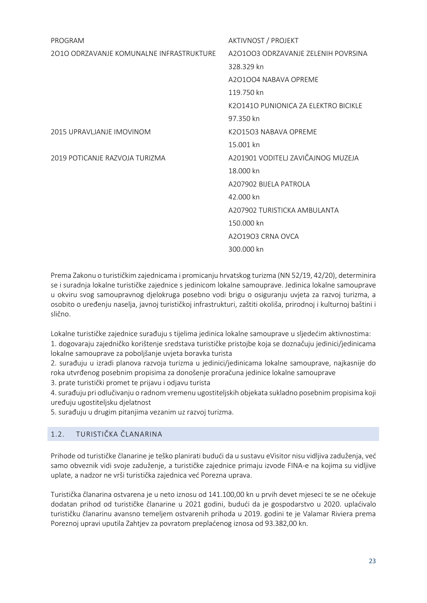| PROGRAM                                  | AKTIVNOST / PROJEKT                    |
|------------------------------------------|----------------------------------------|
| 2010 ODRZAVANJE KOMUNALNE INFRASTRUKTURE | A201003 ODRZAVANJE ZELENIH POVRSINA    |
|                                          | 328.329 kn                             |
|                                          | A201004 NABAVA OPREME                  |
|                                          | 119.750 kn                             |
|                                          | K201410 PUNIONICA ZA FI FKTRO BICIKI F |
|                                          | 97.350 kn                              |
| 2015 UPRAVLJANJE IMOVINOM                | K2O15O3 NABAVA OPREME                  |
|                                          | 15.001 kn                              |
| 2019 POTICANJE RAZVOJA TURIZMA           | A201901 VODITELJ ZAVIČAJNOG MUZEJA     |
|                                          | 18.000 kn                              |
|                                          | A207902 BIJFI A PATROI A               |
|                                          | 42.000 kn                              |
|                                          | A207902 TURISTICKA AMBUI ANTA          |
|                                          | 150.000 kn                             |
|                                          | A201903 CRNA OVCA                      |
|                                          | 300.000 kn                             |
|                                          |                                        |

Prema Zakonu o turističkim zajednicama i promicanju hrvatskog turizma (NN 52/19, 42/20), determinira se i suradnja lokalne turističke zajednice s jedinicom lokalne samouprave. Jedinica lokalne samouprave u okviru svog samoupravnog djelokruga posebno vodi brigu o osiguranju uvjeta za razvoj turizma, a osobito o uređenju naselja, javnoj turističkoj infrastrukturi, zaštiti okoliša, prirodnoj i kulturnoj baštini i slično.

Lokalne turističke zajednice surađuju s tijelima jedinica lokalne samouprave u sljedećim aktivnostima: 1. dogovaraju zajedničko korištenje sredstava turističke pristojbe koja se doznačuju jedinici/jedinicama

lokalne samouprave za poboljšanje uvjeta boravka turista

2. surađuju u izradi planova razvoja turizma u jedinici/jedinicama lokalne samouprave, najkasnije do roka utvrđenog posebnim propisima za donošenje proračuna jedinice lokalne samouprave

3. prate turistički promet te prijavu i odjavu turista

4. surađuju pri odlučivanju o radnom vremenu ugostiteljskih objekata sukladno posebnim propisima koji uređuju ugostiteljsku djelatnost

5. surađuju u drugim pitanjima vezanim uz razvoj turizma.

### <span id="page-23-0"></span>1.2. TURISTIČKA ČLANARINA

Prihode od turističke članarine je teško planirati budući da u sustavu eVisitor nisu vidljiva zaduženja, već samo obveznik vidi svoje zaduženje, a turističke zajednice primaju izvode FINA-e na kojima su vidljive uplate, a nadzor ne vrši turistička zajednica već Porezna uprava.

Turistička članarina ostvarena je u neto iznosu od 141.100,00 kn u prvih devet mjeseci te se ne očekuje dodatan prihod od turističke članarine u 2021 godini, budući da je gospodarstvo u 2020. uplaćivalo turističku članarinu avansno temeljem ostvarenih prihoda u 2019. godini te je Valamar Riviera prema Poreznoj upravi uputila Zahtjev za povratom preplaćenog iznosa od 93.382,00 kn.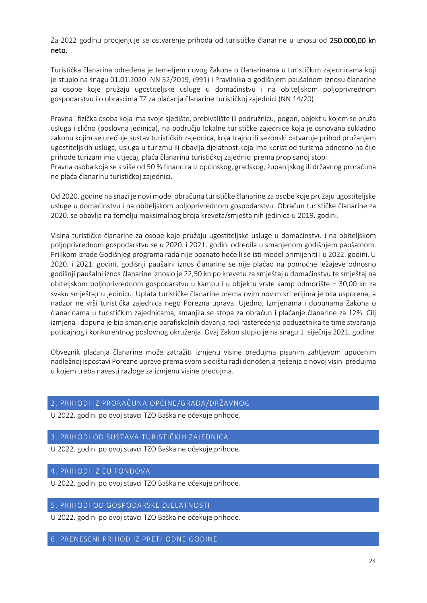Za 2022 godinu procjenjuje se ostvarenje prihoda od turističke članarine u iznosu od 250.000,00 kn neto.

Turistička članarina određena je temeljem novog Zakona o članarinama u turističkim zajednicama koji je stupio na snagu 01.01.2020. NN 52/2019, (991) i Pravilnika o godišnjem paušalnom iznosu članarine za osobe koje pružaju ugostiteljske usluge u domaćinstvu i na obiteljskom poljoprivrednom gospodarstvu i o obrascima TZ za plaćanja članarine turističkoj zajednici (NN 14/20).

Pravna i fizička osoba koja ima svoje sjedište, prebivalište ili podružnicu, pogon, objekt u kojem se pruža usluga i slično (poslovna jedinica), na području lokalne turističke zajednice koja je osnovana sukladno zakonu kojim se uređuje sustav turističkih zajednica, koja trajno ili sezonski ostvaruje prihod pružanjem ugostiteljskih usluga, usluga u turizmu ili obavlja djelatnost koja ima korist od turizma odnosno na čije prihode turizam ima utjecaj, plaća članarinu turističkoj zajednici prema propisanoj stopi. Pravna osoba koja se s više od 50 % financira iz općinskog, gradskog, županijskog ili državnog proračuna ne plaća članarinu turističkoj zajednici.

Od 2020. godine na snazi je novi model obračuna turističke članarine za osobe koje pružaju ugostiteljske usluge u domaćinstvu i na obiteljskom poljoprivrednom gospodarstvu. Obračun turističke članarine za 2020. se obavlja na temelju maksimalnog broja kreveta/smještajnih jedinica u 2019. godini.

Visina turističke članarine za osobe koje pružaju ugostiteljske usluge u domaćinstvu i na obiteljskom poljoprivrednom gospodarstvu se u 2020. i 2021. godini odredila u smanjenom godišnjem paušalnom. Prilikom izrade Godišnjeg programa rada nije poznato hoće li se isti model primijeniti i u 2022. godini. U 2020. i 2021. godini, godišnji paušalni iznos članarine se nije plaćao na pomoćne ležajeve odnosno godišnji paušalni iznos članarine iznosio je 22,50 kn po krevetu za smještaj u domaćinstvu te smještaj na obiteljskom poljoprivrednom gospodarstvu u kampu i u objektu vrste kamp odmorište – 30,00 kn za svaku smještajnu jedinicu. Uplata turističke članarine prema ovim novim kriterijima je bila usporena, a nadzor ne vrši turistička zajednica nego Porezna uprava. Ujedno, Izmjenama i dopunama Zakona o članarinama u turističkim zajednicama, smanjila se stopa za obračun i plaćanje članarine za 12%. Cilj izmjena i dopuna je bio smanjenje parafiskalnih davanja radi rasterećenja poduzetnika te time stvaranja poticajnog i konkurentnog poslovnog okruženja. Ovaj Zakon stupio je na snagu 1. siječnja 2021. godine.

Obveznik plaćanja članarine može zatražiti izmjenu visine predujma pisanim zahtjevom upućenim nadležnoj ispostavi Porezne uprave prema svom sjedištu radi donošenja rješenja o novoj visini predujma u kojem treba navesti razloge za izmjenu visine predujma.

### <span id="page-24-0"></span>2. PRIHODI IZ PRORAČUNA OPĆINE/GRADA/DRŽAVNOG

U 2022. godini po ovoj stavci TZO Baška ne očekuje prihode.

#### <span id="page-24-1"></span>3. PRIHODI OD SUSTAVA TURISTIČKIH ZAJEDNICA

U 2022. godini po ovoj stavci TZO Baška ne očekuje prihode.

#### <span id="page-24-2"></span>4. PRIHODI IZ EU FONDOVA

U 2022. godini po ovoj stavci TZO Baška ne očekuje prihode.

#### <span id="page-24-3"></span>5. PRIHODI OD GOSPODARSKE DJELATNOSTI

U 2022. godini po ovoj stavci TZO Baška ne očekuje prihode.

#### <span id="page-24-4"></span>6. PRENESENI PRIHOD IZ PRETHODNE GODINE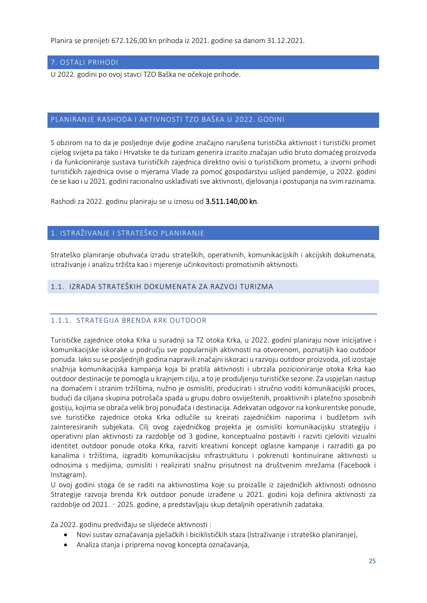Planira se prenijeti 672.126,00 kn prihoda iz 2021. godine sa danom 31.12.2021.

### <span id="page-25-0"></span>7. OSTALI PRIHODI

U 2022. godini po ovoj stavci TZO Baška ne očekuje prihode.

#### <span id="page-25-1"></span>PLANIRANJE RASHODA I AKTIVNOSTI TZO BAŠKA U 2022. GODINI

S obzirom na to da je posljednje dvije godine značajno narušena turistička aktivnost i turistički promet cijelog svijeta pa tako i Hrvatske te da turizam generira izrazito značajan udio bruto domaćeg proizvoda i da funkcioniranje sustava turističkih zajednica direktno ovisi o turističkom prometu, a izvorni prihodi turističkih zajednica ovise o mjerama Vlade za pomoć gospodarstvu uslijed pandemije, u 2022. godini će se kao i u 2021. godini racionalno usklađivati sve aktivnosti, djelovanja i postupanja na svim razinama.

Rashodi za 2022. godinu planiraju se u iznosu od 3.511.140,00 kn.

#### <span id="page-25-2"></span>1. ISTRAŽIVANJE I STRATEŠKO PLANIRANJE

Strateško planiranje obuhvaća izradu strateških, operativnih, komunikacijskih i akcijskih dokumenata, istraživanje i analizu tržišta kao i mjerenje učinkovitosti promotivnih aktivnosti.

### <span id="page-25-3"></span>1.1. IZRADA STRATEŠKIH DOKUMENATA ZA RAZVOJ TURIZMA

### <span id="page-25-4"></span>1.1.1. STRATEGIJA BRENDA KRK OUTDOOR

Turističke zajednice otoka Krka u suradnji sa TZ otoka Krka, u 2022. godini planiraju nove inicijative i komunikacijske iskorake u području sve popularnijih aktivnosti na otvorenom, poznatijih kao outdoor ponuda. Iako su se posljednjih godina napravili značajni iskoraci u razvoju outdoor proizvoda, još izostaje snažnija komunikacijska kampanja koja bi pratila aktivnosti i ubrzala pozicioniranje otoka Krka kao outdoor destinacije te pomogla u krajnjem cilju, a to je produljenju turističke sezone. Za uspješan nastup na domaćem i stranim tržištima, nužno je osmisliti, producirati i stručno voditi komunikacijski proces, budući da ciljana skupina potrošača spada u grupu dobro osviještenih, proaktivnih i platežno sposobnih gostiju, kojima se obraća velik broj ponuđača i destinacija. Adekvatan odgovor na konkurentske ponude, sve turističke zajednice otoka Krka odlučile su kreirati zajedničkim naporima i budžetom svih zainteresiranih subjekata. Cilj ovog zajedničkog projekta je osmisliti komunikacijsku strategiju i operativni plan aktivnosti za razdoblje od 3 godine, konceptualno postaviti i razviti cjeloviti vizualni identitet outdoor ponude otoka Krka, razviti kreativni koncept oglasne kampanje i razraditi ga po kanalima i tržištima, izgraditi komunikacijsku infrastrukturu i pokrenuti kontinuirane aktivnosti u odnosima s medijima, osmisliti i realizirati snažnu prisutnost na društvenim mrežama (Facebook i Instagram).

U ovoj godini stoga će se raditi na aktivnostima koje su proizašle iz zajedničkih aktivnosti odnosno Strategije razvoja brenda Krk outdoor ponude izrađene u 2021. godini koja definira aktivnosti za razdoblje od 2021. – 2025. godine, a predstavljaju skup detaljnih operativnih zadataka.

Za 2022. godinu predviđaju se slijedeće aktivnosti :

- Novi sustav označavanja pješačkih i biciklističkih staza (Istraživanje i strateško planiranje),
- Analiza stanja i priprema novog koncepta označavanja,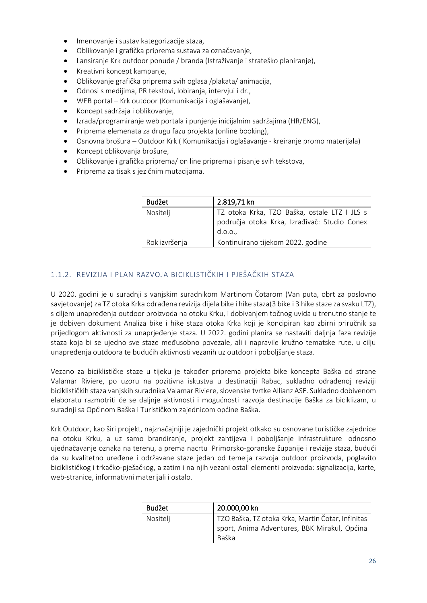- Imenovanje i sustav kategorizacije staza,
- Oblikovanje i grafička priprema sustava za označavanje,
- Lansiranje Krk outdoor ponude / branda (Istraživanje i strateško planiranje),
- Kreativni koncept kampanje,
- Oblikovanje grafička priprema svih oglasa /plakata/ animacija,
- Odnosi s medijima, PR tekstovi, lobiranja, intervjui i dr.,
- WEB portal Krk outdoor (Komunikacija i oglašavanje),
- Koncept sadržaja i oblikovanje,
- Izrada/programiranje web portala i punjenje inicijalnim sadržajima (HR/ENG),
- Priprema elemenata za drugu fazu projekta (online booking),
- Osnovna brošura Outdoor Krk ( Komunikacija i oglašavanje kreiranje promo materijala)
- Koncept oblikovanja brošure,
- Oblikovanje i grafička priprema/ on line priprema i pisanje svih tekstova,
- Priprema za tisak s jezičnim mutacijama.

| <b>Budžet</b> | 2.819,71 kn                                                                                            |
|---------------|--------------------------------------------------------------------------------------------------------|
| Nositelj      | TZ otoka Krka, TZO Baška, ostale LTZ I JLS s<br>područja otoka Krka, Izrađivač: Studio Conex<br>d.0.0. |
| Rok izvršenja | Kontinuirano tijekom 2022. godine                                                                      |

# <span id="page-26-0"></span>1.1.2. REVIZIJA I PLAN RAZVOJA BICIKLISTIČKIH I PJEŠAČKIH STAZA

U 2020. godini je u suradnji s vanjskim suradnikom Martinom Čotarom (Van puta, obrt za poslovno savjetovanje) za TZ otoka Krka odrađena revizija dijela bike i hike staza(3 bike i 3 hike staze za svaku LTZ), s ciljem unapređenja outdoor proizvoda na otoku Krku, i dobivanjem točnog uvida u trenutno stanje te je dobiven dokument Analiza bike i hike staza otoka Krka koji je koncipiran kao zbirni priručnik sa prijedlogom aktivnosti za unaprjeđenje staza. U 2022. godini planira se nastaviti daljnja faza revizije staza koja bi se ujedno sve staze međusobno povezale, ali i napravile kružno tematske rute, u cilju unapređenja outdoora te budućih aktivnosti vezanih uz outdoor i poboljšanje staza.

Vezano za biciklističke staze u tijeku je također priprema projekta bike koncepta Baška od strane Valamar Riviere, po uzoru na pozitivna iskustva u destinaciji Rabac, sukladno odrađenoj reviziji biciklističkih staza vanjskih suradnika Valamar Riviere, slovenske tvrtke Allianz ASE. Sukladno dobivenom elaboratu razmotriti će se daljnje aktivnosti i mogućnosti razvoja destinacije Baška za biciklizam, u suradnji sa Općinom Baška i Turističkom zajednicom općine Baška.

Krk Outdoor, kao širi projekt, najznačajniji je zajednički projekt otkako su osnovane turističke zajednice na otoku Krku, a uz samo brandiranje, projekt zahtijeva i poboljšanje infrastrukture odnosno ujednačavanje oznaka na terenu, a prema nacrtu Primorsko-goranske županije i revizije staza, budući da su kvalitetno uređene i održavane staze jedan od temelja razvoja outdoor proizvoda, poglavito biciklističkog i trkačko-pješačkog, a zatim i na njih vezani ostali elementi proizvoda: signalizacija, karte, web-stranice, informativni materijali i ostalo.

| Budžet   | 20.000,00 kn                                                                                               |
|----------|------------------------------------------------------------------------------------------------------------|
| Nositelj | TZO Baška, TZ otoka Krka, Martin Čotar, Infinitas<br>sport, Anima Adventures, BBK Mirakul, Općina<br>Baška |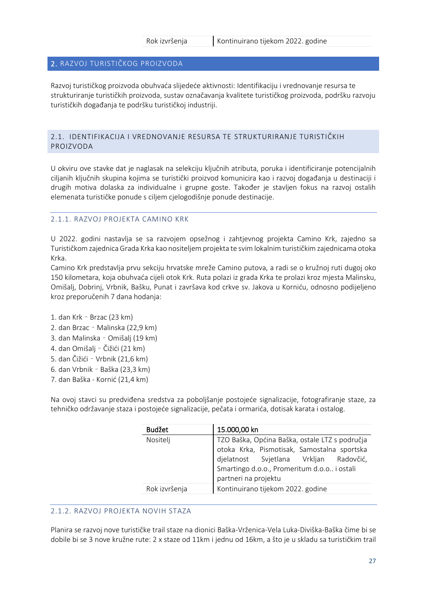#### <span id="page-27-0"></span>2. RAZVOJ TURISTIČKOG PROIZVODA

Razvoj turističkog proizvoda obuhvaća slijedeće aktivnosti: Identifikaciju i vrednovanje resursa te strukturiranje turističkih proizvoda, sustav označavanja kvalitete turističkog proizvoda, podršku razvoju turističkih događanja te podršku turističkoj industriji.

#### <span id="page-27-1"></span>2.1. IDENTIFIKACIJA I VREDNOVANJE RESURSA TE STRUKTURIRANJE TURISTIČKIH PROIZVODA

U okviru ove stavke dat je naglasak na selekciju ključnih atributa, poruka i identificiranje potencijalnih ciljanih ključnih skupina kojima se turistički proizvod komunicira kao i razvoj događanja u destinaciji i drugih motiva dolaska za individualne i grupne goste. Također je stavljen fokus na razvoj ostalih elemenata turističke ponude s ciljem cjelogodišnje ponude destinacije.

#### <span id="page-27-2"></span>2.1.1. RAZVOJ PROJEKTA CAMINO KRK

U 2022. godini nastavlja se sa razvojem opsežnog i zahtjevnog projekta Camino Krk, zajedno sa Turističkom zajednica Grada Krka kao nositeljem projekta te svim lokalnim turističkim zajednicama otoka Krka.

Camino Krk predstavlja prvu sekciju hrvatske mreže Camino putova, a radi se o kružnoj ruti dugoj oko 150 kilometara, koja obuhvaća cijeli otok Krk. Ruta polazi iz grada Krka te prolazi kroz mjesta Malinsku, Omišalj, Dobrinj, Vrbnik, Bašku, Punat i završava kod crkve sv. Jakova u Korniću, odnosno podijeljeno kroz preporučenih 7 dana hodanja:

- 1. dan Krk Brzac (23 km)
- 2. dan Brzac Malinska (22,9 km)
- 3. dan Malinska Omišalj (19 km)
- 4. dan Omišalj Čižići (21 km)
- 5. dan Čižići Vrbnik (21,6 km)
- 6. dan Vrbnik Baška (23,3 km)
- 7. dan Baška Kornić (21,4 km)

Na ovoj stavci su predviđena sredstva za poboljšanje postojeće signalizacije, fotografiranje staze, za tehničko održavanje staza i postojeće signalizacije, pečata i ormarića, dotisak karata i ostalog.

| <b>Budžet</b> | 15.000,00 kn                                                                                                                                                                           |  |
|---------------|----------------------------------------------------------------------------------------------------------------------------------------------------------------------------------------|--|
| Nositelj      |                                                                                                                                                                                        |  |
|               | TZO Baška, Općina Baška, ostale LTZ s područja<br>otoka Krka, Pismotisak, Samostalna sportska<br>djelatnost Svjetlana Vrkljan Radovčić,<br>Smartingo d.o.o., Promeritum d.o.o i ostali |  |
|               |                                                                                                                                                                                        |  |
|               | partneri na projektu                                                                                                                                                                   |  |
| Rok izvršenja | Kontinuirano tijekom 2022. godine                                                                                                                                                      |  |

#### <span id="page-27-3"></span>2.1.2. RAZVOJ PROJEKTA NOVIH STAZA

Planira se razvoj nove turističke trail staze na dionici Baška-Vrženica-Vela Luka-Diviška-Baška čime bi se dobile bi se 3 nove kružne rute: 2 x staze od 11km i jednu od 16km, a što je u skladu sa turističkim trail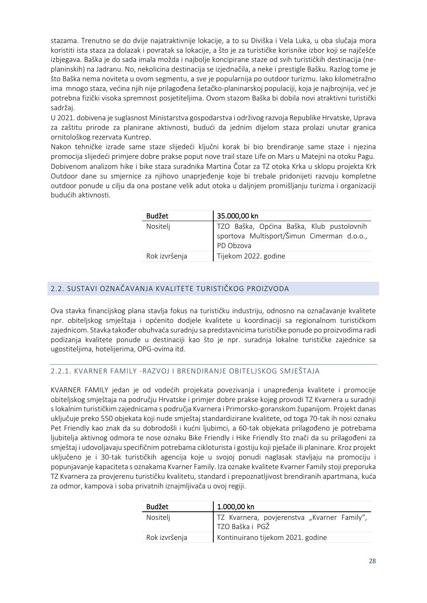stazama. Trenutno se do dvije najatraktivnije lokacije, a to su Diviška i Vela Luka, u oba slučaja mora koristiti ista staza za dolazak i povratak sa lokacije, a što je za turističke korisnike izbor koji se najčešće izbjegava. Baška je do sada imala možda i najbolje koncipirane staze od svih turističkih destinacija (neplaninskih) na Jadranu. No, nekolicina destinacija se izjednačila, a neke i prestigle Bašku. Razlog tome je što Baška nema noviteta u ovom segmentu, a sve je popularnija po outdoor turizmu. Iako kilometražno ima mnogo staza, većina njih nije prilagođena šetačko-planinarskoj populaciji, koja je najbrojnija, već je potrebna fizički visoka spremnost posjetiteljima. Ovom stazom Baška bi dobila novi atraktivni turistički sadržaj.

U 2021. dobivena je suglasnost Ministarstva gospodarstva i održivog razvoja Republike Hrvatske, Uprava za zaštitu prirode za planirane aktivnosti, budući da jednim dijelom staza prolazi unutar granica ornitološkog rezervata Kuntrep.

Nakon tehničke izrade same staze slijedeći ključni korak bi bio brendiranje same staze i njezina promocija slijedeći primjere dobre prakse poput nove trail staze Life on Mars u Matejni na otoku Pagu. Dobivenom analizom hike i bike staza suradnika Martina Čotar za TZ otoka Krka u sklopu projekta Krk Outdoor dane su smjernice za njihovo unaprjeđenje koje bi trebale pridonijeti razvoju kompletne outdoor ponude u cilju da ona postane velik adut otoka u daljnjem promišljanju turizma i organizaciji budućih aktivnosti.

| <b>Budžet</b> | 35.000,00 kn                                                                                         |
|---------------|------------------------------------------------------------------------------------------------------|
| Nositelj      | TZO Baška, Općina Baška, Klub pustolovnih<br>sportova Multisport/Šimun Cimerman d.o.o.,<br>PD Obzova |
| Rok izvršenja | Tijekom 2022. godine                                                                                 |

# <span id="page-28-0"></span>2.2. SUSTAVI OZNAČAVANJA KVALITETE TURISTIČKOG PROIZVODA

Ova stavka financijskog plana stavlja fokus na turističku industriju, odnosno na označavanje kvalitete npr. obiteljskog smještaja i općenito dodjele kvalitete u koordinaciji sa regionalnom turističkom zajednicom. Stavka također obuhvaća suradnju sa predstavnicima turističke ponude po proizvodima radi podizanja kvalitete ponude u destinaciji kao što je npr. suradnja lokalne turističke zajednice sa ugostiteljima, hotelijerima, OPG-ovima itd.

### <span id="page-28-1"></span>2.2.1. KVARNER FAMILY -RAZVOJ I BRENDIRANJE OBITELJSKOG SMJEŠTAJA

KVARNER FAMILY jedan je od vodećih projekata povezivanja i unapređenja kvalitete i promocije obiteljskog smještaja na području Hrvatske i primjer dobre prakse kojeg provodi TZ Kvarnera u suradnji s lokalnim turističkim zajednicama s područja Kvarnera i Primorsko-goranskom županijom. Projekt danas uključuje preko 550 objekata koji nude smještaj standardizirane kvalitete, od toga 70-tak ih nosi oznaku Pet Friendly kao znak da su dobrodošli i kućni ljubimci, a 60-tak objekata prilagođeno je potrebama ljubitelja aktivnog odmora te nose oznaku Bike Friendly i Hike Friendly što znači da su prilagođeni za smještaj i udovoljavaju specifičnim potrebama cikloturista i gostiju koji pješače ili planinare. Kroz projekt uključeno je i 30-tak turističkih agencija koje u svojoj ponudi naglasak stavljaju na promociju i popunjavanje kapaciteta s oznakama Kvarner Family. Iza oznake kvalitete Kvarner Family stoji preporuka TZ Kvarnera za provjerenu turističku kvalitetu, standard i prepoznatljivost brendiranih apartmana, kuća za odmor, kampova i soba privatnih iznajmljivača u ovoj regiji.

| <b>Budžet</b> | 1.000,00 kn                                                      |
|---------------|------------------------------------------------------------------|
| Nositelj      | TZ Kvarnera, povjerenstva "Kvarner Family",<br>I TZO Baška i PGŽ |
| Rok izvršenja | Kontinuirano tijekom 2021. godine                                |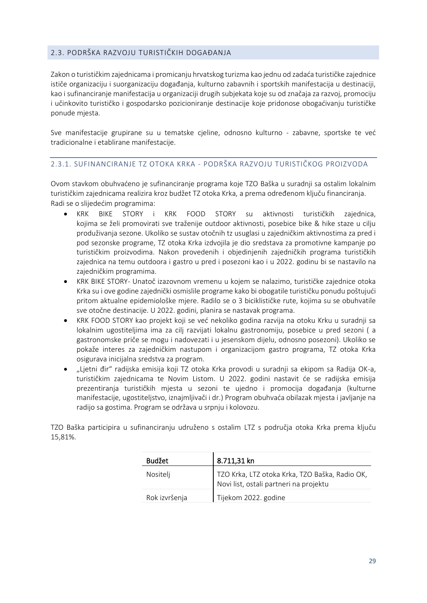# <span id="page-29-0"></span>2.3. PODRŠKA RAZVOJU TURISTIČKIH DOGAĐANJA

Zakon o turističkim zajednicama i promicanju hrvatskog turizma kao jednu od zadaća turističke zajednice ističe organizaciju i suorganizaciju događanja, kulturno zabavnih i sportskih manifestacija u destinaciji, kao i sufinanciranje manifestacija u organizaciji drugih subjekata koje su od značaja za razvoj, promociju i učinkovito turističko i gospodarsko pozicioniranje destinacije koje pridonose obogaćivanju turističke ponude mjesta.

Sve manifestacije grupirane su u tematske cjeline, odnosno kulturno - zabavne, sportske te već tradicionalne i etablirane manifestacije.

#### <span id="page-29-1"></span>2.3.1. SUFINANCIRANJE TZ OTOKA KRKA - PODRŠKA RAZVOJU TURISTIČKOG PROIZVODA

Ovom stavkom obuhvaćeno je sufinanciranje programa koje TZO Baška u suradnji sa ostalim lokalnim turističkim zajednicama realizira kroz budžet TZ otoka Krka, a prema određenom ključu financiranja. Radi se o slijedećim programima:

- KRK BIKE STORY i KRK FOOD STORY su aktivnosti turističkih zajednica, kojima se želi promovirati sve traženije outdoor aktivnosti, posebice bike & hike staze u cilju produživanja sezone. Ukoliko se sustav otočnih tz usuglasi u zajedničkim aktivnostima za pred i pod sezonske programe, TZ otoka Krka izdvojila je dio sredstava za promotivne kampanje po turističkim proizvodima. Nakon provedenih i objedinjenih zajedničkih programa turističkih zajednica na temu outdoora i gastro u pred i posezoni kao i u 2022. godinu bi se nastavilo na zajedničkim programima.
- KRK BIKE STORY- Unatoč izazovnom vremenu u kojem se nalazimo, turističke zajednice otoka Krka su i ove godine zajednički osmislile programe kako bi obogatile turističku ponudu poštujući pritom aktualne epidemiološke mjere. Radilo se o 3 biciklističke rute, kojima su se obuhvatile sve otočne destinacije. U 2022. godini, planira se nastavak programa.
- KRK FOOD STORY kao projekt koji se već nekoliko godina razvija na otoku Krku u suradnji sa lokalnim ugostiteljima ima za cilj razvijati lokalnu gastronomiju, posebice u pred sezoni ( a gastronomske priče se mogu i nadovezati i u jesenskom dijelu, odnosno posezoni). Ukoliko se pokaže interes za zajedničkim nastupom i organizacijom gastro programa, TZ otoka Krka osigurava inicijalna sredstva za program.
- "Ljetni đir" radijska emisija koji TZ otoka Krka provodi u suradnji sa ekipom sa Radija OK-a, turističkim zajednicama te Novim Listom. U 2022. godini nastavit će se radijska emisija prezentiranja turističkih mjesta u sezoni te ujedno i promocija događanja (kulturne manifestacije, ugostiteljstvo, iznajmljivači i dr.) Program obuhvaća obilazak mjesta i javljanje na radijo sa gostima. Program se održava u srpnju i kolovozu.

TZO Baška participira u sufinanciranju udruženo s ostalim LTZ s područja otoka Krka prema ključu 15,81%.

| <b>Budžet</b> | 8.711,31 kn                                                                              |
|---------------|------------------------------------------------------------------------------------------|
| Nositelj      | TZO Krka, LTZ otoka Krka, TZO Baška, Radio OK,<br>Novi list, ostali partneri na projektu |
| Rok izvršenja | Tijekom 2022. godine                                                                     |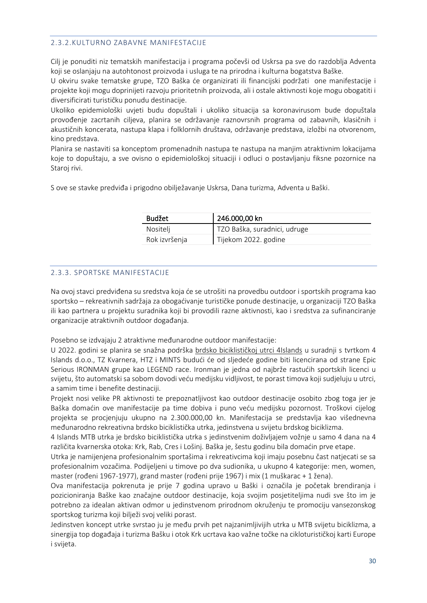#### <span id="page-30-0"></span>2.3.2.KULTURNO ZABAVNE MANIFESTACIJE

Cilj je ponuditi niz tematskih manifestacija i programa počevši od Uskrsa pa sve do razdoblja Adventa koji se oslanjaju na autohtonost proizvoda i usluga te na prirodna i kulturna bogatstva Baške.

U okviru svake tematske grupe, TZO Baška će organizirati ili financijski podržati one manifestacije i projekte koji mogu doprinijeti razvoju prioritetnih proizvoda, ali i ostale aktivnosti koje mogu obogatiti i diversificirati turističku ponudu destinacije.

Ukoliko epidemiološki uvjeti budu dopuštali i ukoliko situacija sa koronavirusom bude dopuštala provođenje zacrtanih ciljeva, planira se održavanje raznovrsnih programa od zabavnih, klasičnih i akustičnih koncerata, nastupa klapa i folklornih društava, održavanje predstava, izložbi na otvorenom, kino predstava.

Planira se nastaviti sa konceptom promenadnih nastupa te nastupa na manjim atraktivnim lokacijama koje to dopuštaju, a sve ovisno o epidemiološkoj situaciji i odluci o postavljanju fiksne pozornice na Staroj rivi.

S ove se stavke predviđa i prigodno obilježavanje Uskrsa, Dana turizma, Adventa u Baški.

| <b>Budžet</b> | 246.000,00 kn                |
|---------------|------------------------------|
| Nositelj      | TZO Baška, suradnici, udruge |
| Rok izvršenja | Tijekom 2022. godine         |

#### <span id="page-30-1"></span>2.3.3. SPORTSKE MANIFESTACIJE

Na ovoj stavci predviđena su sredstva koja će se utrošiti na provedbu outdoor i sportskih programa kao sportsko – rekreativnih sadržaja za obogaćivanje turističke ponude destinacije, u organizaciji TZO Baška ili kao partnera u projektu suradnika koji bi provodili razne aktivnosti, kao i sredstva za sufinanciranje organizacije atraktivnih outdoor događanja.

Posebno se izdvajaju 2 atraktivne međunarodne outdoor manifestacije:

U 2022. godini se planira se snažna podrška brdsko biciklističkoj utrci 4Islands u suradnji s tvrtkom 4 Islands d.o.o., TZ Kvarnera, HTZ i MINTS budući će od sljedeće godine biti licencirana od strane Epic Serious IRONMAN grupe kao LEGEND race. Ironman je jedna od najbrže rastućih sportskih licenci u svijetu, što automatski sa sobom dovodi veću medijsku vidljivost, te porast timova koji sudjeluju u utrci, a samim time i benefite destinaciji.

Projekt nosi velike PR aktivnosti te prepoznatljivost kao outdoor destinacije osobito zbog toga jer je Baška domaćin ove manifestacije pa time dobiva i puno veću medijsku pozornost. Troškovi cijelog projekta se procjenjuju ukupno na 2.300.000,00 kn. Manifestacija se predstavlja kao višednevna međunarodno rekreativna brdsko biciklistička utrka, jedinstvena u svijetu brdskog biciklizma.

4 Islands MTB utrka je brdsko biciklistička utrka s jedinstvenim doživljajem vožnje u samo 4 dana na 4 različita kvarnerska otoka: Krk, Rab, Cres i Lošinj. Baška je, šestu godinu bila domaćin prve etape.

Utrka je namijenjena profesionalnim sportašima i rekreativcima koji imaju posebnu čast natjecati se sa profesionalnim vozačima. Podijeljeni u timove po dva sudionika, u ukupno 4 kategorije: men, women, master (rođeni 1967-1977), grand master (rođeni prije 1967) i mix (1 muškarac + 1 žena).

Ova manifestacija pokrenuta je prije 7 godina upravo u Baški i označila je početak brendiranja i pozicioniranja Baške kao značajne outdoor destinacije, koja svojim posjetiteljima nudi sve što im je potrebno za idealan aktivan odmor u jedinstvenom prirodnom okruženju te promociju vansezonskog sportskog turizma koji bilježi svoj veliki porast.

Jedinstven koncept utrke svrstao ju je među prvih pet najzanimljivijih utrka u MTB svijetu biciklizma, a sinergija top događaja i turizma Bašku i otok Krk ucrtava kao važne točke na cikloturističkoj karti Europe i svijeta.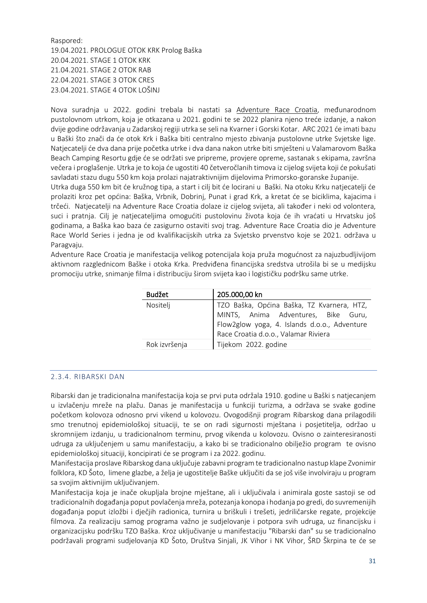Raspored: 19.04.2021. PROLOGUE OTOK KRK Prolog Baška 20.04.2021. STAGE 1 OTOK KRK 21.04.2021. STAGE 2 OTOK RAB 22.04.2021. STAGE 3 OTOK CRES 23.04.2021. STAGE 4 OTOK LOŠINJ

Nova suradnja u 2022. godini trebala bi nastati sa Adventure Race Croatia, međunarodnom pustolovnom utrkom, koja je otkazana u 2021. godini te se 2022 planira njeno treće izdanje, a nakon dvije godine održavanja u Zadarskoj regiji utrka se seli na Kvarner i Gorski Kotar. ARC 2021 će imati bazu u Baški što znači da će otok Krk i Baška biti centralno mjesto zbivanja pustolovne utrke Svjetske lige. Natjecatelji će dva dana prije početka utrke i dva dana nakon utrke biti smješteni u Valamarovom Baška Beach Camping Resortu gdje će se održati sve pripreme, provjere opreme, sastanak s ekipama, završna večera i proglašenje. Utrka je to koja će ugostiti 40 četveročlanih timova iz cijelog svijeta koji će pokušati savladati stazu dugu 550 km koja prolazi najatraktivnijim dijelovima Primorsko-goranske županije.

Utrka duga 550 km bit će kružnog tipa, a start i cilj bit će locirani u Baški. Na otoku Krku natjecatelji će prolaziti kroz pet općina: Baška, Vrbnik, Dobrinj, Punat i grad Krk, a kretat će se biciklima, kajacima i trčeći. Natjecatelji na Adventure Race Croatia dolaze iz cijelog svijeta, ali također i neki od volontera, suci i pratnja. Cilj je natjecateljima omogućiti pustolovinu života koja će ih vraćati u Hrvatsku još godinama, a Baška kao baza će zasigurno ostaviti svoj trag. Adventure Race Croatia dio je Adventure Race World Series i jedna je od kvalifikacijskih utrka za Svjetsko prvenstvo koje se 2021. održava u Paragvaju.

Adventure Race Croatia je manifestacija velikog potencijala koja pruža mogućnost za najuzbudljivijom aktivnom razglednicom Baške i otoka Krka. Predviđena financijska sredstva utrošila bi se u medijsku promociju utrke, snimanje filma i distribuciju širom svijeta kao i logističku podršku same utrke.

| <b>Budžet</b> | 205.000,00 kn                                |
|---------------|----------------------------------------------|
| Nositelj      | TZO Baška, Općina Baška, TZ Kvarnera, HTZ,   |
|               | MINTS, Anima Adventures, Bike Guru,          |
|               | Flow2glow yoga, 4. Islands d.o.o., Adventure |
|               | Race Croatia d.o.o., Valamar Riviera         |
| Rok izvršenja | Tijekom 2022. godine                         |

#### <span id="page-31-0"></span>2.3.4. RIBARSKI DAN

Ribarski dan je tradicionalna manifestacija koja se prvi puta održala 1910. godine u Baški s natjecanjem u izvlačenju mreže na plažu. Danas je manifestacija u funkciji turizma, a održava se svake godine početkom kolovoza odnosno prvi vikend u kolovozu. Ovogodišnji program Ribarskog dana prilagodili smo trenutnoj epidemiološkoj situaciji, te se on radi sigurnosti mještana i posjetitelja, održao u skromnijem izdanju, u tradicionalnom terminu, prvog vikenda u kolovozu. Ovisno o zainteresiranosti udruga za uključenjem u samu manifestaciju, a kako bi se tradicionalno obilježio program te ovisno epidemiološkoj situaciji, koncipirati će se program i za 2022. godinu.

Manifestacija proslave Ribarskog dana uključuje zabavni program te tradicionalno nastup klape Zvonimir folklora, KD Šoto, limene glazbe, a želja je ugostitelje Baške uključiti da se još više involviraju u program sa svojim aktivnijim uključivanjem.

Manifestacija koja je inače okupljala brojne mještane, ali i uključivala i animirala goste sastoji se od tradicionalnih događanja poput povlačenja mreža, potezanja konopa i hodanja po gredi, do suvremenijih događanja poput izložbi i dječjih radionica, turnira u briškuli i trešeti, jedriličarske regate, projekcije filmova. Za realizaciju samog programa važno je sudjelovanje i potpora svih udruga, uz financijsku i organizacijsku podršku TZO Baška. Kroz uključivanje u manifestaciju "Ribarski dan" su se tradicionalno podržavali programi sudjelovanja KD Šoto, Društva Sinjali, JK Vihor i NK Vihor, ŠRD Škrpina te će se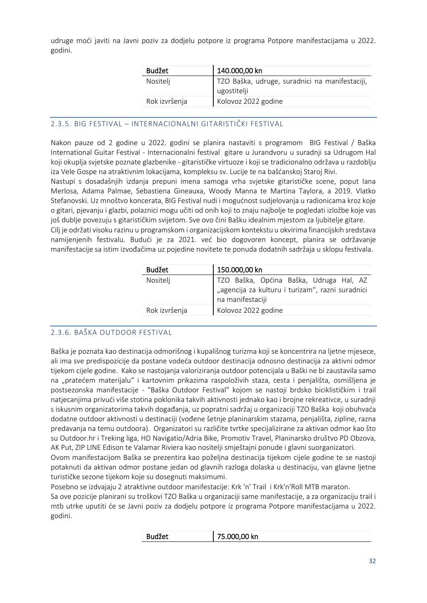udruge moći javiti na Javni poziv za dodjelu potpore iz programa Potpore manifestacijama u 2022. godini.

| Budžet        | 140.000,00 kn                                                 |
|---------------|---------------------------------------------------------------|
| Nositelj      | TZO Baška, udruge, suradnici na manifestaciji,<br>ugostitelji |
| Rok izvršenja | Kolovoz 2022 godine                                           |

#### <span id="page-32-0"></span>2.3.5. BIG FESTIVAL – INTERNACIONALNI GITARISTIČKI FESTIVAL

Nakon pauze od 2 godine u 2022. godini se planira nastaviti s programom BIG Festival / Baška International Guitar Festival - Internacionalni festival gitare u Jurandvoru u suradnji sa Udrugom Hal koji okuplja svjetske poznate glazbenike - gitarističke virtuoze i koji se tradicionalno održava u razdoblju iza Vele Gospe na atraktivnim lokacijama, kompleksu sv. Lucije te na bašćanskoj Staroj Rivi.

Nastupi s dosadašnjih izdanja prepuni imena samoga vrha svjetske gitarističke scene, poput Iana Merlosa, Adama Palmae, Sebastiena Gineauxa, Woody Manna te Martina Taylora, a 2019. Vlatko Stefanovski. Uz mnoštvo koncerata, BIG Festival nudi i mogućnost sudjelovanja u radionicama kroz koje o gitari, pjevanju i glazbi, polaznici mogu učiti od onih koji to znaju najbolje te pogledati izložbe koje vas još dublje povezuju s gitarističkim svijetom. Sve ovo čini Bašku idealnim mjestom za ljubitelje gitare.

Cilj je održati visoku razinu u programskom i organizacijskom kontekstu u okvirima financijskih sredstava namijenjenih festivalu. Budući je za 2021. već bio dogovoren koncept, planira se održavanje manifestacije sa istim izvođačima uz pojedine novitete te ponuda dodatnih sadržaja u sklopu festivala.

| Nositelj                             |                                                                                             |
|--------------------------------------|---------------------------------------------------------------------------------------------|
| na manifestaciji                     | TZO Baška, Općina Baška, Udruga Hal, AZ<br>"agencija za kulturu i turizam", razni suradnici |
| Rok izvršenja<br>Kolovoz 2022 godine |                                                                                             |

### <span id="page-32-1"></span>2.3.6. BAŠKA OUTDOOR FESTIVAL

Baška je poznata kao destinacija odmorišnog i kupališnog turizma koji se koncentrira na ljetne mjesece, ali ima sve predispozicije da postane vodeća outdoor destinacija odnosno destinacija za aktivni odmor tijekom cijele godine. Kako se nastojanja valoriziranja outdoor potencijala u Baški ne bi zaustavila samo na "pratećem materijalu" i kartovnim prikazima raspoloživih staza, cesta i penjališta, osmišljena je postsezonska manifestacije - "Baška Outdoor Festival" kojom se nastoji brdsko biciklističkim i trail natjecanjima privući više stotina poklonika takvih aktivnosti jednako kao i brojne rekreativce, u suradnji s iskusnim organizatorima takvih događanja, uz popratni sadržaj u organizaciji TZO Baška koji obuhvaća dodatne outdoor aktivnosti u destinaciji (vođene šetnje planinarskim stazama, penjališta, zipline, razna predavanja na temu outdoora). Organizatori su različite tvrtke specijalizirane za aktivan odmor kao što su Outdoor.hr i Treking liga, HD Navigatio/Adria Bike, Promotiv Travel, Planinarsko društvo PD Obzova, AK Put, ZIP LINE Edison te Valamar Riviera kao nositelji smještajni ponude i glavni suorganizatori.

Ovom manifestacijom Baška se prezentira kao poželjna destinacija tijekom cijele godine te se nastoji potaknuti da aktivan odmor postane jedan od glavnih razloga dolaska u destinaciju, van glavne ljetne turističke sezone tijekom koje su dosegnuti maksimumi.

Posebno se izdvajaju 2 atraktivne outdoor manifestacije: Krk 'n' Trail i Krk'n'Roll MTB maraton.

Sa ove pozicije planirani su troškovi TZO Baška u organizaciji same manifestacije, a za organizaciju trail i mtb utrke uputiti će se Javni poziv za dodjelu potpore iz programa Potpore manifestacijama u 2022. godini.

| <b>Budžet</b> | 75.000,00 kn |
|---------------|--------------|
|---------------|--------------|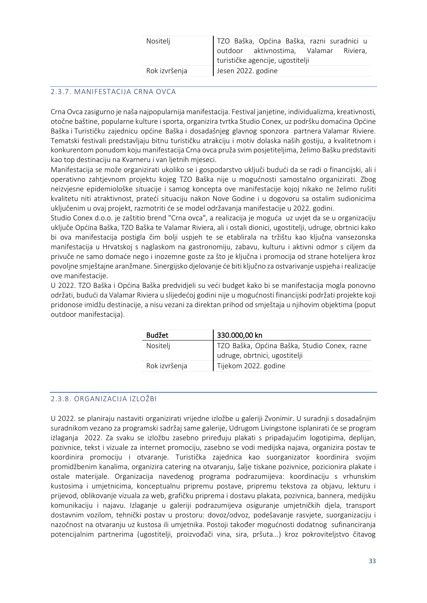| TZO Baška, Općina Baška, razni suradnici u |
|--------------------------------------------|
| outdoor aktivnostima, Valamar Riviera,     |
| turističke agencije, ugostitelji           |
| Jesen 2022. godine                         |
|                                            |

# <span id="page-33-0"></span>2.3.7. MANIFESTACIJA CRNA OVCA

Crna Ovca zasigurno je naša najpopularnija manifestacija. Festival janjetine, individualizma, kreativnosti, otočne baštine, popularne kulture i sporta, organizira tvrtka Studio Conex, uz podršku domaćina Općine Baška i Turističku zajednicu općine Baška i dosadašnjeg glavnog sponzora partnera Valamar Riviere. Tematski festivali predstavljaju bitnu turističku atrakciju i motiv dolaska naših gostiju, a kvalitetnom i konkurentom ponudom koju manifestacija Crna ovca pruža svim posjetiteljima, želimo Bašku predstaviti kao top destinaciju na Kvarneru i van ljetnih mjeseci.

Manifestacija se može organizirati ukoliko se i gospodarstvo uključi budući da se radi o financijski, ali i operativno zahtjevnom projektu kojeg TZO Baška nije u mogućnosti samostalno organizirati. Zbog neizvjesne epidemiološke situacije i samog koncepta ove manifestacije kojoj nikako ne želimo rušiti kvalitetu niti atraktivnost, prateći situaciju nakon Nove Godine i u dogovoru sa ostalim sudionicima uključenim u ovaj projekt, razmotriti će se model održavanja manifestacije u 2022. godini.

Studio Conex d.o.o. je zaštitio brend "Crna ovca", a realizacija je moguća uz uvjet da se u organizaciju uključe Općina Baška, TZO Baška te Valamar Riviera, ali i ostali dionici, ugostitelji, udruge, obrtnici kako bi ova manifestacija postigla čim bolji uspjeh te se etablirala na tržištu kao ključna vansezonska manifestacija u Hrvatskoj s naglaskom na gastronomiju, zabavu, kulturu i aktivni odmor s ciljem da privuče ne samo domaće nego i inozemne goste za što je ključna i promocija od strane hotelijera kroz povoljne smještajne aranžmane. Sinergijsko djelovanje će biti ključno za ostvarivanje uspjeha i realizacije ove manifestacije.

U 2022. TZO Baška i Općina Baška predvidjeli su veći budget kako bi se manifestacija mogla ponovno održati, budući da Valamar Riviera u slijedećoj godini nije u mogućnosti financijski podržati projekte koji pridonose imidžu destinacije, a nisu vezani za direktan prihod od smještaja u njihovim objektima (poput outdoor manifestacija).

| <b>Budžet</b> | 330.000,00 kn                                |
|---------------|----------------------------------------------|
| Nositelj      | TZO Baška, Općina Baška, Studio Conex, razne |
|               | udruge, obrtnici, ugostitelji                |
| Rok izvršenja | Tijekom 2022. godine                         |

# <span id="page-33-1"></span>2.3.8. ORGANIZACIJA IZLOŽBI

U 2022. se planiraju nastaviti organizirati vrijedne izložbe u galeriji Zvonimir. U suradnji s dosadašnjim suradnikom vezano za programski sadržaj same galerije, Udrugom Livingstone isplanirati će se program izlaganja 2022. Za svaku se izložbu zasebno priređuju plakati s pripadajućim logotipima, deplijan, pozivnice, tekst i vizuale za internet promociju, zasebno se vodi medijska najava, organizira postav te koordinira promociju i otvaranje. Turistička zajednica kao suorganizator koordinira svojim promidžbenim kanalima, organizira catering na otvaranju, šalje tiskane pozivnice, pozicionira plakate i ostale materijale. Organizacija navedenog programa podrazumijeva: koordinaciju s vrhunskim kustosima i umjetnicima, konceptualnu pripremu postave, pripremu tekstova za objavu, lekturu i prijevod, oblikovanje vizuala za web, grafičku priprema i dostavu plakata, pozivnica, bannera, medijsku komunikaciju i najavu. Izlaganje u galeriji podrazumijeva osiguranje umjetničkih djela, transport dostavnim vozilom, tehnički postav u prostoru: dovoz/odvoz, podešavanje rasvjete, suorganizaciju i nazočnost na otvaranju uz kustosa ili umjetnika. Postoji također mogućnosti dodatnog sufinanciranja potencijalnim partnerima (ugostitelji, proizvođači vina, sira, pršuta...) kroz pokroviteljstvo čitavog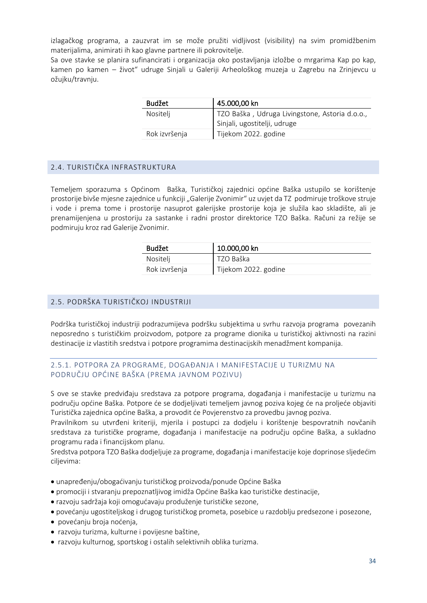izlagačkog programa, a zauzvrat im se može pružiti vidljivost (visibility) na svim promidžbenim materijalima, animirati ih kao glavne partnere ili pokrovitelje.

Sa ove stavke se planira sufinancirati i organizacija oko postavljanja izložbe o mrgarima Kap po kap, kamen po kamen – život" udruge Sinjali u Galeriji Arheološkog muzeja u Zagrebu na Zrinjevcu u ožujku/travnju.

| Budžet        | 45.000,00 kn                                                                   |
|---------------|--------------------------------------------------------------------------------|
| Nositelj      | TZO Baška, Udruga Livingstone, Astoria d.o.o.,<br>Sinjali, ugostitelji, udruge |
| Rok izvršenja | Tijekom 2022. godine                                                           |

#### <span id="page-34-0"></span>2.4. TURISTIČKA INFRASTRUKTURA

Temeljem sporazuma s Općinom Baška, Turističkoj zajednici općine Baška ustupilo se korištenje prostorije bivše mjesne zajednice u funkciji "Galerije Zvonimir" uz uvjet da TZ podmiruje troškove struje i vode i prema tome i prostorije nasuprot galerijske prostorije koja je služila kao skladište, ali je prenamijenjena u prostoriju za sastanke i radni prostor direktorice TZO Baška. Računi za režije se podmiruju kroz rad Galerije Zvonimir.

| Budžet        | 10.000,00 kn         |
|---------------|----------------------|
| Nositelj      | TZO Baška            |
| Rok izvršenja | Tijekom 2022. godine |

#### <span id="page-34-1"></span>2.5. PODRŠKA TURISTIČKOJ INDUSTRIJI

Podrška turističkoj industriji podrazumijeva podršku subjektima u svrhu razvoja programa povezanih neposredno s turističkim proizvodom, potpore za programe dionika u turističkoj aktivnosti na razini destinacije iz vlastitih sredstva i potpore programima destinacijskih menadžment kompanija.

#### <span id="page-34-2"></span>2.5.1. POTPORA ZA PROGRAME, DOGAĐANJA I MANIFESTACIJE U TURIZMU NA PODRUČJU OPĆINE BAŠKA (PREMA JAVNOM POZIVU)

S ove se stavke predviđaju sredstava za potpore programa, događanja i manifestacije u turizmu na području općine Baška. Potpore će se dodjeljivati temeljem javnog poziva kojeg će na proljeće objaviti Turistička zajednica općine Baška, a provodit će Povjerenstvo za provedbu javnog poziva.

Pravilnikom su utvrđeni kriteriji, mjerila i postupci za dodjelu i korištenje bespovratnih novčanih sredstava za turističke programe, događanja i manifestacije na području općine Baška, a sukladno programu rada i financijskom planu.

Sredstva potpora TZO Baška dodjeljuje za programe, događanja i manifestacije koje doprinose sljedećim ciljevima:

- unapređenju/obogaćivanju turističkog proizvoda/ponude Općine Baška
- promociji i stvaranju prepoznatljivog imidža Općine Baška kao turističke destinacije,
- razvoju sadržaja koji omogućavaju produženje turističke sezone,
- povećanju ugostiteljskog i drugog turističkog prometa, posebice u razdoblju predsezone i posezone,
- povećanju broja noćenja,
- razvoju turizma, kulturne i povijesne baštine,
- razvoju kulturnog, sportskog i ostalih selektivnih oblika turizma.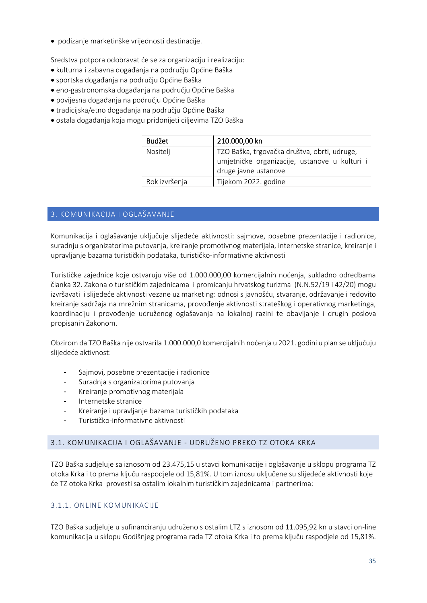• podizanje marketinške vrijednosti destinacije.

Sredstva potpora odobravat će se za organizaciju i realizaciju:

- kulturna i zabavna događanja na području Općine Baška
- sportska događanja na području Općine Baška
- eno-gastronomska događanja na području Općine Baška
- povijesna događanja na području Općine Baška
- tradicijska/etno događanja na području Općine Baška
- ostala događanja koja mogu pridonijeti ciljevima TZO Baška

| <b>Budžet</b> | 210.000,00 kn                                                                                                         |
|---------------|-----------------------------------------------------------------------------------------------------------------------|
| Nositelj      | TZO Baška, trgovačka društva, obrti, udruge,<br>umjetničke organizacije, ustanove u kulturi i<br>druge javne ustanove |
| Rok izvršenja | Tijekom 2022. godine                                                                                                  |

# <span id="page-35-0"></span>3. KOMUNIKACIJA I OGLAŠAVANJE

Komunikacija i oglašavanje uključuje slijedeće aktivnosti: sajmove, posebne prezentacije i radionice, suradnju s organizatorima putovanja, kreiranje promotivnog materijala, internetske stranice, kreiranje i upravljanje bazama turističkih podataka, turističko-informativne aktivnosti

Turističke zajednice koje ostvaruju više od 1.000.000,00 komercijalnih noćenja, sukladno odredbama članka 32. Zakona o turističkim zajednicama i promicanju hrvatskog turizma (N.N.52/19 i 42/20) mogu izvršavati i slijedeće aktivnosti vezane uz marketing: odnosi s javnošću, stvaranje, održavanje i redovito kreiranje sadržaja na mrežnim stranicama, provođenje aktivnosti strateškog i operativnog marketinga, koordinaciju i provođenje udruženog oglašavanja na lokalnoj razini te obavljanje i drugih poslova propisanih Zakonom.

Obzirom da TZO Baška nije ostvarila 1.000.000,0 komercijalnih noćenja u 2021. godini u plan se uključuju slijedeće aktivnost:

- Sajmovi, posebne prezentacije i radionice
- Suradnja s organizatorima putovanja
- Kreiranje promotivnog materijala
- Internetske stranice
- Kreiranje i upravljanje bazama turističkih podataka
- Turističko-informativne aktivnosti

### <span id="page-35-1"></span>3.1. KOMUNIKACIJA I OGLAŠAVANJE - UDRUŽENO PREKO TZ OTOKA KRKA

TZO Baška sudjeluje sa iznosom od 23.475,15 u stavci komunikacije i oglašavanje u sklopu programa TZ otoka Krka i to prema ključu raspodjele od 15,81%. U tom iznosu uključene su slijedeće aktivnosti koje će TZ otoka Krka provesti sa ostalim lokalnim turističkim zajednicama i partnerima:

### <span id="page-35-2"></span>3.1.1. ONLINE KOMUNIKACIJE

TZO Baška sudjeluje u sufinanciranju udruženo s ostalim LTZ s iznosom od 11.095,92 kn u stavci on-line komunikacija u sklopu Godišnjeg programa rada TZ otoka Krka i to prema ključu raspodjele od 15,81%.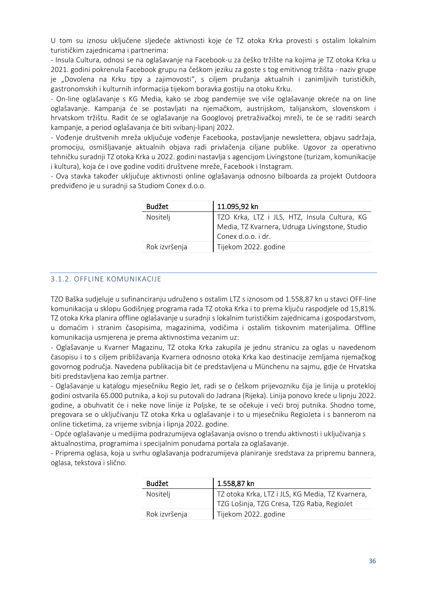U tom su iznosu uključene sljedeće aktivnosti koje će TZ otoka Krka provesti s ostalim lokalnim turističkim zajednicama i partnerima:

- Insula Cultura, odnosi se na oglašavanje na Facebook-u za češko tržište na kojima je TZ otoka Krka u 2021. godini pokrenula Facebook grupu na češkom jeziku za goste s tog emitivnog tržišta - naziv grupe je "Dovolena na Krku tipy a zajimovosti", s ciljem pružanja aktualnih i zanimljivih turističkih, gastronomskih i kulturnih informacija tijekom boravka gostiju na otoku Krku.

- On-line oglašavanje s KG Media, kako se zbog pandemije sve više oglašavanje okreće na on line oglašavanje. Kampanja će se postavljati na njemačkom, austrijskom, talijanskom, slovenskom i hrvatskom tržištu. Radit će se oglašavanje na Googlovoj pretraživačkoj mreži, te će se raditi search kampanje, a period oglašavanja će biti svibanj-lipanj 2022.

- Vođenje društvenih mreža uključuje vođenje Facebooka, postavljanje newslettera, objavu sadržaja, promociju, osmišljavanje aktualnih objava radi privlačenja ciljane publike. Ugovor za operativno tehničku suradnji TZ otoka Krka u 2022. godini nastavlja s agencijom Livingstone (turizam, komunikacije i kultura), koja će i ove godine voditi društvene mreže, Facebook i Instagram.

- Ova stavka također uključuje aktivnosti online oglašavanja odnosno bilboarda za projekt Outdoora predviđeno je u suradnji sa Studiom Conex d.o.o.

| <b>Budžet</b> | 11.095,92 kn                                   |
|---------------|------------------------------------------------|
| Nositelj      | TZO Krka, LTZ i JLS, HTZ, Insula Cultura, KG   |
|               | Media, TZ Kvarnera, Udruga Livingstone, Studio |
|               | Conex d.o.o. i dr.                             |
| Rok izvršenja | Tijekom 2022. godine                           |
|               |                                                |

### <span id="page-36-0"></span>3.1.2. OFFLINE KOMUNIKACIJE

TZO Baška sudjeluje u sufinanciranju udruženo s ostalim LTZ s iznosom od 1.558,87 kn u stavci OFF-line komunikacija u sklopu Godišnjeg programa rada TZ otoka Krka i to prema ključu raspodjele od 15,81%. TZ otoka Krka planira offline oglašavanje u suradnji s lokalnim turističkim zajednicama i gospodarstvom, u domaćim i stranim časopisima, magazinima, vodičima i ostalim tiskovnim materijalima. Offline komunikacija usmjerena je prema aktivnostima vezanim uz:

- Oglašavanje u Kvarner Magazinu, TZ otoka Krka zakupila je jednu stranicu za oglas u navedenom časopisu i to s ciljem približavanja Kvarnera odnosno otoka Krka kao destinacije zemljama njemačkog govornog područja. Navedena publikacija bit će predstavljena u Münchenu na sajmu, gdje će Hrvatska biti predstavljena kao zemlja partner.

- Oglašavanje u katalogu mjesečniku Regio Jet, radi se o češkom prijevozniku čija je linija u protekloj godini ostvarila 65.000 putnika, a koji su putovali do Jadrana (Rijeka). Linija ponovo kreće u lipnju 2022. godine, a obuhvatit će i neke nove linije iz Poljske, te se očekuje i veći broj putnika. Shodno tome, pregovara se o uključivanju TZ otoka Krka u oglašavanje i to u mjesečniku RegioJeta i s bannerom na online ticketima, za vrijeme svibnja i lipnja 2022. godine.

- Opće oglašavanje u medijima podrazumijeva oglašavanja ovisno o trendu aktivnosti i uključivanja s aktualnostima, programima i specijalnim ponudama portala za oglašavanje.

- Priprema oglasa, koja u svrhu oglašavanja podrazumijeva planiranje sredstava za pripremu bannera, oglasa, tekstova i slično.

| <b>Budžet</b> | 1.558,87 kn                                      |
|---------------|--------------------------------------------------|
| Nositelj      | TZ otoka Krka, LTZ i JLS, KG Media, TZ Kvarnera, |
|               | TZG Lošinja, TZG Cresa, TZG Raba, RegioJet       |
| Rok izvršenja | Tijekom 2022. godine                             |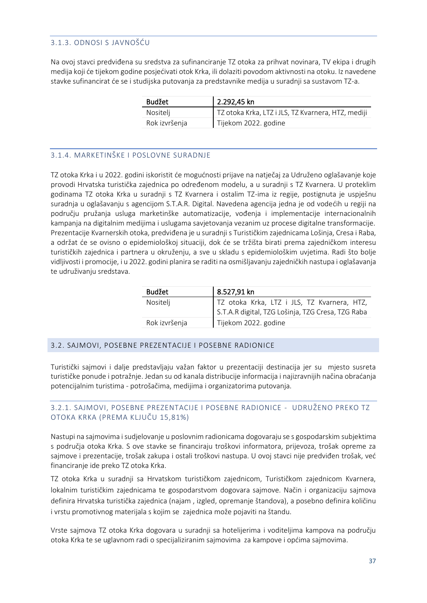#### <span id="page-37-0"></span>3.1.3. ODNOSI S JAVNOŠĆU

Na ovoj stavci predviđena su sredstva za sufinanciranje TZ otoka za prihvat novinara, TV ekipa i drugih medija koji će tijekom godine posjećivati otok Krka, ili dolaziti povodom aktivnosti na otoku. Iz navedene stavke sufinancirat će se i studijska putovanja za predstavnike medija u suradnji sa sustavom TZ-a.

| <b>Budžet</b> | 2.292,45 kn                                        |
|---------------|----------------------------------------------------|
| Nositelj      | TZ otoka Krka, LTZ i JLS, TZ Kvarnera, HTZ, mediji |
| Rok izvršenja | Tijekom 2022. godine                               |

#### <span id="page-37-1"></span>3.1.4. MARKETINŠKE I POSLOVNE SURADNJE

TZ otoka Krka i u 2022. godini iskoristit će mogućnosti prijave na natječaj za Udruženo oglašavanje koje provodi Hrvatska turistička zajednica po određenom modelu, a u suradnji s TZ Kvarnera. U proteklim godinama TZ otoka Krka u suradnji s TZ Kvarnera i ostalim TZ-ima iz regije, postignuta je uspješnu suradnja u oglašavanju s agencijom S.T.A.R. Digital. Navedena agencija jedna je od vodećih u regiji na području pružanja usluga marketinške automatizacije, vođenja i implementacije internacionalnih kampanja na digitalnim medijima i uslugama savjetovanja vezanim uz procese digitalne transformacije. Prezentacije Kvarnerskih otoka, predviđena je u suradnji s Turističkim zajednicama Lošinja, Cresa i Raba, a održat će se ovisno o epidemiološkoj situaciji, dok će se tržišta birati prema zajedničkom interesu turističkih zajednica i partnera u okruženju, a sve u skladu s epidemiološkim uvjetima. Radi što bolje vidljivosti i promocije, i u 2022. godini planira se raditi na osmišljavanju zajedničkih nastupa i oglašavanja te udruživanju sredstava.

| <b>Budžet</b> | 8.527,91 kn                                                                                      |
|---------------|--------------------------------------------------------------------------------------------------|
| Nositelj      | TZ otoka Krka, LTZ i JLS, TZ Kvarnera, HTZ,<br>S.T.A.R digital, TZG Lošinja, TZG Cresa, TZG Raba |
|               |                                                                                                  |
| Rok izvršenja | Tijekom 2022. godine                                                                             |

#### <span id="page-37-2"></span>3.2. SAJMOVI, POSEBNE PREZENTACIJE I POSEBNE RADIONICE

Turistički sajmovi i dalje predstavljaju važan faktor u prezentaciji destinacija jer su mjesto susreta turističke ponude i potražnje. Jedan su od kanala distribucije informacija i najizravnijih načina obraćanja potencijalnim turistima - potrošačima, medijima i organizatorima putovanja.

#### <span id="page-37-3"></span>3.2.1. SAJMOVI, POSEBNE PREZENTACIJE I POSEBNE RADIONICE - UDRUŽENO PREKO TZ OTOKA KRKA (PREMA KLJUČU 15,81%)

Nastupi na sajmovima i sudjelovanje u poslovnim radionicama dogovaraju se s gospodarskim subjektima s područja otoka Krka. S ove stavke se financiraju troškovi informatora, prijevoza, trošak opreme za sajmove i prezentacije, trošak zakupa i ostali troškovi nastupa. U ovoj stavci nije predviđen trošak, već financiranje ide preko TZ otoka Krka.

TZ otoka Krka u suradnji sa Hrvatskom turističkom zajednicom, Turističkom zajednicom Kvarnera, lokalnim turističkim zajednicama te gospodarstvom dogovara sajmove. Način i organizaciju sajmova definira Hrvatska turistička zajednica (najam , izgled, opremanje štandova), a posebno definira količinu i vrstu promotivnog materijala s kojim se zajednica može pojaviti na štandu.

Vrste sajmova TZ otoka Krka dogovara u suradnji sa hotelijerima i voditeljima kampova na području otoka Krka te se uglavnom radi o specijaliziranim sajmovima za kampove i općima sajmovima.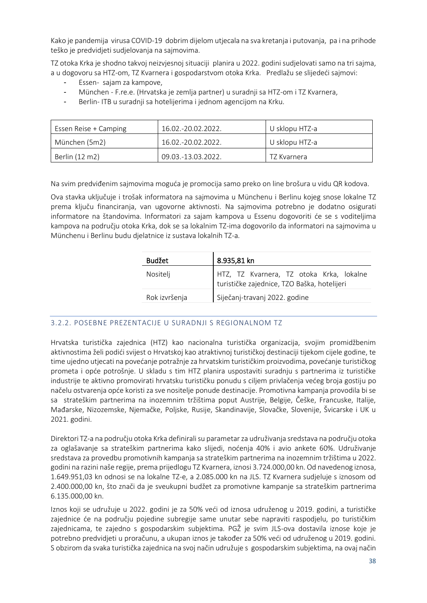Kako je pandemija virusa COVID-19 dobrim dijelom utjecala na sva kretanja i putovanja, pa i na prihode teško je predvidjeti sudjelovanja na sajmovima.

TZ otoka Krka je shodno takvoj neizvjesnoj situaciji planira u 2022. godini sudjelovati samo na tri sajma, a u dogovoru sa HTZ-om, TZ Kvarnera i gospodarstvom otoka Krka. Predlažu se slijedeći sajmovi:

- Essen- sajam za kampove,
- München F.re.e. (Hrvatska je zemlja partner) u suradnji sa HTZ-om i TZ Kvarnera,
- Berlin- ITB u suradnji sa hotelijerima i jednom agencijom na Krku.

| Essen Reise + Camping | 16.02.-20.02.2022.   | U sklopu HTZ-a |
|-----------------------|----------------------|----------------|
| München (5m2)         | $16.02 - 20.02.2022$ | U sklopu HTZ-a |
| Berlin (12 m2)        | 09.03.-13.03.2022.   | TZ Kvarnera    |

Na svim predviđenim sajmovima moguća je promocija samo preko on line brošura u vidu QR kodova.

Ova stavka uključuje i trošak informatora na sajmovima u Münchenu i Berlinu kojeg snose lokalne TZ prema ključu financiranja, van ugovorne aktivnosti. Na sajmovima potrebno je dodatno osigurati informatore na štandovima. Informatori za sajam kampova u Essenu dogovoriti će se s voditeljima kampova na području otoka Krka, dok se sa lokalnim TZ-ima dogovorilo da informatori na sajmovima u Münchenu i Berlinu budu djelatnice iz sustava lokalnih TZ-a.

| <b>Budžet</b> | 8.935,81 kn                                                                             |
|---------------|-----------------------------------------------------------------------------------------|
| Nositelj      | HTZ, TZ Kvarnera, TZ otoka Krka, lokalne<br>turističke zajednice, TZO Baška, hotelijeri |
| Rok izvršenja | Siječanj-travanj 2022. godine                                                           |

### <span id="page-38-0"></span>3.2.2. POSEBNE PREZENTACIJE U SURADNJI S REGIONALNOM TZ

Hrvatska turistička zajednica (HTZ) kao nacionalna turistička organizacija, svojim promidžbenim aktivnostima želi podići svijest o Hrvatskoj kao atraktivnoj turističkoj destinaciji tijekom cijele godine, te time ujedno utjecati na povećanje potražnje za hrvatskim turističkim proizvodima, povećanje turističkog prometa i opće potrošnje. U skladu s tim HTZ planira uspostaviti suradnju s partnerima iz turističke industrije te aktivno promovirati hrvatsku turističku ponudu s ciljem privlačenja većeg broja gostiju po načelu ostvarenja opće koristi za sve nositelje ponude destinacije. Promotivna kampanja provodila bi se sa strateškim partnerima na inozemnim tržištima poput Austrije, Belgije, Češke, Francuske, Italije, Mađarske, Nizozemske, Njemačke, Poljske, Rusije, Skandinavije, Slovačke, Slovenije, Švicarske i UK u 2021. godini.

Direktori TZ-a na području otoka Krka definirali su parametar za udruživanja sredstava na području otoka za oglašavanje sa strateškim partnerima kako slijedi, noćenja 40% i avio ankete 60%. Udruživanje sredstava za provedbu promotivnih kampanja sa strateškim partnerima na inozemnim tržištima u 2022. godini na razini naše regije, prema prijedlogu TZ Kvarnera, iznosi 3.724.000,00 kn. Od navedenog iznosa, 1.649.951,03 kn odnosi se na lokalne TZ-e, a 2.085.000 kn na JLS. TZ Kvarnera sudjeluje s iznosom od 2.400.000,00 kn, što znači da je sveukupni budžet za promotivne kampanje sa strateškim partnerima 6.135.000,00 kn.

Iznos koji se udružuje u 2022. godini je za 50% veći od iznosa udruženog u 2019. godini, a turističke zajednice će na području pojedine subregije same unutar sebe napraviti raspodjelu, po turističkim zajednicama, te zajedno s gospodarskim subjektima. PGŽ je svim JLS-ova dostavila iznose koje je potrebno predvidjeti u proračunu, a ukupan iznos je također za 50% veći od udruženog u 2019. godini. S obzirom da svaka turistička zajednica na svoj način udružuje s gospodarskim subjektima, na ovaj način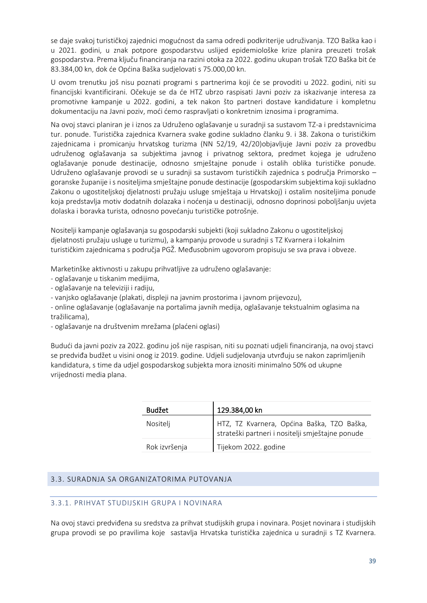se daje svakoj turističkoj zajednici mogućnost da sama odredi podkriterije udruživanja. TZO Baška kao i u 2021. godini, u znak potpore gospodarstvu uslijed epidemiološke krize planira preuzeti trošak gospodarstva. Prema ključu financiranja na razini otoka za 2022. godinu ukupan trošak TZO Baška bit će 83.384,00 kn, dok će Općina Baška sudjelovati s 75.000,00 kn.

U ovom trenutku još nisu poznati programi s partnerima koji će se provoditi u 2022. godini, niti su financijski kvantificirani. Očekuje se da će HTZ ubrzo raspisati Javni poziv za iskazivanje interesa za promotivne kampanje u 2022. godini, a tek nakon što partneri dostave kandidature i kompletnu dokumentaciju na Javni poziv, moći ćemo raspravljati o konkretnim iznosima i programima.

Na ovoj stavci planiran je i iznos za Udruženo oglašavanje u suradnji sa sustavom TZ-a i predstavnicima tur. ponude. Turistička zajednica Kvarnera svake godine sukladno članku 9. i 38. Zakona o turističkim zajednicama i promicanju hrvatskog turizma (NN 52/19, 42/20)objavljuje Javni poziv za provedbu udruženog oglašavanja sa subjektima javnog i privatnog sektora, predmet kojega je udruženo oglašavanje ponude destinacije, odnosno smještajne ponude i ostalih oblika turističke ponude. Udruženo oglašavanje provodi se u suradnji sa sustavom turističkih zajednica s područja Primorsko – goranske županije i s nositeljima smještajne ponude destinacije (gospodarskim subjektima koji sukladno Zakonu o ugostiteljskoj djelatnosti pružaju usluge smještaja u Hrvatskoj) i ostalim nositeljima ponude koja predstavlja motiv dodatnih dolazaka i noćenja u destinaciji, odnosno doprinosi poboljšanju uvjeta dolaska i boravka turista, odnosno povećanju turističke potrošnje.

Nositelji kampanje oglašavanja su gospodarski subjekti (koji sukladno Zakonu o ugostiteljskoj djelatnosti pružaju usluge u turizmu), a kampanju provode u suradnji s TZ Kvarnera i lokalnim turističkim zajednicama s područja PGŽ. Međusobnim ugovorom propisuju se sva prava i obveze.

Marketinške aktivnosti u zakupu prihvatljive za udruženo oglašavanje:

- oglašavanje u tiskanim medijima,
- oglašavanje na televiziji i radiju,
- vanjsko oglašavanje (plakati, displeji na javnim prostorima i javnom prijevozu),
- online oglašavanje (oglašavanje na portalima javnih medija, oglašavanje tekstualnim oglasima na tražilicama),
- oglašavanje na društvenim mrežama (plaćeni oglasi)

Budući da javni poziv za 2022. godinu još nije raspisan, niti su poznati udjeli financiranja, na ovoj stavci se predviđa budžet u visini onog iz 2019. godine. Udjeli sudjelovanja utvrđuju se nakon zaprimljenih kandidatura, s time da udjel gospodarskog subjekta mora iznositi minimalno 50% od ukupne vrijednosti media plana.

| Budžet        | 129.384,00 kn                                                                                  |
|---------------|------------------------------------------------------------------------------------------------|
| Nositelj      | HTZ, TZ Kvarnera, Općina Baška, TZO Baška,<br>strateški partneri i nositelji smještajne ponude |
| Rok izvršenja | Tijekom 2022. godine                                                                           |

### <span id="page-39-0"></span>3.3. SURADNJA SA ORGANIZATORIMA PUTOVANJA

#### 3.3.1. PRIHVAT STUDIJSKIH GRUPA I NOVINARA

Na ovoj stavci predviđena su sredstva za prihvat studijskih grupa i novinara. Posjet novinara i studijskih grupa provodi se po pravilima koje sastavlja Hrvatska turistička zajednica u suradnji s TZ Kvarnera.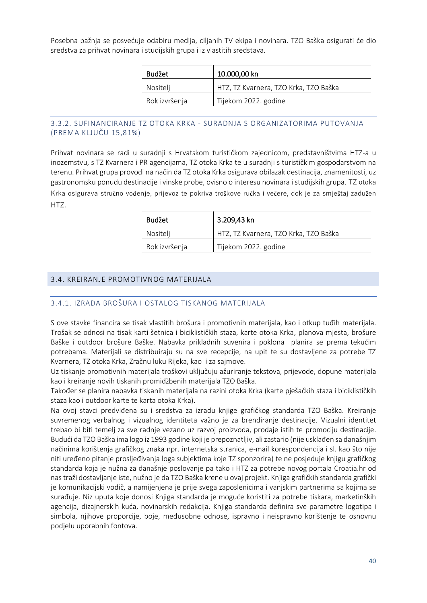Posebna pažnja se posvećuje odabiru medija, ciljanih TV ekipa i novinara. TZO Baška osigurati će dio sredstva za prihvat novinara i studijskih grupa i iz vlastitih sredstava.

| <b>Budžet</b> | 10.000,00 kn                          |
|---------------|---------------------------------------|
| Nositelj      | HTZ, TZ Kvarnera, TZO Krka, TZO Baška |
| Rok izvršenja | Tijekom 2022. godine                  |

### 3.3.2. SUFINANCIRANJE TZ OTOKA KRKA - SURADNJA S ORGANIZATORIMA PUTOVANJA (PREMA KLJUČU 15,81%)

Prihvat novinara se radi u suradnji s Hrvatskom turističkom zajednicom, predstavništvima HTZ-a u inozemstvu, s TZ Kvarnera i PR agencijama, TZ otoka Krka te u suradnji s turističkim gospodarstvom na terenu. Prihvat grupa provodi na način da TZ otoka Krka osigurava obilazak destinacija, znamenitosti, uz gastronomsku ponudu destinacije i vinske probe, ovisno o interesu novinara i studijskih grupa. TZ otoka Krka osigurava stručno vođenje, prijevoz te pokriva troškove ručka i večere, dok je za smještaj zadužen HTZ.

| <b>Budžet</b> | 3.209,43 kn                           |
|---------------|---------------------------------------|
| Nositelj      | HTZ, TZ Kvarnera, TZO Krka, TZO Baška |
| Rok izvršenja | Tijekom 2022. godine                  |

#### <span id="page-40-0"></span>3.4. KREIRANJE PROMOTIVNOG MATERIJALA

#### <span id="page-40-1"></span>3.4.1. IZRADA BROŠURA I OSTALOG TISKANOG MATERIJALA

S ove stavke financira se tisak vlastitih brošura i promotivnih materijala, kao i otkup tuđih materijala. Trošak se odnosi na tisak karti šetnica i biciklističkih staza, karte otoka Krka, planova mjesta, brošure Baške i outdoor brošure Baške. Nabavka prikladnih suvenira i poklona planira se prema tekućim potrebama. Materijali se distribuiraju su na sve recepcije, na upit te su dostavljene za potrebe TZ Kvarnera, TZ otoka Krka, Zračnu luku Rijeka, kao i za sajmove.

Uz tiskanje promotivnih materijala troškovi uključuju ažuriranje tekstova, prijevode, dopune materijala kao i kreiranje novih tiskanih promidžbenih materijala TZO Baška.

Također se planira nabavka tiskanih materijala na razini otoka Krka (karte pješačkih staza i biciklističkih staza kao i outdoor karte te karta otoka Krka).

Na ovoj stavci predviđena su i sredstva za izradu knjige grafičkog standarda TZO Baška. Kreiranje suvremenog verbalnog i vizualnog identiteta važno je za brendiranje destinacije. Vizualni identitet trebao bi biti temelj za sve radnje vezano uz razvoj proizvoda, prodaje istih te promociju destinacije. Budući da TZO Baška ima logo iz 1993 godine koji je prepoznatljiv, ali zastario (nije usklađen sa današnjim načinima korištenja grafičkog znaka npr. internetska stranica, e-mail korespondencija i sl. kao što nije niti uređeno pitanje prosljeđivanja loga subjektima koje TZ sponzorira) te ne posjeduje knjigu grafičkog standarda koja je nužna za današnje poslovanje pa tako i HTZ za potrebe novog portala [Croatia.hr](http://www.croatia.hr/) od nas traži dostavljanje iste, nužno je da TZO Baška krene u ovaj projekt. Knjiga grafičkih standarda grafički je komunikacijski vodič, a namijenjena je prije svega zaposlenicima i vanjskim partnerima sa kojima se surađuje. Niz uputa koje donosi Knjiga standarda je moguće koristiti za potrebe tiskara, marketinških agencija, dizajnerskih kuća, novinarskih redakcija. Knjiga standarda definira sve parametre logotipa i simbola, njihove proporcije, boje, međusobne odnose, ispravno i neispravno korištenje te osnovnu podjelu uporabnih fontova.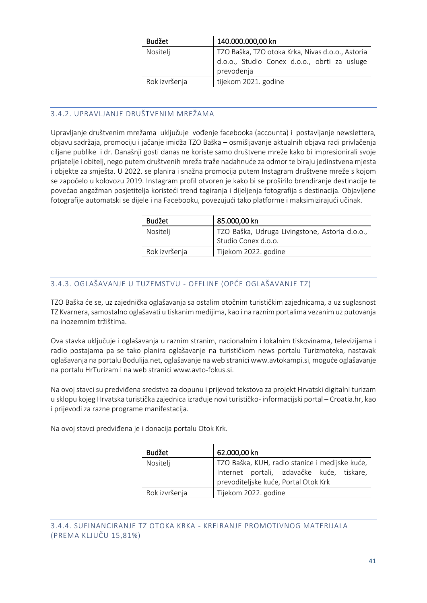| <b>Budžet</b> | 140.000.000,00 kn                                                                                              |
|---------------|----------------------------------------------------------------------------------------------------------------|
| Nositelj      | TZO Baška, TZO otoka Krka, Nivas d.o.o., Astoria<br>d.o.o., Studio Conex d.o.o., obrti za usluge<br>prevođenja |
| Rok izvršenja | tijekom 2021. godine                                                                                           |

# <span id="page-41-0"></span>3.4.2. UPRAVLJANJE DRUŠTVENIM MREŽAMA

Upravljanje društvenim mrežama uključuje vođenje facebooka (accounta) i postavljanje newslettera, objavu sadržaja, promociju i jačanje imidža TZO Baška – osmišljavanje aktualnih objava radi privlačenja ciljane publike i dr. Današnji gosti danas ne koriste samo društvene mreže kako bi impresionirali svoje prijatelje i obitelj, nego putem društvenih mreža traže nadahnuće za odmor te biraju jedinstvena mjesta i objekte za smješta. U 2022. se planira i snažna promocija putem Instagram društvene mreže s kojom se započelo u kolovozu 2019. Instagram profil otvoren je kako bi se proširilo brendiranje destinacije te povećao angažman posjetitelja koristeći trend tagiranja i dijeljenja fotografija s destinacija. Objavljene fotografije automatski se dijele i na Facebooku, povezujući tako platforme i maksimizirajući učinak.

| Budžet        | 85.000,00 kn                                                          |
|---------------|-----------------------------------------------------------------------|
| Nositelj      | TZO Baška, Udruga Livingstone, Astoria d.o.o.,<br>Studio Conex d.o.o. |
| Rok izvršenja | Tijekom 2022. godine                                                  |

# <span id="page-41-1"></span>3.4.3. OGLAŠAVANJE U TUZEMSTVU - OFFLINE (OPĆE OGLAŠAVANJE TZ)

TZO Baška će se, uz zajednička oglašavanja sa ostalim otočnim turističkim zajednicama, a uz suglasnost TZ Kvarnera, samostalno oglašavati u tiskanim medijima, kao i na raznim portalima vezanim uz putovanja na inozemnim tržištima.

Ova stavka uključuje i oglašavanja u raznim stranim, nacionalnim i lokalnim tiskovinama, televizijama i radio postajama pa se tako planira oglašavanje na turističkom news portalu Turizmoteka, nastavak oglašavanja na portalu Bodulija.net, oglašavanje na web stranici www.avtokampi.si, moguće oglašavanje na portalu HrTurizam i na web stranic[i www.avto-fokus.si.](http://www.avto-fokus.si/)

Na ovoj stavci su predviđena sredstva za dopunu i prijevod tekstova za projekt Hrvatski digitalni turizam u sklopu kojeg Hrvatska turistička zajednica izrađuje novi turističko- informacijski portal – Croatia.hr, kao i prijevodi za razne programe manifestacija.

<span id="page-41-2"></span>Na ovoj stavci predviđena je i donacija portalu Otok Krk.

| <b>Budžet</b> | 62.000,00 kn                                                                                                                         |
|---------------|--------------------------------------------------------------------------------------------------------------------------------------|
| Nositelj      | TZO Baška, KUH, radio stanice i medijske kuće,<br>Internet portali, izdavačke kuće, tiskare,<br>prevoditeljske kuće, Portal Otok Krk |
| Rok izvršenja | Tijekom 2022. godine                                                                                                                 |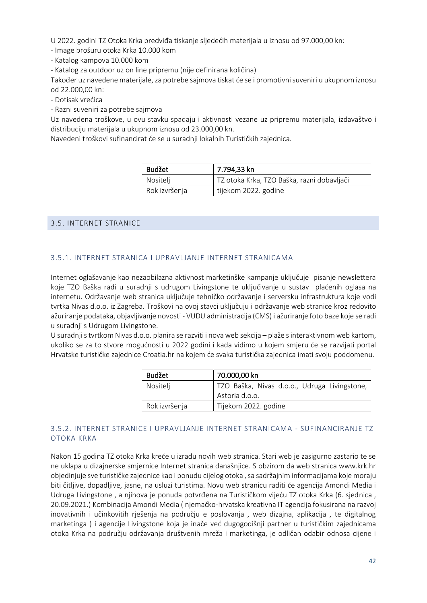U 2022. godini TZ Otoka Krka predviđa tiskanje sljedećih materijala u iznosu od 97.000,00 kn:

- Image brošuru otoka Krka 10.000 kom

- Katalog kampova 10.000 kom

- Katalog za outdoor uz on line pripremu (nije definirana količina)

Također uz navedene materijale, za potrebe sajmova tiskat će se i promotivni suveniri u ukupnom iznosu od 22.000,00 kn:

- Dotisak vrećica

- Razni suveniri za potrebe sajmova

Uz navedena troškove, u ovu stavku spadaju i aktivnosti vezane uz pripremu materijala, izdavaštvo i distribuciju materijala u ukupnom iznosu od 23.000,00 kn.

Navedeni troškovi sufinancirat će se u suradnji lokalnih Turističkih zajednica.

| <b>Budžet</b> | 7.794,33 kn                                |
|---------------|--------------------------------------------|
| Nositelj      | TZ otoka Krka, TZO Baška, razni dobavljači |
| Rok izvršenja | tijekom 2022. godine                       |

#### <span id="page-42-0"></span>3.5. INTERNET STRANICE

#### <span id="page-42-1"></span>3.5.1. INTERNET STRANICA I UPRAVLJANJE INTERNET STRANICAMA

Internet oglašavanje kao nezaobilazna aktivnost marketinške kampanje uključuje pisanje newslettera koje TZO Baška radi u suradnji s udrugom Livingstone te uključivanje u sustav plaćenih oglasa na internetu. Održavanje web stranica uključuje tehničko održavanje i serversku infrastruktura koje vodi tvrtka Nivas d.o.o. iz Zagreba. Troškovi na ovoj stavci uključuju i održavanje web stranice kroz redovito ažuriranje podataka, objavljivanje novosti - VUDU administracija (CMS) i ažuriranje foto baze koje se radi u suradnji s Udrugom Livingstone.

U suradnji s tvrtkom Nivas d.o.o. planira se razviti i novaweb sekcija – plaže sinteraktivnom web kartom, ukoliko se za to stvore mogućnosti u 2022 godini i kada vidimo u kojem smjeru će se razvijati portal Hrvatske turističke zajednice Croatia.hr na kojem će svaka turistička zajednica imati svoju poddomenu.

| <b>Budžet</b> | 70.000,00 kn                                                                |
|---------------|-----------------------------------------------------------------------------|
| Nositelj      | <sup>1</sup> TZO Baška, Nivas d.o.o., Udruga Livingstone,<br>Astoria d.o.o. |
| Rok izvršenja | Tijekom 2022. godine                                                        |

#### <span id="page-42-2"></span>3.5.2. INTERNET STRANICE I UPRAVLJANJE INTERNET STRANICAMA - SUFINANCIRANJE TZ OTOKA KRKA

Nakon 15 godina TZ otoka Krka kreće u izradu novih web stranica. Stari web je zasigurno zastario te se ne uklapa u dizajnerske smjernice Internet stranica današnjice. S obzirom da web stranica www.krk.hr objedinjuje sve turističke zajednice kao i ponudu cijelog otoka , sa sadržajnim informacijama koje moraju biti čitljive, dopadljive, jasne, na usluzi turistima. Novu web stranicu raditi će agencija Amondi Media i Udruga Livingstone , a njihova je ponuda potvrđena na Turističkom vijeću TZ otoka Krka (6. sjednica , 20.09.2021.) Kombinacija Amondi Media ( njemačko-hrvatska kreativna IT agencija fokusirana na razvoj inovativnih i učinkovitih riešenja na području e poslovanja, web dizajna, aplikacija, te digitalnog marketinga ) i agencije Livingstone koja je inače već dugogodišnji partner u turističkim zajednicama otoka Krka na području održavanja društvenih mreža i marketinga, je odličan odabir odnosa cijene i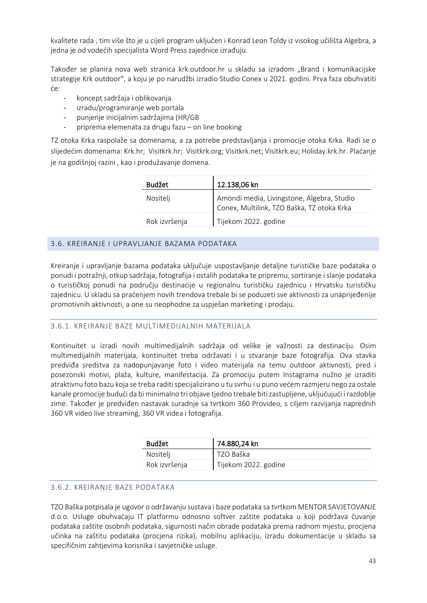kvalitete rada , tim više što je u cijeli program uključen i Konrad Leon Toldy iz visokog učilišta Algebra, a jedna je od vodećih specijalista Word Press zajednice izrađuju.

Također se planira nova web stranica krk.outdoor.hr u skladu sa izradom "Brand i komunikacijske strategije Krk outdoor", a koju je po narudžbi izradio Studio Conex u 2021. godini. Prva faza obuhvatiti će:

- koncept sadržaja i oblikovanja
- izradu/programiranje web portala
- punjenje inicijalnim sadržajima (HR/GB
- priprema elemenata za drugu fazu on line booking

TZ otoka Krka raspolaže sa domenama, a za potrebe predstavljanja i promocije otoka Krka. Radi se o slijedećim domenama: Krk.hr; Visitkrk.hr; Visitkrk.org; Visitkrk.net; Visitkrk.eu; Holiday.krk.hr. Plaćanje je na godišnjoj razini , kao i produžavanje domena.

| <b>Budžet</b> | 12.138,06 kn                                                                             |
|---------------|------------------------------------------------------------------------------------------|
| Nositelj      | Amondi media, Livingstone, Algebra, Studio<br>Conex, Multilink, TZO Baška, TZ otoka Krka |
| Rok izvršenja | Tijekom 2022. godine                                                                     |

#### <span id="page-43-0"></span>3.6. KREIRANJE I UPRAVLJANJE BAZAMA PODATAKA

Kreiranje i upravljanje bazama podataka uključuje uspostavljanje detaljne turističke baze podataka o ponudi i potražnji, otkup sadržaja, fotografija i ostalih podataka te pripremu, sortiranje i slanje podataka o turističkoj ponudi na području destinacije u regionalnu turističku zajednicu i Hrvatsku turističku zajednicu. U skladu sa praćenjem novih trendova trebale bi se poduzeti sve aktivnosti za unaprijeđenije promotivnih aktivnosti, a one su neophodne za uspješan marketing i prodaju.

#### <span id="page-43-1"></span>3.6.1. KREIRANJE BAZE MULTIMEDIJALNIH MATERIJALA

Kontinuitet u izradi novih multimedijalnih sadržaja od velike je važnosti za destinaciju. Osim multimedijalnih materijala, kontinuitet treba održavati i u stvaranje baze fotografija. Ova stavka predviđa sredstva za nadopunjavanje foto i video materijala na temu outdoor aktivnosti, pred i posezonski motivi, plaža, kulture, manifestacija. Za promociju putem Instagrama nužno je izraditi atraktivnu foto bazu koja se treba raditi specijalizirano u tu svrhu i u puno većem razmjeru nego za ostale kanale promocije budući da bi minimalno tri objave tjedno trebale biti zastupljene, uključujući i razdoblje zime. Također je predviđen nastavak suradnje sa tvrtkom 360 Provideo, s ciljem razvijanja naprednih 360 VR video live streaming, 360 VR videa i fotografija.

| <b>Budžet</b> | 74.880,24 kn         |
|---------------|----------------------|
| Nositelj      | TZO Baška            |
| Rok izvršenja | Tijekom 2022. godine |

### <span id="page-43-2"></span>3.6.2. KREIRANJE BAZE PODATAKA

TZO Baška potpisala je ugovor o održavanju sustava i baze podataka sa tvrtkom MENTOR SAVJETOVANJE d.o.o. Usluge obuhvaćaju IT platformu odnosno softver zaštite podataka u koji podržava čuvanje podataka zaštite osobnih podataka, sigurnosti način obrade podataka prema radnom mjestu, procjena učinka na zaštitu podataka (procjena rizika), mobilnu aplikaciju, izradu dokumentacije u skladu sa specifičnim zahtjevima korisnika i savjetničke usluge.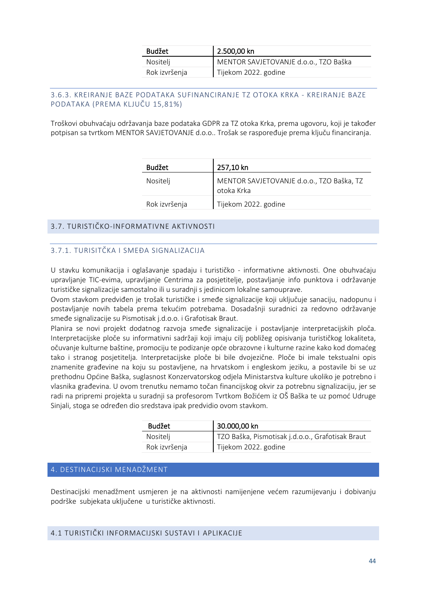| <b>Budžet</b> | 2.500,00 kn                           |
|---------------|---------------------------------------|
| Nositelj      | MENTOR SAVJETOVANJE d.o.o., TZO Baška |
| Rok izvršenja | Tijekom 2022. godine                  |

### <span id="page-44-0"></span>3.6.3. KREIRANJE BAZE PODATAKA SUFINANCIRANJE TZ OTOKA KRKA - KREIRANJE BAZE PODATAKA (PREMA KLJUČU 15,81%)

Troškovi obuhvaćaju održavanja baze podataka GDPR za TZ otoka Krka, prema ugovoru, koji je također potpisan sa tvrtkom MENTOR SAVJETOVANJE d.o.o.. Trošak se raspoređuje prema ključu financiranja.

| <b>Budžet</b> | 257,10 kn                                               |
|---------------|---------------------------------------------------------|
| Nositelj      | MENTOR SAVJETOVANJE d.o.o., TZO Baška, TZ<br>otoka Krka |
| Rok izvršenja | Tijekom 2022. godine                                    |

### <span id="page-44-1"></span>3.7. TURISTIČKO-INFORMATIVNE AKTIVNOSTI

### 3.7.1. TURISITČKA I SMEĐA SIGNALIZACIJA

U stavku komunikacija i oglašavanje spadaju i turističko - informativne aktivnosti. One obuhvaćaju upravljanje TIC-evima, upravljanje Centrima za posjetitelje, postavljanje info punktova i održavanje turističke signalizacije samostalno ili u suradnji s jedinicom lokalne samouprave.

Ovom stavkom predviđen je trošak turističke i smeđe signalizacije koji uključuje sanaciju, nadopunu i postavljanje novih tabela prema tekućim potrebama. Dosadašnji suradnici za redovno održavanje smeđe signalizacije su Pismotisak j.d.o.o. i Grafotisak Braut.

Planira se novi projekt dodatnog razvoja smeđe signalizacije i postavljanje interpretacijskih ploča. Interpretacijske ploče su informativni sadržaji koji imaju cilj pobližeg opisivanja turističkog lokaliteta, očuvanje kulturne baštine, promociju te podizanje opće obrazovne i kulturne razine kako kod domaćeg tako i stranog posjetitelja. Interpretacijske ploče bi bile dvojezične. Ploče bi imale tekstualni opis znamenite građevine na koju su postavljene, na hrvatskom i engleskom jeziku, a postavile bi se uz prethodnu Općine Baška, suglasnost Konzervatorskog odjela Ministarstva kulture ukoliko je potrebno i vlasnika građevina. U ovom trenutku nemamo točan financijskog okvir za potrebnu signalizaciju, jer se radi na pripremi projekta u suradnji sa profesorom Tvrtkom Božićem iz OŠ Baška te uz pomoć Udruge Sinjali, stoga se određen dio sredstava ipak predvidio ovom stavkom.

| <b>Budžet</b> | 30.000,00 kn                                     |
|---------------|--------------------------------------------------|
| Nositelj      | TZO Baška, Pismotisak j.d.o.o., Grafotisak Braut |
| Rok izvršenja | Tijekom 2022. godine                             |

### <span id="page-44-2"></span>4. DESTINACIJSKI MENADŽMENT

Destinacijski menadžment usmjeren je na aktivnosti namijenjene većem razumijevanju i dobivanju podrške subjekata uključene u turističke aktivnosti.

### <span id="page-44-3"></span>4.1 TURISTIČKI INFORMACIJSKI SUSTAVI I APLIKACIJE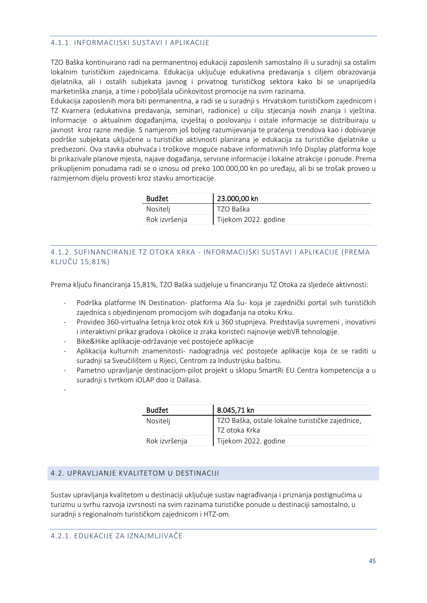#### <span id="page-45-0"></span>4.1.1. INFORMACIJSKI SUSTAVI I APLIKACIJE

TZO Baška kontinuirano radi na permanentnoj edukaciji zaposlenih samostalno ili u suradnji sa ostalim lokalnim turističkim zajednicama. Edukacija uključuje edukativna predavanja s ciljem obrazovanja djelatnika, ali i ostalih subjekata javnog i privatnog turističkog sektora kako bi se unaprijedila marketinška znanja, a time i poboljšala učinkovitost promocije na svim razinama.

Edukacija zaposlenih mora biti permanentna, a radi se u suradnji s Hrvatskom turističkom zajednicom i TZ Kvarnera (edukativna predavanja, seminari, radionice) u cilju stjecanja novih znanja i vještina. Informacije o aktualnim događanjima, izvještaj o poslovanju i ostale informacije se distribuiraju u javnost kroz razne medije. S namjerom još boljeg razumijevanja te praćenja trendova kao i dobivanje podrške subjekata uključene u turističke aktivnosti planirana je edukacija za turističke djelatnike u predsezoni. Ova stavka obuhvaća i troškove moguće nabave informativnih Info Display platforma koje bi prikazivale planove mjesta, najave događanja, servisne informacije i lokalne atrakcije i ponude. Prema prikupljenim ponudama radi se o iznosu od preko 100.000,00 kn po uređaju, ali bi se trošak proveo u razmjernom dijelu provesti kroz stavku amortizacije.

| <b>Budžet</b> | 23.000,00 kn         |
|---------------|----------------------|
| Nositelj      | TZO Baška            |
| Rok izvršenja | Tijekom 2022. godine |

### <span id="page-45-1"></span>4.1.2. SUFINANCIRANJE TZ OTOKA KRKA - INFORMACIJSKI SUSTAVI I APLIKACIJE (PREMA KLJUČU 15,81%)

Prema ključu financiranja 15,81%, TZO Baška sudjeluje u financiranju TZ Otoka za sljedeće aktivnosti:

- Podrška platforme IN Destination- platforma Ala šu- koja je zajednički portal svih turističkih zajednica s objedinjenom promocijom svih događanja na otoku Krku.
- Provideo 360-virtualna šetnja kroz otok Krk u 360 stupnjeva. Predstavlja suvremeni , inovativni i interaktivni prikaz gradova i okolice iz zraka koristeći najnovije webVR tehnologije.
- Bike&Hike aplikacije-održavanje već postojeće aplikacije
- Aplikacija kulturnih znamenitosti- nadogradnja već postojeće aplikacije koja će se raditi u suradnji sa Sveučilištem u Rijeci, Centrom za Industrijsku baštinu.
- Pametno upravljanje destinacijom-pilot projekt u sklopu SmartRi EU Centra kompetencija a u suradnji s tvrtkom iOLAP doo iz Dallasa.
- -

| <b>Budžet</b> | 8.045,71 kn                                     |
|---------------|-------------------------------------------------|
| Nositelj      | TZO Baška, ostale lokalne turističke zajednice, |
|               | TZ otoka Krka                                   |
| Rok izvršenja | Tijekom 2022. godine                            |

### <span id="page-45-2"></span>4.2. UPRAVLJANJE KVALITETOM U DESTINACIJI

<span id="page-45-3"></span>Sustav upravljanja kvalitetom u destinaciji uključuje sustav nagrađivanja i priznanja postignućima u turizmu u svrhu razvoja izvrsnosti na svim razinama turističke ponude u destinaciji samostalno, u suradnji s regionalnom turističkom zajednicom i HTZ-om.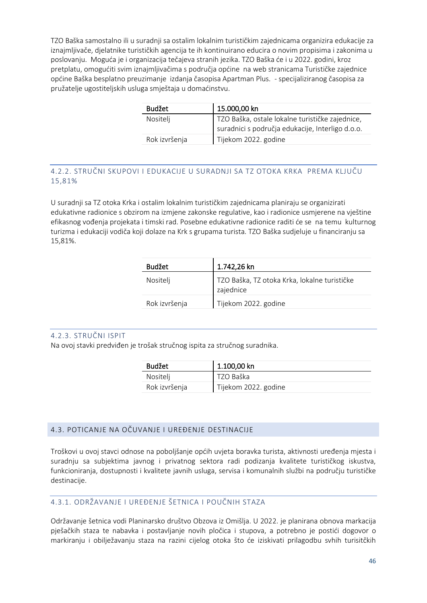TZO Baška samostalno ili u suradnji sa ostalim lokalnim turističkim zajednicama organizira edukacije za iznajmljivače, djelatnike turističkih agencija te ih kontinuirano educira o novim propisima i zakonima u poslovanju. Moguća je i organizacija tečajeva stranih jezika. TZO Baška će i u 2022. godini, kroz pretplatu, omogućiti svim iznajmljivačima s područja općine na [web stranicama](https://tz-baska.us8.list-manage.com/track/click?u=76fe0974d356fd8048d90ec5b&id=a2807780ad&e=3b99e4d51a) Turističke zajednice općine Baška besplatno preuzimanje izdanja časopisa Apartman Plus. - specijaliziranog časopisa za pružatelje ugostiteljskih usluga smještaja u domaćinstvu.

| <b>Budžet</b> | 15.000,00 kn                                     |
|---------------|--------------------------------------------------|
| Nositelj      | TZO Baška, ostale lokalne turističke zajednice,  |
|               | suradnici s područja edukacije, Interligo d.o.o. |
| Rok izvršenja | Tijekom 2022. godine                             |

# <span id="page-46-0"></span>4.2.2. STRUČNI SKUPOVI I EDUKACIJE U SURADNJI SA TZ OTOKA KRKA PREMA KLJUČU 15,81%

U suradnji sa TZ otoka Krka i ostalim lokalnim turističkim zajednicama planiraju se organizirati edukativne radionice s obzirom na izmjene zakonske regulative, kao i radionice usmjerene na vještine efikasnog vođenja projekata i timski rad. Posebne edukativne radionice raditi će se na temu kulturnog turizma i edukaciji vodiča koji dolaze na Krk s grupama turista. TZO Baška sudjeluje u financiranju sa 15,81%.

| <b>Budžet</b> | 1.742,26 kn                                               |
|---------------|-----------------------------------------------------------|
| Nositelj      | TZO Baška, TZ otoka Krka, lokalne turističke<br>zajednice |
| Rok izvršenja | Tijekom 2022. godine                                      |

### <span id="page-46-1"></span>4.2.3. STRUČNI ISPIT

Na ovoj stavki predviđen je trošak stručnog ispita za stručnog suradnika.

| <b>Budžet</b> | 1.100,00 kn          |
|---------------|----------------------|
| Nositelj      | TZO Baška            |
| Rok izvršenja | Tijekom 2022. godine |

# <span id="page-46-2"></span>4.3. POTICANJE NA OČUVANJE I UREĐENJE DESTINACIJE

Troškovi u ovoj stavci odnose na poboljšanje općih uvjeta boravka turista, aktivnosti uređenja mjesta i suradnju sa subjektima javnog i privatnog sektora radi podizanja kvalitete turističkog iskustva, funkcioniranja, dostupnosti i kvalitete javnih usluga, servisa i komunalnih službi na području turističke destinacije.

# <span id="page-46-3"></span>4.3.1. ODRŽAVANJE I UREĐENJE ŠETNICA I POUČNIH STAZA

Održavanje šetnica vodi Planinarsko društvo Obzova iz Omišlja. U 2022. je planirana obnova markacija pješačkih staza te nabavka i postavljanje novih pločica i stupova, a potrebno je postići dogovor o markiranju i obilježavanju staza na razini cijelog otoka što će iziskivati prilagodbu svhih turisitčkih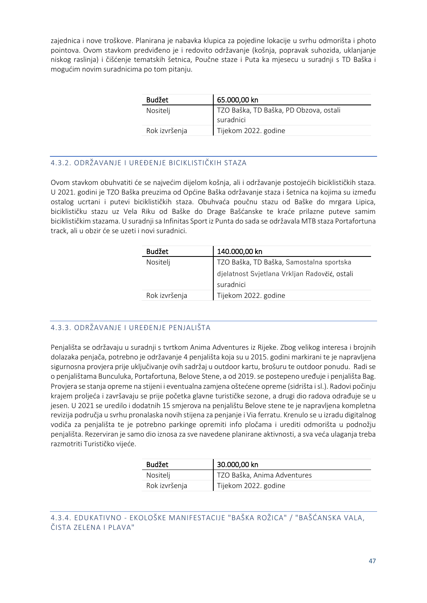zajednica i nove troškove. Planirana je nabavka klupica za pojedine lokacije u svrhu odmorišta i photo pointova. Ovom stavkom predviđeno je i redovito održavanje (košnja, popravak suhozida, uklanjanje niskog raslinja) i čišćenje tematskih šetnica, Poučne staze i Puta ka mjesecu u suradnji s TD Baška i mogućim novim suradnicima po tom pitanju.

| <b>Budžet</b> | 65.000,00 kn                                        |
|---------------|-----------------------------------------------------|
| Nositelj      | TZO Baška, TD Baška, PD Obzova, ostali<br>suradnici |
| Rok izvršenja | Tijekom 2022. godine                                |

# <span id="page-47-0"></span>4.3.2. ODRŽAVANJE I UREĐENJE BICIKLISTIČKIH STAZA

Ovom stavkom obuhvatiti će se najvećim dijelom košnja, ali i održavanje postojećih biciklističkih staza. U 2021. godini je TZO Baška preuzima od Općine Baška održavanje staza i šetnica na kojima su između ostalog ucrtani i putevi biciklističkih staza. Obuhvaća poučnu stazu od Baške do mrgara Lipica, biciklističku stazu uz Vela Riku od Baške do Drage Bašćanske te kraće prilazne puteve samim biciklističkim stazama. U suradnji sa Infinitas Sport iz Punta do sada se održavala MTB staza Portafortuna track, ali u obzir će se uzeti i novi suradnici.

| <b>Budžet</b> | 140.000,00 kn                                              |
|---------------|------------------------------------------------------------|
| Nositelj      | TZO Baška, TD Baška, Samostalna sportska                   |
|               | djelatnost Svjetlana Vrkljan Radovčić, ostali<br>suradnici |
| Rok izvršenja | Tijekom 2022. godine                                       |

### <span id="page-47-1"></span>4.3.3. ODRŽAVANJE I UREĐENJE PENJALIŠTA

Penjališta se održavaju u suradnji s tvrtkom Anima Adventures iz Rijeke. Zbog velikog interesa i brojnih dolazaka penjača, potrebno je održavanje 4 penjališta koja su u 2015. godini markirani te je napravljena sigurnosna provjera prije uključivanje ovih sadržaj u outdoor kartu, brošuru te outdoor ponudu. Radi se o penjalištama Bunculuka, Portafortuna, Belove Stene, a od 2019. se postepeno uređuje i penjališta Bag. Provjera se stanja opreme na stijeni i eventualna zamjena oštećene opreme (sidrišta i sl.). Radovi počinju krajem proljeća i završavaju se prije početka glavne turističke sezone, a drugi dio radova odrađuje se u jesen. U 2021 se uredilo i dodatnih 15 smjerova na penjalištu Belove stene te je napravljena kompletna revizija područja u svrhu pronalaska novih stijena za penjanje i Via ferratu. Krenulo se u izradu digitalnog vodiča za penjališta te je potrebno parkinge opremiti info pločama i urediti odmorišta u podnožju penjališta. Rezerviran je samo dio iznosa za sve navedene planirane aktivnosti, a sva veća ulaganja treba razmotriti Turističko vijeće.

| <b>Budžet</b> | 30.000,00 kn                |
|---------------|-----------------------------|
| Nositelj      | TZO Baška, Anima Adventures |
| Rok izvršenja | Tijekom 2022. godine        |

# <span id="page-47-2"></span>4.3.4. EDUKATIVNO - EKOLOŠKE MANIFESTACIJE "BAŠKA ROŽICA" / "BAŠĆANSKA VALA, ČISTA ZELENA I PLAVA"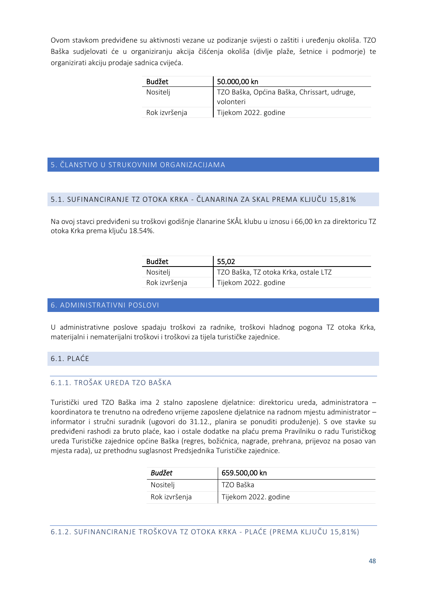Ovom stavkom predviđene su aktivnosti vezane uz podizanje svijesti o zaštiti i uređenju okoliša. TZO Baška sudjelovati će u organiziranju akcija čišćenja okoliša (divlje plaže, šetnice i podmorje) te organizirati akciju prodaje sadnica cvijeća.

| Budžet        | 50.000,00 kn                                |
|---------------|---------------------------------------------|
| Nositelj      | TZO Baška, Općina Baška, Chrissart, udruge, |
|               | volonteri                                   |
| Rok izvršenja | Tijekom 2022. godine                        |

### <span id="page-48-0"></span>5. ČLANSTVO U STRUKOVNIM ORGANIZACIJAMA

#### <span id="page-48-1"></span>5.1. SUFINANCIRANJE TZ OTOKA KRKA - ČLANARINA ZA SKAL PREMA KLJUČU 15,81%

Na ovoj stavci predviđeni su troškovi godišnje članarine SKÅL klubu u iznosu i 66,00 kn za direktoricu TZ otoka Krka prema ključu 18.54%.

| <b>Budžet</b> | 55,02                                |
|---------------|--------------------------------------|
| Nositelj      | TZO Baška, TZ otoka Krka, ostale LTZ |
| Rok izvršenja | Tijekom 2022. godine                 |

#### <span id="page-48-2"></span>6. ADMINISTRATIVNI POSLOVI

U administrativne poslove spadaju troškovi za radnike, troškovi hladnog pogona TZ otoka Krka, materijalni i nematerijalni troškovi i troškovi za tijela turističke zajednice.

#### <span id="page-48-3"></span>6.1. PLAĆE

### <span id="page-48-4"></span>6.1.1. TROŠAK UREDA TZO BAŠKA

Turistički ured TZO Baška ima 2 stalno zaposlene djelatnice: direktoricu ureda, administratora – koordinatora te trenutno na određeno vrijeme zaposlene djelatnice na radnom mjestu administrator – informator i stručni suradnik (ugovori do 31.12., planira se ponuditi produženje). S ove stavke su predviđeni rashodi za bruto plaće, kao i ostale dodatke na plaću prema Pravilniku o radu Turističkog ureda Turističke zajednice općine Baška (regres, božićnica, nagrade, prehrana, prijevoz na posao van mjesta rada), uz prethodnu suglasnost Predsjednika Turističke zajednice.

| <b>Budžet</b> | 659.500,00 kn        |
|---------------|----------------------|
| Nositelj      | TZO Baška            |
| Rok izvršenja | Tijekom 2022. godine |

<span id="page-48-5"></span>6.1.2. SUFINANCIRANJE TROŠKOVA TZ OTOKA KRKA - PLAĆE (PREMA KLJUČU 15,81%)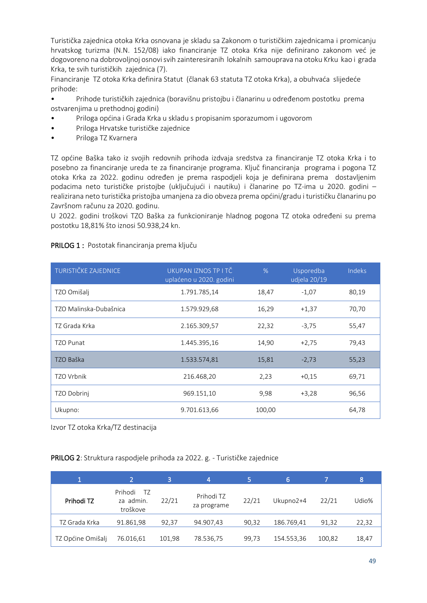Turistička zajednica otoka Krka osnovana je skladu sa Zakonom o turističkim zajednicama i promicanju hrvatskog turizma (N.N. 152/08) iako financiranje TZ otoka Krka nije definirano zakonom već je dogovoreno na dobrovoljnoj osnovi svih zainteresiranih lokalnih samouprava na otoku Krku kao i grada Krka, te svih turističkih zajednica (7).

Financiranje TZ otoka Krka definira Statut (članak 63 statuta TZ otoka Krka), a obuhvaća slijedeće prihode:

• Prihode turističkih zajednica (boravišnu pristojbu i članarinu u određenom postotku prema ostvarenjima u prethodnoj godini)

- Priloga općina i Grada Krka u skladu s propisanim sporazumom i ugovorom
- Priloga Hrvatske turističke zajednice
- Priloga TZ Kvarnera

TZ općine Baška tako iz svojih redovnih prihoda izdvaja sredstva za financiranje TZ otoka Krka i to posebno za financiranje ureda te za financiranje programa. Ključ financiranja programa i pogona TZ otoka Krka za 2022. godinu određen je prema raspodjeli koja je definirana prema dostavljenim podacima neto turističke pristojbe (uključujući i nautiku) i članarine po TZ-ima u 2020. godini – realizirana neto turistička pristojba umanjena za dio obveza prema općini/gradu i turističku članarinu po Završnom računu za 2020. godinu.

U 2022. godini troškovi TZO Baška za funkcioniranje hladnog pogona TZ otoka određeni su prema postotku 18,81% što iznosi 50.938,24 kn.

#### PRILOG 1 : Postotak financiranja prema ključu

| TURISTIČKE ZAJEDNICE   | UKUPAN IZNOS TP I TČ<br>uplaćeno u 2020. godini | $\%$   | Usporedba<br>udjela 20/19 | Indeks |
|------------------------|-------------------------------------------------|--------|---------------------------|--------|
| TZO Omišalj            | 1.791.785,14                                    | 18,47  | $-1,07$                   | 80,19  |
| TZO Malinska-Dubašnica | 1.579.929,68                                    | 16,29  | $+1,37$                   | 70,70  |
| TZ Grada Krka          | 2.165.309,57                                    | 22,32  | $-3,75$                   | 55,47  |
| <b>TZO Punat</b>       | 1.445.395,16                                    | 14,90  | $+2,75$                   | 79,43  |
| TZO Baška              | 1.533.574,81                                    | 15,81  | $-2,73$                   | 55,23  |
| <b>TZO Vrbnik</b>      | 216.468,20                                      | 2,23   | $+0.15$                   | 69,71  |
| TZO Dobrinj            | 969.151,10                                      | 9,98   | $+3,28$                   | 96,56  |
| Ukupno:                | 9.701.613,66                                    | 100,00 |                           | 64,78  |

Izvor TZ otoka Krka/TZ destinacija

#### PRILOG 2: Struktura raspodjele prihoda za 2022. g. - Turističke zajednice

| 1                 | 2                                      | 3      | 4                         |       | 16.        |        | 8     |
|-------------------|----------------------------------------|--------|---------------------------|-------|------------|--------|-------|
| Prihodi TZ        | Prihodi<br>TZ<br>za admin.<br>troškove | 22/21  | Prihodi TZ<br>za programe | 22/21 | Ukupno2+4  | 22/21  | Udio% |
| TZ Grada Krka     | 91.861,98                              | 92.37  | 94.907,43                 | 90,32 | 186.769,41 | 91.32  | 22,32 |
| TZ Općine Omišalj | 76.016,61                              | 101,98 | 78.536,75                 | 99,73 | 154.553,36 | 100,82 | 18,47 |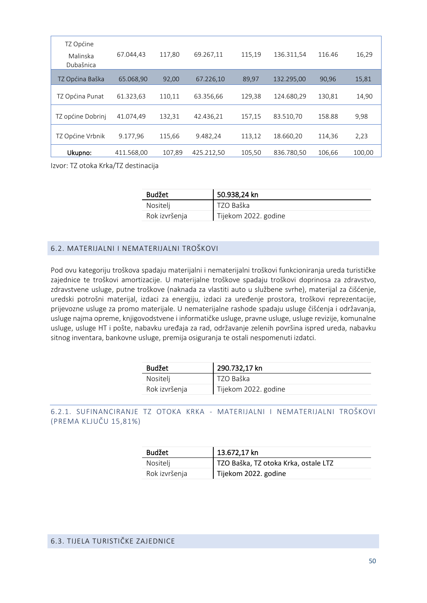| TZ Općine<br>Malinska<br>Dubašnica | 67.044,43  | 117,80 | 69.267.11  | 115,19 | 136.311,54 | 116.46 | 16,29  |
|------------------------------------|------------|--------|------------|--------|------------|--------|--------|
| TZ Općina Baška                    | 65.068,90  | 92,00  | 67.226,10  | 89,97  | 132.295,00 | 90,96  | 15,81  |
| TZ Općina Punat                    | 61.323,63  | 110,11 | 63.356,66  | 129,38 | 124.680,29 | 130,81 | 14,90  |
| TZ općine Dobrinj                  | 41.074.49  | 132,31 | 42.436,21  | 157,15 | 83.510,70  | 158.88 | 9,98   |
| TZ Općine Vrbnik                   | 9.177,96   | 115,66 | 9.482,24   | 113,12 | 18.660,20  | 114,36 | 2,23   |
| Ukupno:                            | 411.568.00 | 107,89 | 425.212.50 | 105,50 | 836.780.50 | 106,66 | 100,00 |

Izvor: TZ otoka Krka/TZ destinacija

| Budžet        | 50.938,24 kn         |
|---------------|----------------------|
| Nositelj      | TZO Baška            |
| Rok izvršenja | Tijekom 2022. godine |

### <span id="page-50-0"></span>6.2. MATERIJALNI I NEMATERIJALNI TROŠKOVI

Pod ovu kategoriju troškova spadaju materijalni i nematerijalni troškovi funkcioniranja ureda turističke zajednice te troškovi amortizacije. U materijalne troškove spadaju troškovi doprinosa za zdravstvo, zdravstvene usluge, putne troškove (naknada za vlastiti auto u službene svrhe), materijal za čišćenje, uredski potrošni materijal, izdaci za energiju, izdaci za uređenje prostora, troškovi reprezentacije, prijevozne usluge za promo materijale. U nematerijalne rashode spadaju usluge čišćenja i održavanja, usluge najma opreme, knjigovodstvene i informatičke usluge, pravne usluge, usluge revizije, komunalne usluge, usluge HT i pošte, nabavku uređaja za rad, održavanje zelenih površina ispred ureda, nabavku sitnog inventara, bankovne usluge, premija osiguranja te ostali nespomenuti izdatci.

| <b>Budžet</b> | 290.732,17 kn        |
|---------------|----------------------|
| Nositelj      | TZO Baška            |
| Rok izvršenja | Tijekom 2022. godine |

# <span id="page-50-1"></span>6.2.1. SUFINANCIRANJE TZ OTOKA KRKA - MATERIJALNI I NEMATERIJALNI TROŠKOVI (PREMA KLJUČU 15,81%)

| Budžet        | 13.672,17 kn                         |
|---------------|--------------------------------------|
| Nositelj      | TZO Baška, TZ otoka Krka, ostale LTZ |
| Rok izvršenja | Tijekom 2022. godine                 |